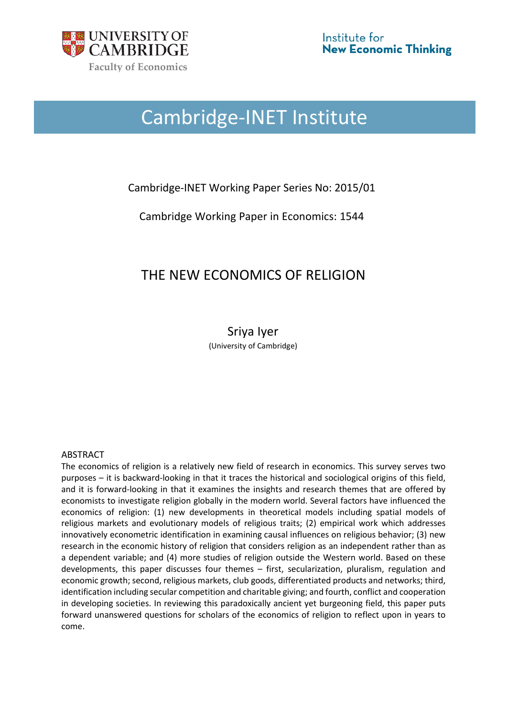

# Cambridge-INET Institute

## Cambridge-INET Working Paper Series No: 2015/01

Cambridge Working Paper in Economics: 1544

# THE NEW ECONOMICS OF RELIGION

### Sriya Iyer (University of Cambridge)

#### ABSTRACT

The economics of religion is a relatively new field of research in economics. This survey serves two purposes – it is backward-looking in that it traces the historical and sociological origins of this field, and it is forward-looking in that it examines the insights and research themes that are offered by economists to investigate religion globally in the modern world. Several factors have influenced the economics of religion: (1) new developments in theoretical models including spatial models of religious markets and evolutionary models of religious traits; (2) empirical work which addresses innovatively econometric identification in examining causal influences on religious behavior; (3) new research in the economic history of religion that considers religion as an independent rather than as a dependent variable; and (4) more studies of religion outside the Western world. Based on these developments, this paper discusses four themes – first, secularization, pluralism, regulation and economic growth; second, religious markets, club goods, differentiated products and networks; third, identification including secular competition and charitable giving; and fourth, conflict and cooperation in developing societies. In reviewing this paradoxically ancient yet burgeoning field, this paper puts forward unanswered questions for scholars of the economics of religion to reflect upon in years to come.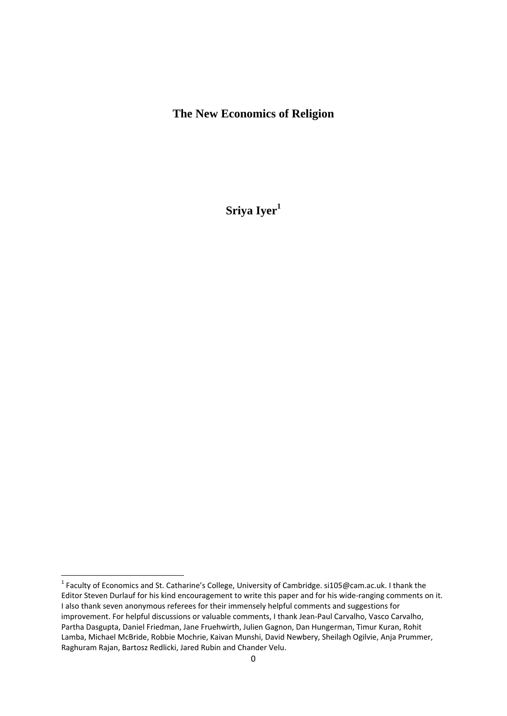## **The New Economics of Religion**

Sriya Iyer<sup>1</sup>

<sup>&</sup>lt;sup>1</sup> Faculty of Economics and St. Catharine's College, University of Cambridge. si105@cam.ac.uk. I thank the Editor Steven Durlauf for his kind encouragement to write this paper and for his wide‐ranging comments on it. I also thank seven anonymous referees for their immensely helpful comments and suggestions for improvement. For helpful discussions or valuable comments, I thank Jean-Paul Carvalho, Vasco Carvalho, Partha Dasgupta, Daniel Friedman, Jane Fruehwirth, Julien Gagnon, Dan Hungerman, Timur Kuran, Rohit Lamba, Michael McBride, Robbie Mochrie, Kaivan Munshi, David Newbery, Sheilagh Ogilvie, Anja Prummer, Raghuram Rajan, Bartosz Redlicki, Jared Rubin and Chander Velu.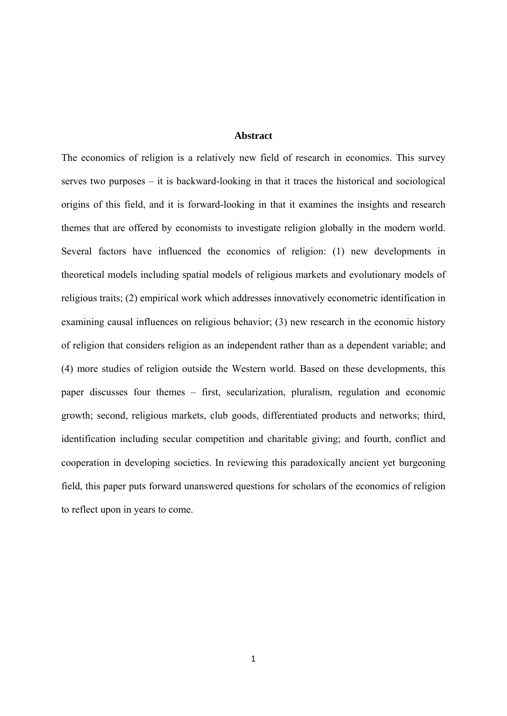#### **Abstract**

The economics of religion is a relatively new field of research in economics. This survey serves two purposes – it is backward-looking in that it traces the historical and sociological origins of this field, and it is forward-looking in that it examines the insights and research themes that are offered by economists to investigate religion globally in the modern world. Several factors have influenced the economics of religion: (1) new developments in theoretical models including spatial models of religious markets and evolutionary models of religious traits; (2) empirical work which addresses innovatively econometric identification in examining causal influences on religious behavior; (3) new research in the economic history of religion that considers religion as an independent rather than as a dependent variable; and (4) more studies of religion outside the Western world. Based on these developments, this paper discusses four themes – first, secularization, pluralism, regulation and economic growth; second, religious markets, club goods, differentiated products and networks; third, identification including secular competition and charitable giving; and fourth, conflict and cooperation in developing societies. In reviewing this paradoxically ancient yet burgeoning field, this paper puts forward unanswered questions for scholars of the economics of religion to reflect upon in years to come.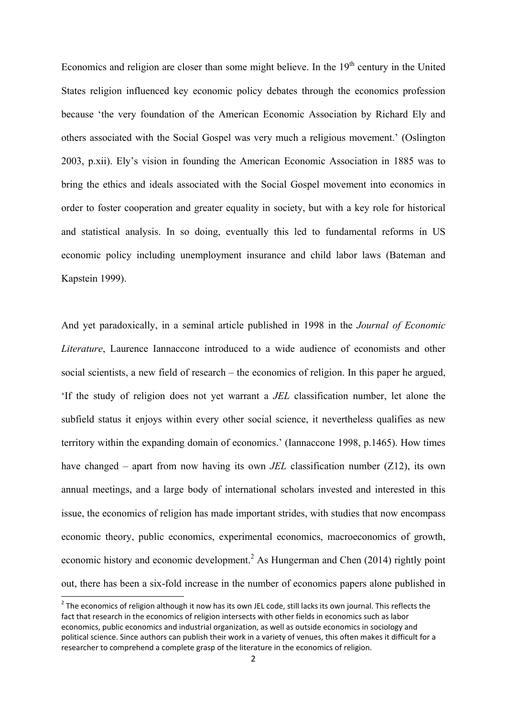Economics and religion are closer than some might believe. In the  $19<sup>th</sup>$  century in the United States religion influenced key economic policy debates through the economics profession because 'the very foundation of the American Economic Association by Richard Ely and others associated with the Social Gospel was very much a religious movement.' (Oslington 2003, p.xii). Ely's vision in founding the American Economic Association in 1885 was to bring the ethics and ideals associated with the Social Gospel movement into economics in order to foster cooperation and greater equality in society, but with a key role for historical and statistical analysis. In so doing, eventually this led to fundamental reforms in US economic policy including unemployment insurance and child labor laws (Bateman and Kapstein 1999).

And yet paradoxically, in a seminal article published in 1998 in the *Journal of Economic Literature*, Laurence Iannaccone introduced to a wide audience of economists and other social scientists, a new field of research – the economics of religion. In this paper he argued, 'If the study of religion does not yet warrant a *JEL* classification number, let alone the subfield status it enjoys within every other social science, it nevertheless qualifies as new territory within the expanding domain of economics.' (Iannaccone 1998, p.1465). How times have changed – apart from now having its own *JEL* classification number (Z12), its own annual meetings, and a large body of international scholars invested and interested in this issue, the economics of religion has made important strides, with studies that now encompass economic theory, public economics, experimental economics, macroeconomics of growth, economic history and economic development.<sup>2</sup> As Hungerman and Chen (2014) rightly point out, there has been a six-fold increase in the number of economics papers alone published in

 $^2$  The economics of religion although it now has its own JEL code, still lacks its own journal. This reflects the fact that research in the economics of religion intersects with other fields in economics such as labor economics, public economics and industrial organization, as well as outside economics in sociology and political science. Since authors can publish their work in a variety of venues, this often makes it difficult for a researcher to comprehend a complete grasp of the literature in the economics of religion.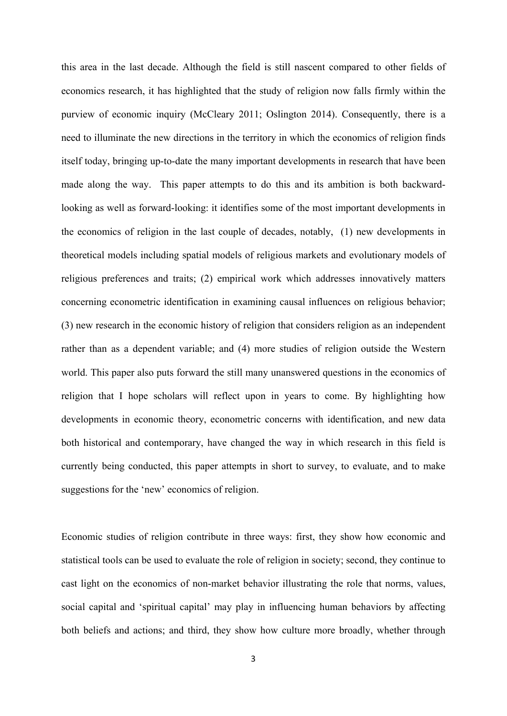this area in the last decade. Although the field is still nascent compared to other fields of economics research, it has highlighted that the study of religion now falls firmly within the purview of economic inquiry (McCleary 2011; Oslington 2014). Consequently, there is a need to illuminate the new directions in the territory in which the economics of religion finds itself today, bringing up-to-date the many important developments in research that have been made along the way. This paper attempts to do this and its ambition is both backwardlooking as well as forward-looking: it identifies some of the most important developments in the economics of religion in the last couple of decades, notably, (1) new developments in theoretical models including spatial models of religious markets and evolutionary models of religious preferences and traits; (2) empirical work which addresses innovatively matters concerning econometric identification in examining causal influences on religious behavior; (3) new research in the economic history of religion that considers religion as an independent rather than as a dependent variable; and (4) more studies of religion outside the Western world. This paper also puts forward the still many unanswered questions in the economics of religion that I hope scholars will reflect upon in years to come. By highlighting how developments in economic theory, econometric concerns with identification, and new data both historical and contemporary, have changed the way in which research in this field is currently being conducted, this paper attempts in short to survey, to evaluate, and to make suggestions for the 'new' economics of religion.

Economic studies of religion contribute in three ways: first, they show how economic and statistical tools can be used to evaluate the role of religion in society; second, they continue to cast light on the economics of non-market behavior illustrating the role that norms, values, social capital and 'spiritual capital' may play in influencing human behaviors by affecting both beliefs and actions; and third, they show how culture more broadly, whether through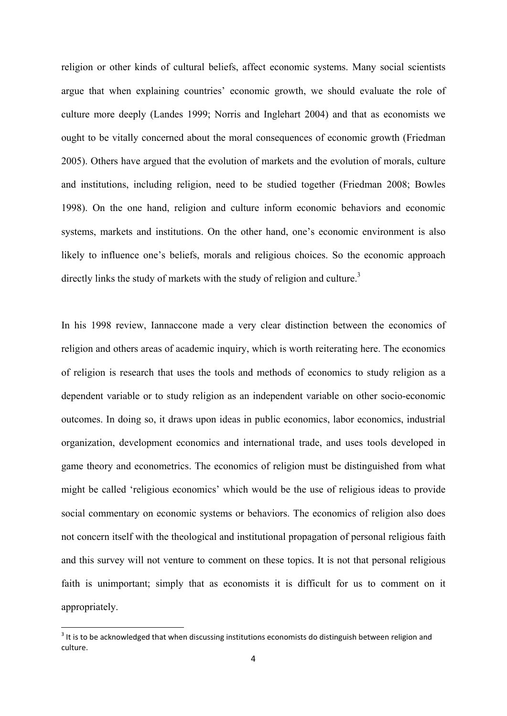religion or other kinds of cultural beliefs, affect economic systems. Many social scientists argue that when explaining countries' economic growth, we should evaluate the role of culture more deeply (Landes 1999; Norris and Inglehart 2004) and that as economists we ought to be vitally concerned about the moral consequences of economic growth (Friedman 2005). Others have argued that the evolution of markets and the evolution of morals, culture and institutions, including religion, need to be studied together (Friedman 2008; Bowles 1998). On the one hand, religion and culture inform economic behaviors and economic systems, markets and institutions. On the other hand, one's economic environment is also likely to influence one's beliefs, morals and religious choices. So the economic approach directly links the study of markets with the study of religion and culture.<sup>3</sup>

In his 1998 review, Iannaccone made a very clear distinction between the economics of religion and others areas of academic inquiry, which is worth reiterating here. The economics of religion is research that uses the tools and methods of economics to study religion as a dependent variable or to study religion as an independent variable on other socio-economic outcomes. In doing so, it draws upon ideas in public economics, labor economics, industrial organization, development economics and international trade, and uses tools developed in game theory and econometrics. The economics of religion must be distinguished from what might be called 'religious economics' which would be the use of religious ideas to provide social commentary on economic systems or behaviors. The economics of religion also does not concern itself with the theological and institutional propagation of personal religious faith and this survey will not venture to comment on these topics. It is not that personal religious faith is unimportant; simply that as economists it is difficult for us to comment on it appropriately.

 $3$  It is to be acknowledged that when discussing institutions economists do distinguish between religion and culture.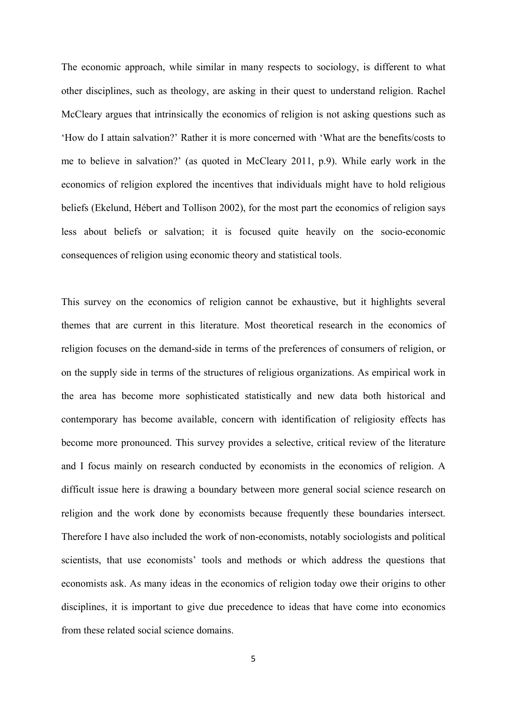The economic approach, while similar in many respects to sociology, is different to what other disciplines, such as theology, are asking in their quest to understand religion. Rachel McCleary argues that intrinsically the economics of religion is not asking questions such as 'How do I attain salvation?' Rather it is more concerned with 'What are the benefits/costs to me to believe in salvation?' (as quoted in McCleary 2011, p.9). While early work in the economics of religion explored the incentives that individuals might have to hold religious beliefs (Ekelund, Hébert and Tollison 2002), for the most part the economics of religion says less about beliefs or salvation; it is focused quite heavily on the socio-economic consequences of religion using economic theory and statistical tools.

This survey on the economics of religion cannot be exhaustive, but it highlights several themes that are current in this literature. Most theoretical research in the economics of religion focuses on the demand-side in terms of the preferences of consumers of religion, or on the supply side in terms of the structures of religious organizations. As empirical work in the area has become more sophisticated statistically and new data both historical and contemporary has become available, concern with identification of religiosity effects has become more pronounced. This survey provides a selective, critical review of the literature and I focus mainly on research conducted by economists in the economics of religion. A difficult issue here is drawing a boundary between more general social science research on religion and the work done by economists because frequently these boundaries intersect. Therefore I have also included the work of non-economists, notably sociologists and political scientists, that use economists' tools and methods or which address the questions that economists ask. As many ideas in the economics of religion today owe their origins to other disciplines, it is important to give due precedence to ideas that have come into economics from these related social science domains.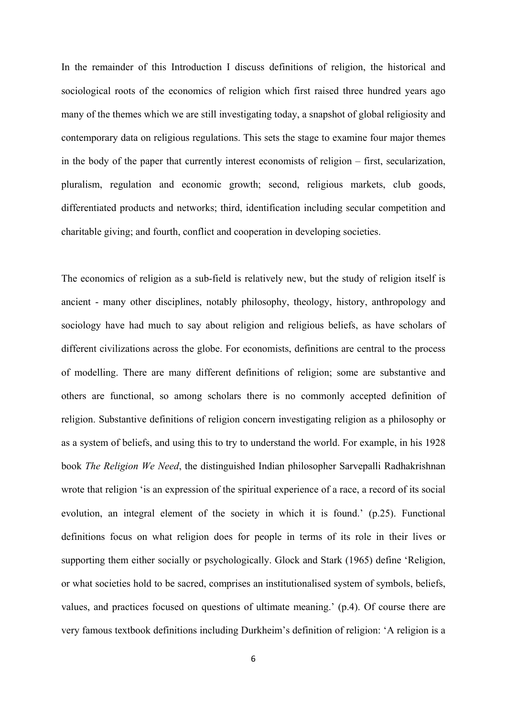In the remainder of this Introduction I discuss definitions of religion, the historical and sociological roots of the economics of religion which first raised three hundred years ago many of the themes which we are still investigating today, a snapshot of global religiosity and contemporary data on religious regulations. This sets the stage to examine four major themes in the body of the paper that currently interest economists of religion – first, secularization, pluralism, regulation and economic growth; second, religious markets, club goods, differentiated products and networks; third, identification including secular competition and charitable giving; and fourth, conflict and cooperation in developing societies.

The economics of religion as a sub-field is relatively new, but the study of religion itself is ancient - many other disciplines, notably philosophy, theology, history, anthropology and sociology have had much to say about religion and religious beliefs, as have scholars of different civilizations across the globe. For economists, definitions are central to the process of modelling. There are many different definitions of religion; some are substantive and others are functional, so among scholars there is no commonly accepted definition of religion. Substantive definitions of religion concern investigating religion as a philosophy or as a system of beliefs, and using this to try to understand the world. For example, in his 1928 book *The Religion We Need*, the distinguished Indian philosopher Sarvepalli Radhakrishnan wrote that religion 'is an expression of the spiritual experience of a race, a record of its social evolution, an integral element of the society in which it is found.' (p.25). Functional definitions focus on what religion does for people in terms of its role in their lives or supporting them either socially or psychologically. Glock and Stark (1965) define 'Religion, or what societies hold to be sacred, comprises an institutionalised system of symbols, beliefs, values, and practices focused on questions of ultimate meaning.' (p.4). Of course there are very famous textbook definitions including Durkheim's definition of religion: 'A religion is a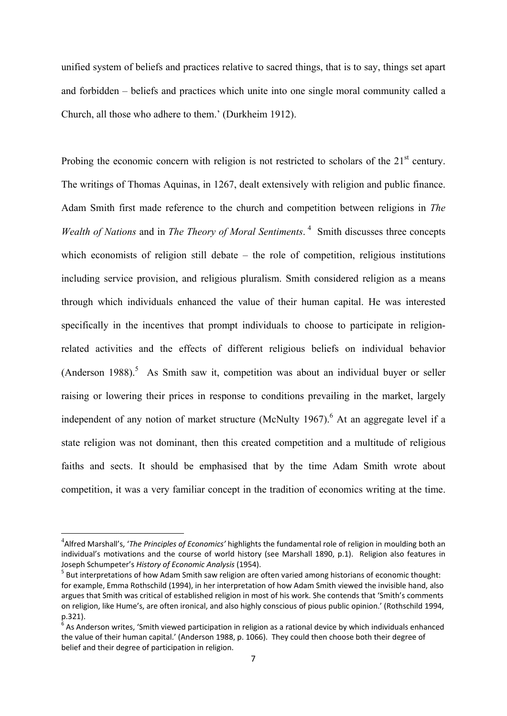unified system of beliefs and practices relative to sacred things, that is to say, things set apart and forbidden – beliefs and practices which unite into one single moral community called a Church, all those who adhere to them.' (Durkheim 1912).

Probing the economic concern with religion is not restricted to scholars of the  $21<sup>st</sup>$  century. The writings of Thomas Aquinas, in 1267, dealt extensively with religion and public finance. Adam Smith first made reference to the church and competition between religions in *The Wealth of Nations* and in *The Theory of Moral Sentiments*.<sup>4</sup> Smith discusses three concepts which economists of religion still debate – the role of competition, religious institutions including service provision, and religious pluralism. Smith considered religion as a means through which individuals enhanced the value of their human capital. He was interested specifically in the incentives that prompt individuals to choose to participate in religionrelated activities and the effects of different religious beliefs on individual behavior  $(Anderson 1988).$ <sup>5</sup> As Smith saw it, competition was about an individual buyer or seller raising or lowering their prices in response to conditions prevailing in the market, largely independent of any notion of market structure (McNulty 1967).  $6$  At an aggregate level if a state religion was not dominant, then this created competition and a multitude of religious faiths and sects. It should be emphasised that by the time Adam Smith wrote about competition, it was a very familiar concept in the tradition of economics writing at the time.

<sup>4</sup> Alfred Marshall's, '*The Principles of Economics'* highlights the fundamental role of religion in moulding both an individual's motivations and the course of world history (see Marshall 1890, p.1). Religion also features in Joseph Schumpeter's *History of Economic Analysis* (1954).<br><sup>5</sup> But interpretations of how Adam Smith saw religion are often varied among historians of economic thought:

for example, Emma Rothschild (1994), in her interpretation of how Adam Smith viewed the invisible hand, also argues that Smith was critical of established religion in most of his work. She contends that 'Smith's comments on religion, like Hume's, are often ironical, and also highly conscious of pious public opinion.' (Rothschild 1994, p.321).

 $6$  As Anderson writes, 'Smith viewed participation in religion as a rational device by which individuals enhanced the value of their human capital.' (Anderson 1988, p. 1066). They could then choose both their degree of belief and their degree of participation in religion.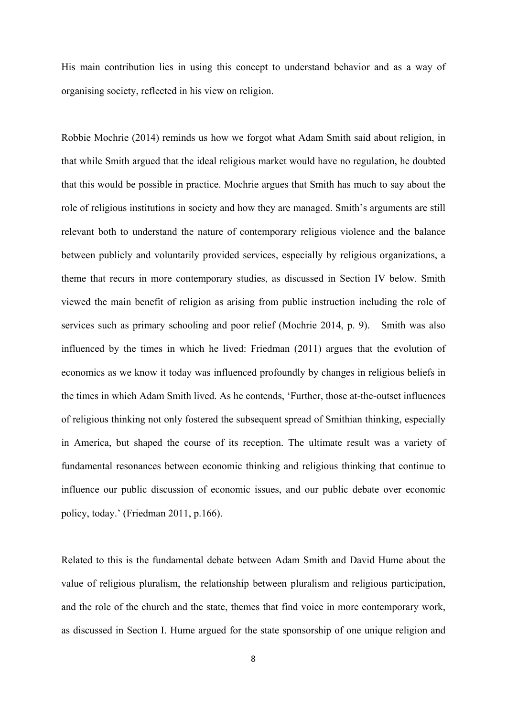His main contribution lies in using this concept to understand behavior and as a way of organising society, reflected in his view on religion.

Robbie Mochrie (2014) reminds us how we forgot what Adam Smith said about religion, in that while Smith argued that the ideal religious market would have no regulation, he doubted that this would be possible in practice. Mochrie argues that Smith has much to say about the role of religious institutions in society and how they are managed. Smith's arguments are still relevant both to understand the nature of contemporary religious violence and the balance between publicly and voluntarily provided services, especially by religious organizations, a theme that recurs in more contemporary studies, as discussed in Section IV below. Smith viewed the main benefit of religion as arising from public instruction including the role of services such as primary schooling and poor relief (Mochrie 2014, p. 9). Smith was also influenced by the times in which he lived: Friedman (2011) argues that the evolution of economics as we know it today was influenced profoundly by changes in religious beliefs in the times in which Adam Smith lived. As he contends, 'Further, those at-the-outset influences of religious thinking not only fostered the subsequent spread of Smithian thinking, especially in America, but shaped the course of its reception. The ultimate result was a variety of fundamental resonances between economic thinking and religious thinking that continue to influence our public discussion of economic issues, and our public debate over economic policy, today.' (Friedman 2011, p.166).

Related to this is the fundamental debate between Adam Smith and David Hume about the value of religious pluralism, the relationship between pluralism and religious participation, and the role of the church and the state, themes that find voice in more contemporary work, as discussed in Section I. Hume argued for the state sponsorship of one unique religion and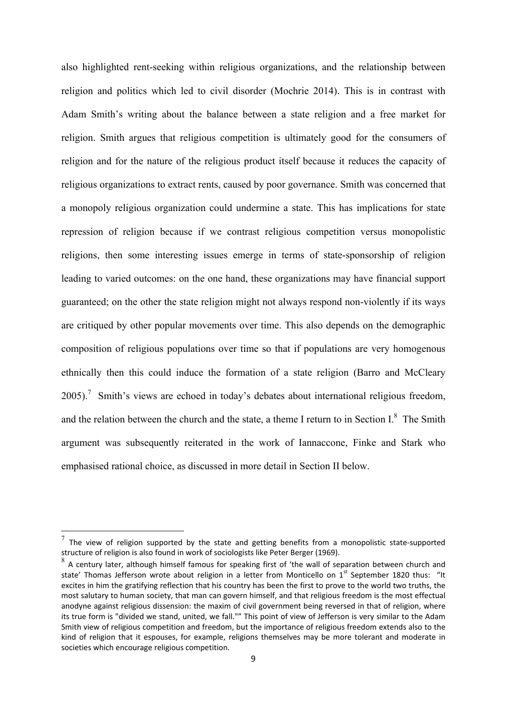also highlighted rent-seeking within religious organizations, and the relationship between religion and politics which led to civil disorder (Mochrie 2014). This is in contrast with Adam Smith's writing about the balance between a state religion and a free market for religion. Smith argues that religious competition is ultimately good for the consumers of religion and for the nature of the religious product itself because it reduces the capacity of religious organizations to extract rents, caused by poor governance. Smith was concerned that a monopoly religious organization could undermine a state. This has implications for state repression of religion because if we contrast religious competition versus monopolistic religions, then some interesting issues emerge in terms of state-sponsorship of religion leading to varied outcomes: on the one hand, these organizations may have financial support guaranteed; on the other the state religion might not always respond non-violently if its ways are critiqued by other popular movements over time. This also depends on the demographic composition of religious populations over time so that if populations are very homogenous ethnically then this could induce the formation of a state religion (Barro and McCleary 2005).<sup>7</sup> Smith's views are echoed in today's debates about international religious freedom, and the relation between the church and the state, a theme I return to in Section I. $^8$  The Smith argument was subsequently reiterated in the work of Iannaccone, Finke and Stark who emphasised rational choice, as discussed in more detail in Section II below.

The view of religion supported by the state and getting benefits from a monopolistic state-supported structure of religion is also found in work of sociologists like Peter Berger (1969).

 $8<sup>8</sup>$  A century later, although himself famous for speaking first of 'the wall of separation between church and state' Thomas Jefferson wrote about religion in a letter from Monticello on 1<sup>st</sup> September 1820 thus: "It excites in him the gratifying reflection that his country has been the first to prove to the world two truths, the most salutary to human society, that man can govern himself, and that religious freedom is the most effectual anodyne against religious dissension: the maxim of civil government being reversed in that of religion, where its true form is "divided we stand, united, we fall."" This point of view of Jefferson is very similar to the Adam Smith view of religious competition and freedom, but the importance of religious freedom extends also to the kind of religion that it espouses, for example, religions themselves may be more tolerant and moderate in societies which encourage religious competition.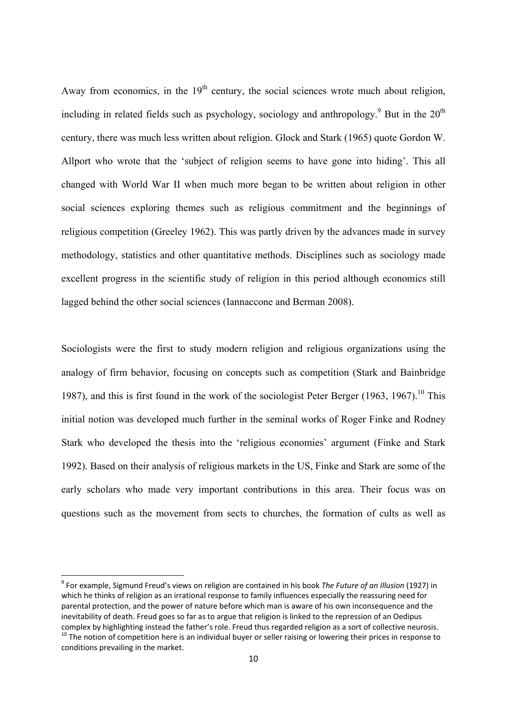Away from economics, in the  $19<sup>th</sup>$  century, the social sciences wrote much about religion, including in related fields such as psychology, sociology and anthropology.<sup>9</sup> But in the  $20<sup>th</sup>$ century, there was much less written about religion. Glock and Stark (1965) quote Gordon W. Allport who wrote that the 'subject of religion seems to have gone into hiding'. This all changed with World War II when much more began to be written about religion in other social sciences exploring themes such as religious commitment and the beginnings of religious competition (Greeley 1962). This was partly driven by the advances made in survey methodology, statistics and other quantitative methods. Disciplines such as sociology made excellent progress in the scientific study of religion in this period although economics still lagged behind the other social sciences (Iannaccone and Berman 2008).

Sociologists were the first to study modern religion and religious organizations using the analogy of firm behavior, focusing on concepts such as competition (Stark and Bainbridge 1987), and this is first found in the work of the sociologist Peter Berger (1963, 1967).<sup>10</sup> This initial notion was developed much further in the seminal works of Roger Finke and Rodney Stark who developed the thesis into the 'religious economies' argument (Finke and Stark 1992). Based on their analysis of religious markets in the US, Finke and Stark are some of the early scholars who made very important contributions in this area. Their focus was on questions such as the movement from sects to churches, the formation of cults as well as

<sup>9</sup> For example, Sigmund Freud's views on religion are contained in his book *The Future of an Illusion* (1927) in which he thinks of religion as an irrational response to family influences especially the reassuring need for parental protection, and the power of nature before which man is aware of his own inconsequence and the inevitability of death. Freud goes so far as to argue that religion is linked to the repression of an Oedipus complex by highlighting instead the father's role. Freud thus regarded religion as a sort of collective neurosis.<br><sup>10</sup> The notion of competition here is an individual buyer or seller raising or lowering their prices in res conditions prevailing in the market.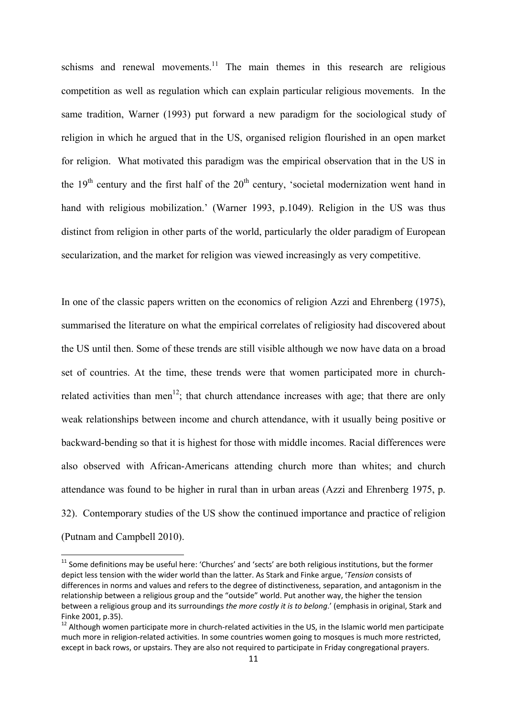schisms and renewal movements.<sup>11</sup> The main themes in this research are religious competition as well as regulation which can explain particular religious movements. In the same tradition, Warner (1993) put forward a new paradigm for the sociological study of religion in which he argued that in the US, organised religion flourished in an open market for religion. What motivated this paradigm was the empirical observation that in the US in the  $19<sup>th</sup>$  century and the first half of the  $20<sup>th</sup>$  century, 'societal modernization went hand in hand with religious mobilization.' (Warner 1993, p.1049). Religion in the US was thus distinct from religion in other parts of the world, particularly the older paradigm of European secularization, and the market for religion was viewed increasingly as very competitive.

In one of the classic papers written on the economics of religion Azzi and Ehrenberg (1975), summarised the literature on what the empirical correlates of religiosity had discovered about the US until then. Some of these trends are still visible although we now have data on a broad set of countries. At the time, these trends were that women participated more in churchrelated activities than men<sup>12</sup>; that church attendance increases with age; that there are only weak relationships between income and church attendance, with it usually being positive or backward-bending so that it is highest for those with middle incomes. Racial differences were also observed with African-Americans attending church more than whites; and church attendance was found to be higher in rural than in urban areas (Azzi and Ehrenberg 1975, p. 32). Contemporary studies of the US show the continued importance and practice of religion (Putnam and Campbell 2010).

 $11$  Some definitions may be useful here: 'Churches' and 'sects' are both religious institutions, but the former depict less tension with the wider world than the latter. As Stark and Finke argue, '*Tension* consists of differences in norms and values and refers to the degree of distinctiveness, separation, and antagonism in the relationship between a religious group and the "outside" world. Put another way, the higher the tension between a religious group and its surroundings *the more costly it is to belong*.' (emphasis in original, Stark and Finke 2001, p.35).<br><sup>12</sup> Although women participate more in church-related activities in the US, in the Islamic world men participate

much more in religion‐related activities. In some countries women going to mosques is much more restricted, except in back rows, or upstairs. They are also not required to participate in Friday congregational prayers.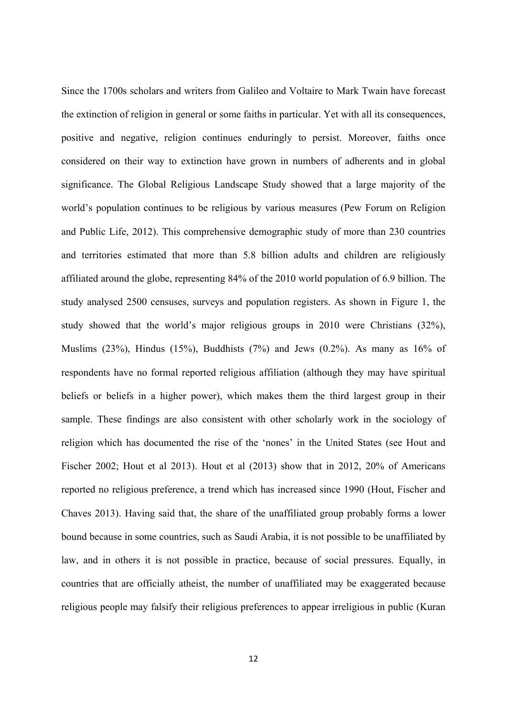Since the 1700s scholars and writers from Galileo and Voltaire to Mark Twain have forecast the extinction of religion in general or some faiths in particular. Yet with all its consequences, positive and negative, religion continues enduringly to persist. Moreover, faiths once considered on their way to extinction have grown in numbers of adherents and in global significance. The Global Religious Landscape Study showed that a large majority of the world's population continues to be religious by various measures (Pew Forum on Religion and Public Life, 2012). This comprehensive demographic study of more than 230 countries and territories estimated that more than 5.8 billion adults and children are religiously affiliated around the globe, representing 84% of the 2010 world population of 6.9 billion. The study analysed 2500 censuses, surveys and population registers. As shown in Figure 1, the study showed that the world's major religious groups in 2010 were Christians (32%), Muslims (23%), Hindus (15%), Buddhists (7%) and Jews (0.2%). As many as  $16\%$  of respondents have no formal reported religious affiliation (although they may have spiritual beliefs or beliefs in a higher power), which makes them the third largest group in their sample. These findings are also consistent with other scholarly work in the sociology of religion which has documented the rise of the 'nones' in the United States (see Hout and Fischer 2002; Hout et al 2013). Hout et al (2013) show that in 2012, 20% of Americans reported no religious preference, a trend which has increased since 1990 (Hout, Fischer and Chaves 2013). Having said that, the share of the unaffiliated group probably forms a lower bound because in some countries, such as Saudi Arabia, it is not possible to be unaffiliated by law, and in others it is not possible in practice, because of social pressures. Equally, in countries that are officially atheist, the number of unaffiliated may be exaggerated because religious people may falsify their religious preferences to appear irreligious in public (Kuran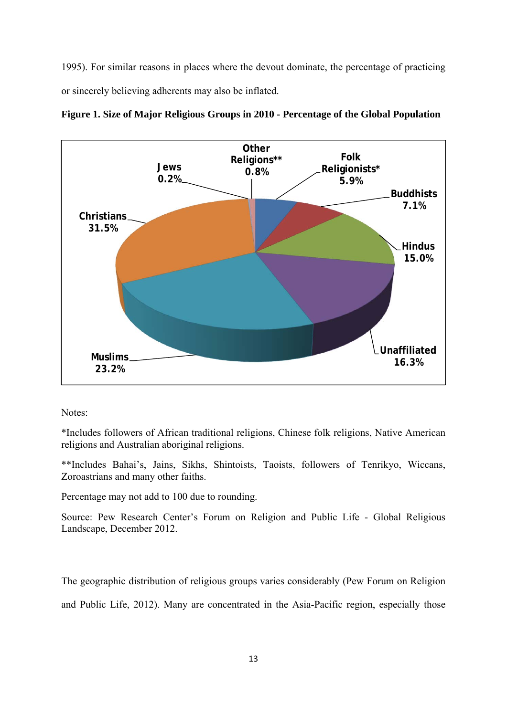1995). For similar reasons in places where the devout dominate, the percentage of practicing or sincerely believing adherents may also be inflated.



**Figure 1. Size of Major Religious Groups in 2010 - Percentage of the Global Population** 

Notes:

\*Includes followers of African traditional religions, Chinese folk religions, Native American religions and Australian aboriginal religions.

\*\*Includes Bahai's, Jains, Sikhs, Shintoists, Taoists, followers of Tenrikyo, Wiccans, Zoroastrians and many other faiths.

Percentage may not add to 100 due to rounding.

Source: Pew Research Center's Forum on Religion and Public Life - Global Religious Landscape, December 2012.

The geographic distribution of religious groups varies considerably (Pew Forum on Religion and Public Life, 2012). Many are concentrated in the Asia-Pacific region, especially those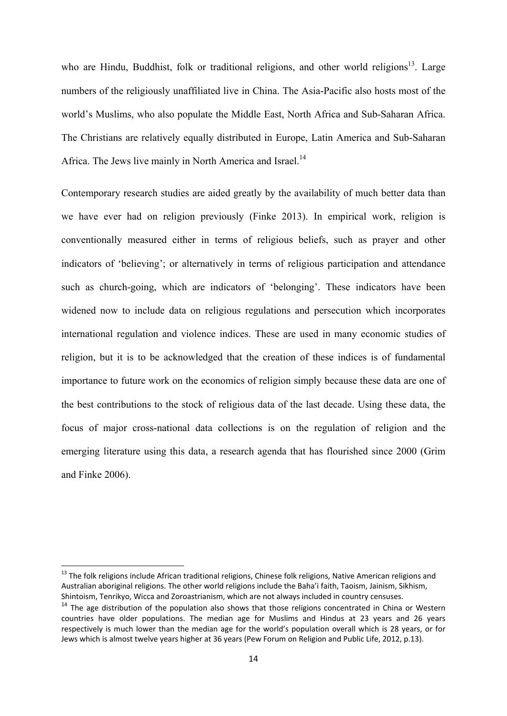who are Hindu, Buddhist, folk or traditional religions, and other world religions<sup>13</sup>. Large numbers of the religiously unaffiliated live in China. The Asia-Pacific also hosts most of the world's Muslims, who also populate the Middle East, North Africa and Sub-Saharan Africa. The Christians are relatively equally distributed in Europe, Latin America and Sub-Saharan Africa. The Jews live mainly in North America and Israel.<sup>14</sup>

Contemporary research studies are aided greatly by the availability of much better data than we have ever had on religion previously (Finke 2013). In empirical work, religion is conventionally measured either in terms of religious beliefs, such as prayer and other indicators of 'believing'; or alternatively in terms of religious participation and attendance such as church-going, which are indicators of 'belonging'. These indicators have been widened now to include data on religious regulations and persecution which incorporates international regulation and violence indices. These are used in many economic studies of religion, but it is to be acknowledged that the creation of these indices is of fundamental importance to future work on the economics of religion simply because these data are one of the best contributions to the stock of religious data of the last decade. Using these data, the focus of major cross-national data collections is on the regulation of religion and the emerging literature using this data, a research agenda that has flourished since 2000 (Grim and Finke 2006).

<sup>&</sup>lt;sup>13</sup> The folk religions include African traditional religions, Chinese folk religions, Native American religions and Australian aboriginal religions. The other world religions include the Baha'i faith, Taoism, Jainism, Sikhism, Shintoism, Tenrikyo, Wicca and Zoroastrianism, which are not always included in country censuses.

<sup>&</sup>lt;sup>14</sup> The age distribution of the population also shows that those religions concentrated in China or Western countries have older populations. The median age for Muslims and Hindus at 23 years and 26 years respectively is much lower than the median age for the world's population overall which is 28 years, or for Jews which is almost twelve years higher at 36 years (Pew Forum on Religion and Public Life, 2012, p.13).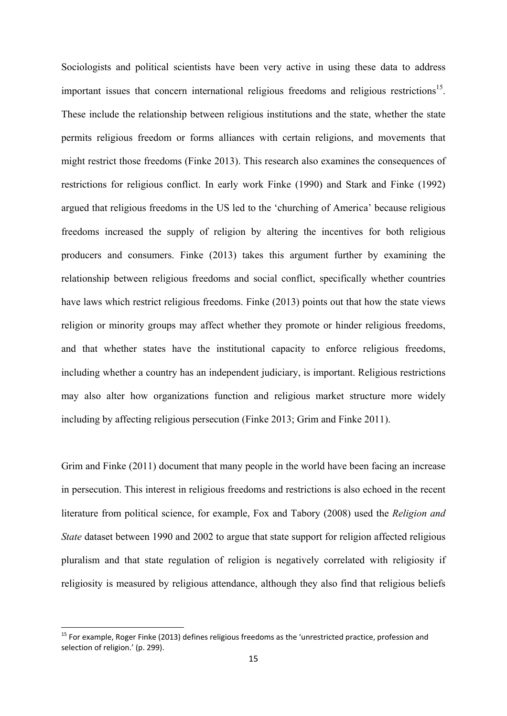Sociologists and political scientists have been very active in using these data to address important issues that concern international religious freedoms and religious restrictions<sup>15</sup>. These include the relationship between religious institutions and the state, whether the state permits religious freedom or forms alliances with certain religions, and movements that might restrict those freedoms (Finke 2013). This research also examines the consequences of restrictions for religious conflict. In early work Finke (1990) and Stark and Finke (1992) argued that religious freedoms in the US led to the 'churching of America' because religious freedoms increased the supply of religion by altering the incentives for both religious producers and consumers. Finke (2013) takes this argument further by examining the relationship between religious freedoms and social conflict, specifically whether countries have laws which restrict religious freedoms. Finke (2013) points out that how the state views religion or minority groups may affect whether they promote or hinder religious freedoms, and that whether states have the institutional capacity to enforce religious freedoms, including whether a country has an independent judiciary, is important. Religious restrictions may also alter how organizations function and religious market structure more widely including by affecting religious persecution (Finke 2013; Grim and Finke 2011).

Grim and Finke (2011) document that many people in the world have been facing an increase in persecution. This interest in religious freedoms and restrictions is also echoed in the recent literature from political science, for example, Fox and Tabory (2008) used the *Religion and State* dataset between 1990 and 2002 to argue that state support for religion affected religious pluralism and that state regulation of religion is negatively correlated with religiosity if religiosity is measured by religious attendance, although they also find that religious beliefs

<sup>&</sup>lt;sup>15</sup> For example, Roger Finke (2013) defines religious freedoms as the 'unrestricted practice, profession and selection of religion.' (p. 299).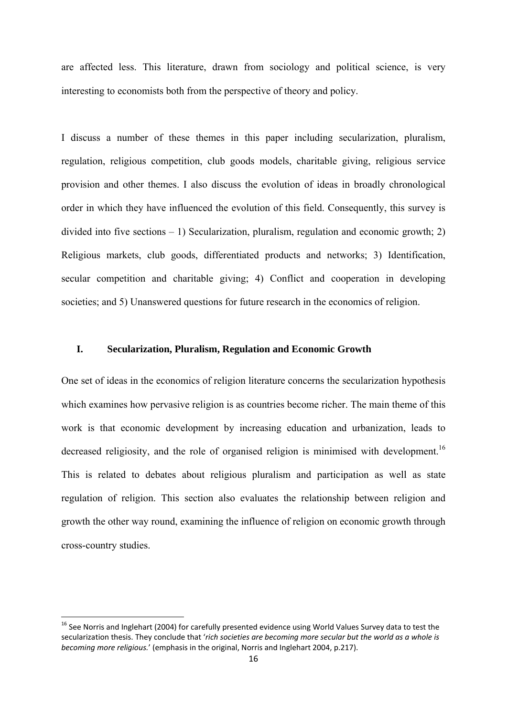are affected less. This literature, drawn from sociology and political science, is very interesting to economists both from the perspective of theory and policy.

I discuss a number of these themes in this paper including secularization, pluralism, regulation, religious competition, club goods models, charitable giving, religious service provision and other themes. I also discuss the evolution of ideas in broadly chronological order in which they have influenced the evolution of this field. Consequently, this survey is divided into five sections – 1) Secularization, pluralism, regulation and economic growth; 2) Religious markets, club goods, differentiated products and networks; 3) Identification, secular competition and charitable giving; 4) Conflict and cooperation in developing societies; and 5) Unanswered questions for future research in the economics of religion.

#### **I. Secularization, Pluralism, Regulation and Economic Growth**

One set of ideas in the economics of religion literature concerns the secularization hypothesis which examines how pervasive religion is as countries become richer. The main theme of this work is that economic development by increasing education and urbanization, leads to decreased religiosity, and the role of organised religion is minimised with development.<sup>16</sup> This is related to debates about religious pluralism and participation as well as state regulation of religion. This section also evaluates the relationship between religion and growth the other way round, examining the influence of religion on economic growth through cross-country studies.

<sup>&</sup>lt;sup>16</sup> See Norris and Inglehart (2004) for carefully presented evidence using World Values Survey data to test the secularization thesis. They conclude that '*rich societies are becoming more secular but the world as a whole is becoming more religious.*' (emphasis in the original, Norris and Inglehart 2004, p.217).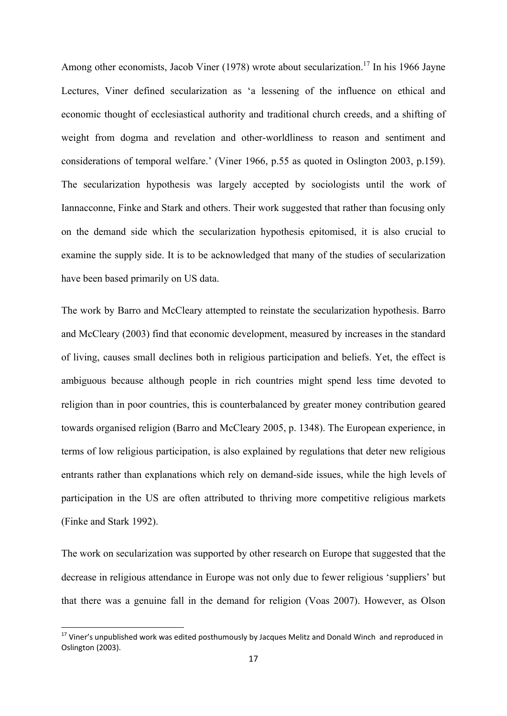Among other economists, Jacob Viner (1978) wrote about secularization.<sup>17</sup> In his 1966 Jayne Lectures, Viner defined secularization as 'a lessening of the influence on ethical and economic thought of ecclesiastical authority and traditional church creeds, and a shifting of weight from dogma and revelation and other-worldliness to reason and sentiment and considerations of temporal welfare.' (Viner 1966, p.55 as quoted in Oslington 2003, p.159). The secularization hypothesis was largely accepted by sociologists until the work of Iannacconne, Finke and Stark and others. Their work suggested that rather than focusing only on the demand side which the secularization hypothesis epitomised, it is also crucial to examine the supply side. It is to be acknowledged that many of the studies of secularization have been based primarily on US data.

The work by Barro and McCleary attempted to reinstate the secularization hypothesis. Barro and McCleary (2003) find that economic development, measured by increases in the standard of living, causes small declines both in religious participation and beliefs. Yet, the effect is ambiguous because although people in rich countries might spend less time devoted to religion than in poor countries, this is counterbalanced by greater money contribution geared towards organised religion (Barro and McCleary 2005, p. 1348). The European experience, in terms of low religious participation, is also explained by regulations that deter new religious entrants rather than explanations which rely on demand-side issues, while the high levels of participation in the US are often attributed to thriving more competitive religious markets (Finke and Stark 1992).

The work on secularization was supported by other research on Europe that suggested that the decrease in religious attendance in Europe was not only due to fewer religious 'suppliers' but that there was a genuine fall in the demand for religion (Voas 2007). However, as Olson

<sup>&</sup>lt;sup>17</sup> Viner's unpublished work was edited posthumously by Jacques Melitz and Donald Winch and reproduced in Oslington (2003).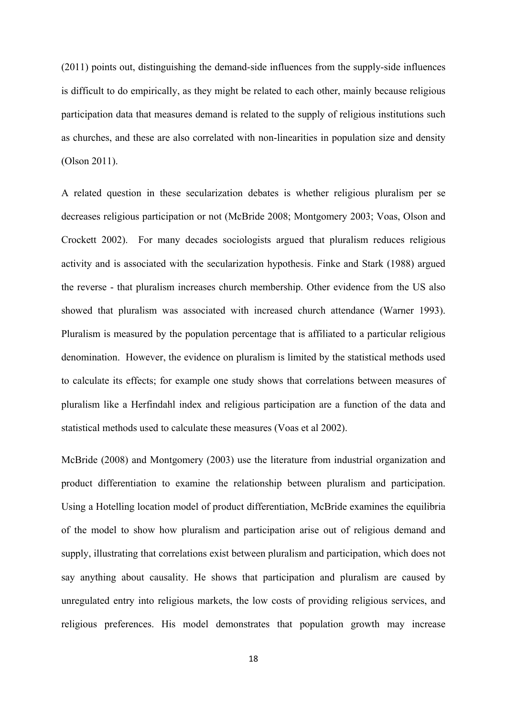(2011) points out, distinguishing the demand-side influences from the supply-side influences is difficult to do empirically, as they might be related to each other, mainly because religious participation data that measures demand is related to the supply of religious institutions such as churches, and these are also correlated with non-linearities in population size and density (Olson 2011).

A related question in these secularization debates is whether religious pluralism per se decreases religious participation or not (McBride 2008; Montgomery 2003; Voas, Olson and Crockett 2002). For many decades sociologists argued that pluralism reduces religious activity and is associated with the secularization hypothesis. Finke and Stark (1988) argued the reverse - that pluralism increases church membership. Other evidence from the US also showed that pluralism was associated with increased church attendance (Warner 1993). Pluralism is measured by the population percentage that is affiliated to a particular religious denomination. However, the evidence on pluralism is limited by the statistical methods used to calculate its effects; for example one study shows that correlations between measures of pluralism like a Herfindahl index and religious participation are a function of the data and statistical methods used to calculate these measures (Voas et al 2002).

McBride (2008) and Montgomery (2003) use the literature from industrial organization and product differentiation to examine the relationship between pluralism and participation. Using a Hotelling location model of product differentiation, McBride examines the equilibria of the model to show how pluralism and participation arise out of religious demand and supply, illustrating that correlations exist between pluralism and participation, which does not say anything about causality. He shows that participation and pluralism are caused by unregulated entry into religious markets, the low costs of providing religious services, and religious preferences. His model demonstrates that population growth may increase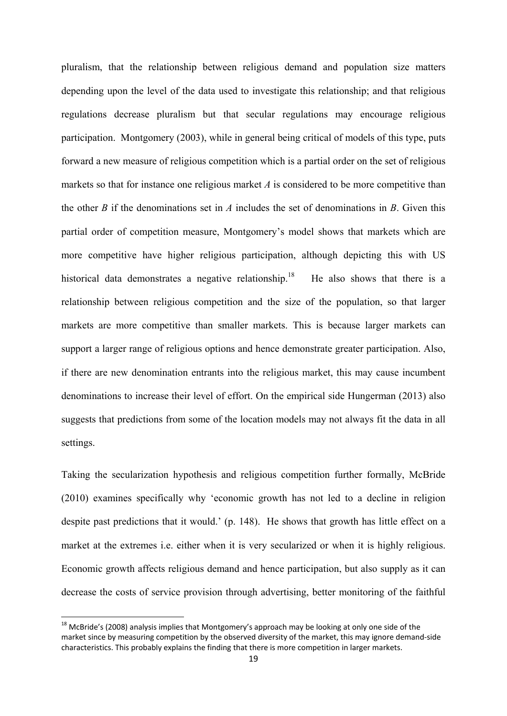pluralism, that the relationship between religious demand and population size matters depending upon the level of the data used to investigate this relationship; and that religious regulations decrease pluralism but that secular regulations may encourage religious participation. Montgomery (2003), while in general being critical of models of this type, puts forward a new measure of religious competition which is a partial order on the set of religious markets so that for instance one religious market *A* is considered to be more competitive than the other *B* if the denominations set in *A* includes the set of denominations in *B*. Given this partial order of competition measure, Montgomery's model shows that markets which are more competitive have higher religious participation, although depicting this with US historical data demonstrates a negative relationship.<sup>18</sup> He also shows that there is a relationship between religious competition and the size of the population, so that larger markets are more competitive than smaller markets. This is because larger markets can support a larger range of religious options and hence demonstrate greater participation. Also, if there are new denomination entrants into the religious market, this may cause incumbent denominations to increase their level of effort. On the empirical side Hungerman (2013) also suggests that predictions from some of the location models may not always fit the data in all settings.

Taking the secularization hypothesis and religious competition further formally, McBride (2010) examines specifically why 'economic growth has not led to a decline in religion despite past predictions that it would.' (p. 148). He shows that growth has little effect on a market at the extremes i.e. either when it is very secularized or when it is highly religious. Economic growth affects religious demand and hence participation, but also supply as it can decrease the costs of service provision through advertising, better monitoring of the faithful

 $^{18}$  McBride's (2008) analysis implies that Montgomery's approach may be looking at only one side of the market since by measuring competition by the observed diversity of the market, this may ignore demand‐side characteristics. This probably explains the finding that there is more competition in larger markets.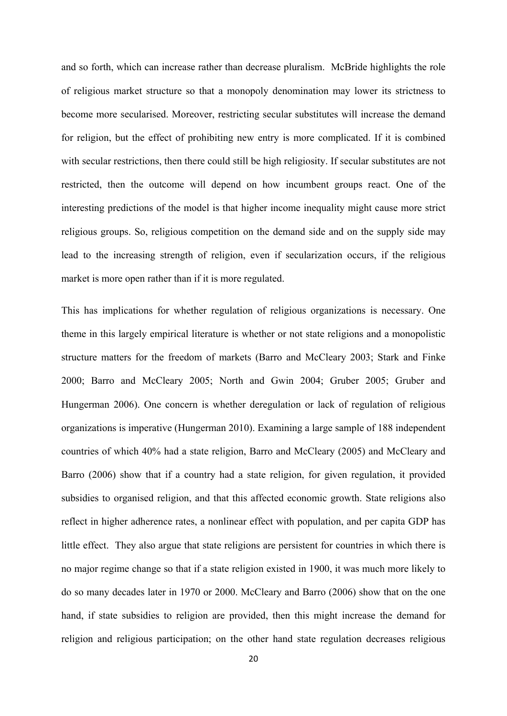and so forth, which can increase rather than decrease pluralism. McBride highlights the role of religious market structure so that a monopoly denomination may lower its strictness to become more secularised. Moreover, restricting secular substitutes will increase the demand for religion, but the effect of prohibiting new entry is more complicated. If it is combined with secular restrictions, then there could still be high religiosity. If secular substitutes are not restricted, then the outcome will depend on how incumbent groups react. One of the interesting predictions of the model is that higher income inequality might cause more strict religious groups. So, religious competition on the demand side and on the supply side may lead to the increasing strength of religion, even if secularization occurs, if the religious market is more open rather than if it is more regulated.

This has implications for whether regulation of religious organizations is necessary. One theme in this largely empirical literature is whether or not state religions and a monopolistic structure matters for the freedom of markets (Barro and McCleary 2003; Stark and Finke 2000; Barro and McCleary 2005; North and Gwin 2004; Gruber 2005; Gruber and Hungerman 2006). One concern is whether deregulation or lack of regulation of religious organizations is imperative (Hungerman 2010). Examining a large sample of 188 independent countries of which 40% had a state religion, Barro and McCleary (2005) and McCleary and Barro (2006) show that if a country had a state religion, for given regulation, it provided subsidies to organised religion, and that this affected economic growth. State religions also reflect in higher adherence rates, a nonlinear effect with population, and per capita GDP has little effect. They also argue that state religions are persistent for countries in which there is no major regime change so that if a state religion existed in 1900, it was much more likely to do so many decades later in 1970 or 2000. McCleary and Barro (2006) show that on the one hand, if state subsidies to religion are provided, then this might increase the demand for religion and religious participation; on the other hand state regulation decreases religious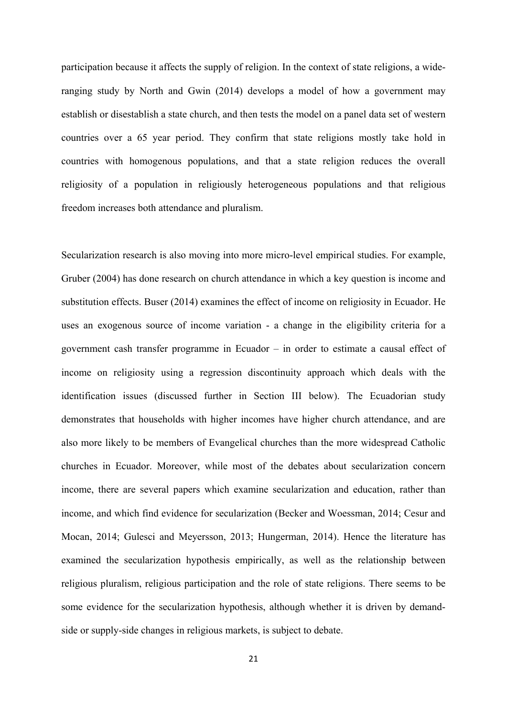participation because it affects the supply of religion. In the context of state religions, a wideranging study by North and Gwin (2014) develops a model of how a government may establish or disestablish a state church, and then tests the model on a panel data set of western countries over a 65 year period. They confirm that state religions mostly take hold in countries with homogenous populations, and that a state religion reduces the overall religiosity of a population in religiously heterogeneous populations and that religious freedom increases both attendance and pluralism.

Secularization research is also moving into more micro-level empirical studies. For example, Gruber (2004) has done research on church attendance in which a key question is income and substitution effects. Buser (2014) examines the effect of income on religiosity in Ecuador. He uses an exogenous source of income variation - a change in the eligibility criteria for a government cash transfer programme in Ecuador – in order to estimate a causal effect of income on religiosity using a regression discontinuity approach which deals with the identification issues (discussed further in Section III below). The Ecuadorian study demonstrates that households with higher incomes have higher church attendance, and are also more likely to be members of Evangelical churches than the more widespread Catholic churches in Ecuador. Moreover, while most of the debates about secularization concern income, there are several papers which examine secularization and education, rather than income, and which find evidence for secularization (Becker and Woessman, 2014; Cesur and Mocan, 2014; Gulesci and Meyersson, 2013; Hungerman, 2014). Hence the literature has examined the secularization hypothesis empirically, as well as the relationship between religious pluralism, religious participation and the role of state religions. There seems to be some evidence for the secularization hypothesis, although whether it is driven by demandside or supply-side changes in religious markets, is subject to debate.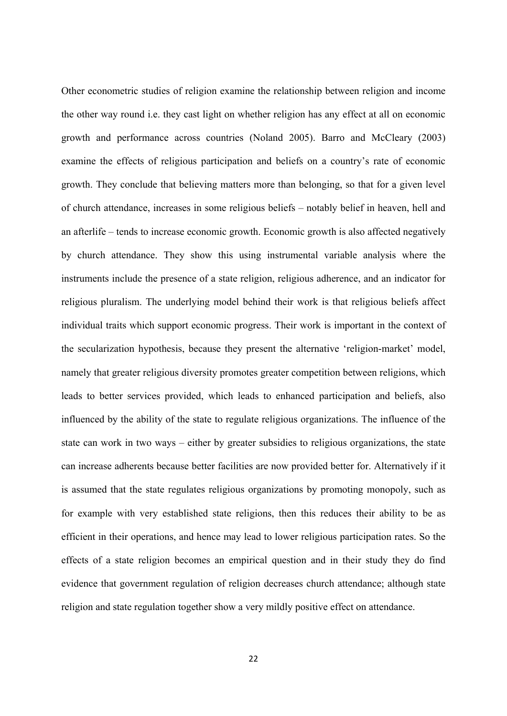Other econometric studies of religion examine the relationship between religion and income the other way round i.e. they cast light on whether religion has any effect at all on economic growth and performance across countries (Noland 2005). Barro and McCleary (2003) examine the effects of religious participation and beliefs on a country's rate of economic growth. They conclude that believing matters more than belonging, so that for a given level of church attendance, increases in some religious beliefs – notably belief in heaven, hell and an afterlife – tends to increase economic growth. Economic growth is also affected negatively by church attendance. They show this using instrumental variable analysis where the instruments include the presence of a state religion, religious adherence, and an indicator for religious pluralism. The underlying model behind their work is that religious beliefs affect individual traits which support economic progress. Their work is important in the context of the secularization hypothesis, because they present the alternative 'religion-market' model, namely that greater religious diversity promotes greater competition between religions, which leads to better services provided, which leads to enhanced participation and beliefs, also influenced by the ability of the state to regulate religious organizations. The influence of the state can work in two ways – either by greater subsidies to religious organizations, the state can increase adherents because better facilities are now provided better for. Alternatively if it is assumed that the state regulates religious organizations by promoting monopoly, such as for example with very established state religions, then this reduces their ability to be as efficient in their operations, and hence may lead to lower religious participation rates. So the effects of a state religion becomes an empirical question and in their study they do find evidence that government regulation of religion decreases church attendance; although state religion and state regulation together show a very mildly positive effect on attendance.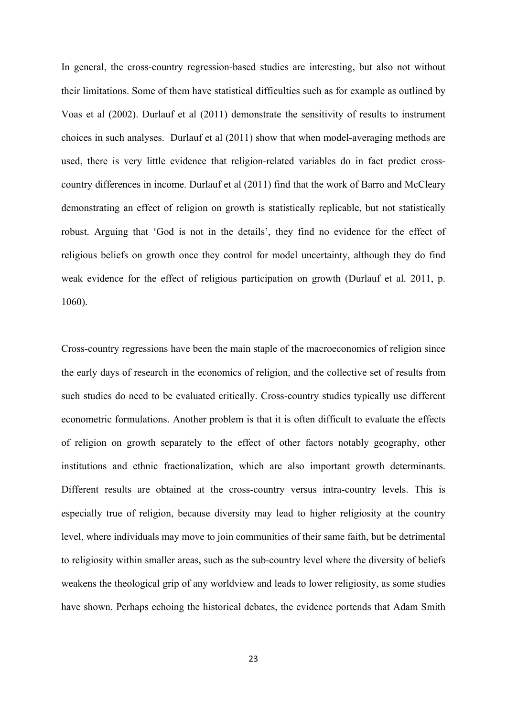In general, the cross-country regression-based studies are interesting, but also not without their limitations. Some of them have statistical difficulties such as for example as outlined by Voas et al (2002). Durlauf et al (2011) demonstrate the sensitivity of results to instrument choices in such analyses. Durlauf et al (2011) show that when model-averaging methods are used, there is very little evidence that religion-related variables do in fact predict crosscountry differences in income. Durlauf et al (2011) find that the work of Barro and McCleary demonstrating an effect of religion on growth is statistically replicable, but not statistically robust. Arguing that 'God is not in the details', they find no evidence for the effect of religious beliefs on growth once they control for model uncertainty, although they do find weak evidence for the effect of religious participation on growth (Durlauf et al. 2011, p. 1060).

Cross-country regressions have been the main staple of the macroeconomics of religion since the early days of research in the economics of religion, and the collective set of results from such studies do need to be evaluated critically. Cross-country studies typically use different econometric formulations. Another problem is that it is often difficult to evaluate the effects of religion on growth separately to the effect of other factors notably geography, other institutions and ethnic fractionalization, which are also important growth determinants. Different results are obtained at the cross-country versus intra-country levels. This is especially true of religion, because diversity may lead to higher religiosity at the country level, where individuals may move to join communities of their same faith, but be detrimental to religiosity within smaller areas, such as the sub-country level where the diversity of beliefs weakens the theological grip of any worldview and leads to lower religiosity, as some studies have shown. Perhaps echoing the historical debates, the evidence portends that Adam Smith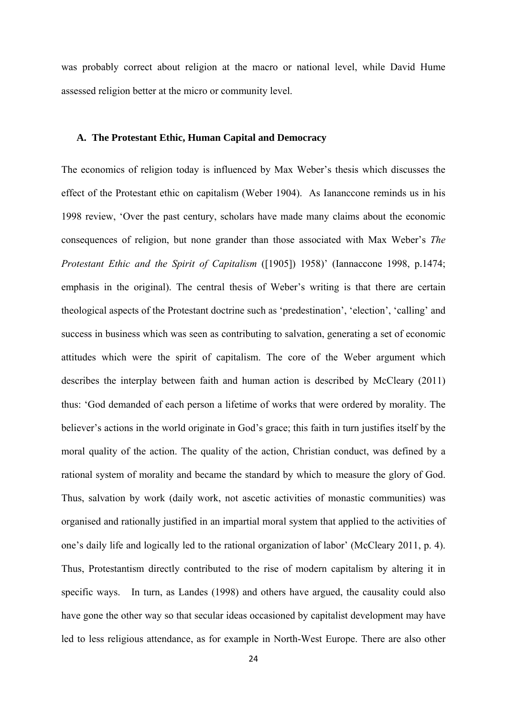was probably correct about religion at the macro or national level, while David Hume assessed religion better at the micro or community level.

#### **A. The Protestant Ethic, Human Capital and Democracy**

The economics of religion today is influenced by Max Weber's thesis which discusses the effect of the Protestant ethic on capitalism (Weber 1904). As Iananccone reminds us in his 1998 review, 'Over the past century, scholars have made many claims about the economic consequences of religion, but none grander than those associated with Max Weber's *The Protestant Ethic and the Spirit of Capitalism* ([1905]) 1958)' (Iannaccone 1998, p.1474; emphasis in the original). The central thesis of Weber's writing is that there are certain theological aspects of the Protestant doctrine such as 'predestination', 'election', 'calling' and success in business which was seen as contributing to salvation, generating a set of economic attitudes which were the spirit of capitalism. The core of the Weber argument which describes the interplay between faith and human action is described by McCleary (2011) thus: 'God demanded of each person a lifetime of works that were ordered by morality. The believer's actions in the world originate in God's grace; this faith in turn justifies itself by the moral quality of the action. The quality of the action, Christian conduct, was defined by a rational system of morality and became the standard by which to measure the glory of God. Thus, salvation by work (daily work, not ascetic activities of monastic communities) was organised and rationally justified in an impartial moral system that applied to the activities of one's daily life and logically led to the rational organization of labor' (McCleary 2011, p. 4). Thus, Protestantism directly contributed to the rise of modern capitalism by altering it in specific ways. In turn, as Landes (1998) and others have argued, the causality could also have gone the other way so that secular ideas occasioned by capitalist development may have led to less religious attendance, as for example in North-West Europe. There are also other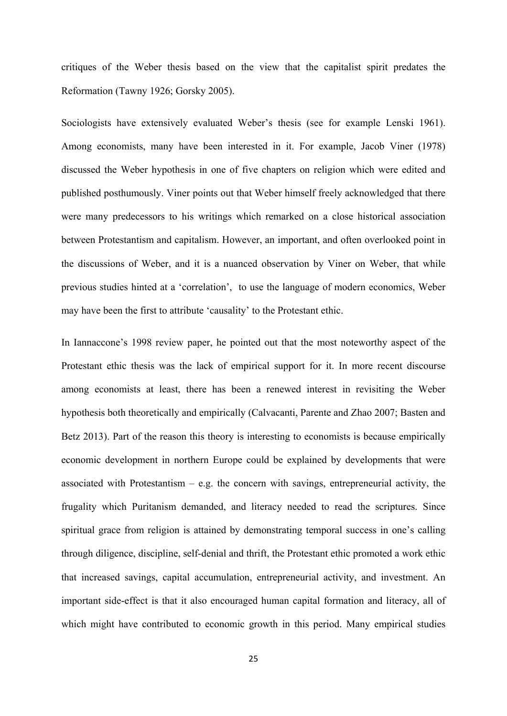critiques of the Weber thesis based on the view that the capitalist spirit predates the Reformation (Tawny 1926; Gorsky 2005).

Sociologists have extensively evaluated Weber's thesis (see for example Lenski 1961). Among economists, many have been interested in it. For example, Jacob Viner (1978) discussed the Weber hypothesis in one of five chapters on religion which were edited and published posthumously. Viner points out that Weber himself freely acknowledged that there were many predecessors to his writings which remarked on a close historical association between Protestantism and capitalism. However, an important, and often overlooked point in the discussions of Weber, and it is a nuanced observation by Viner on Weber, that while previous studies hinted at a 'correlation', to use the language of modern economics, Weber may have been the first to attribute 'causality' to the Protestant ethic.

In Iannaccone's 1998 review paper, he pointed out that the most noteworthy aspect of the Protestant ethic thesis was the lack of empirical support for it. In more recent discourse among economists at least, there has been a renewed interest in revisiting the Weber hypothesis both theoretically and empirically (Calvacanti, Parente and Zhao 2007; Basten and Betz 2013). Part of the reason this theory is interesting to economists is because empirically economic development in northern Europe could be explained by developments that were associated with Protestantism – e.g. the concern with savings, entrepreneurial activity, the frugality which Puritanism demanded, and literacy needed to read the scriptures. Since spiritual grace from religion is attained by demonstrating temporal success in one's calling through diligence, discipline, self-denial and thrift, the Protestant ethic promoted a work ethic that increased savings, capital accumulation, entrepreneurial activity, and investment. An important side-effect is that it also encouraged human capital formation and literacy, all of which might have contributed to economic growth in this period. Many empirical studies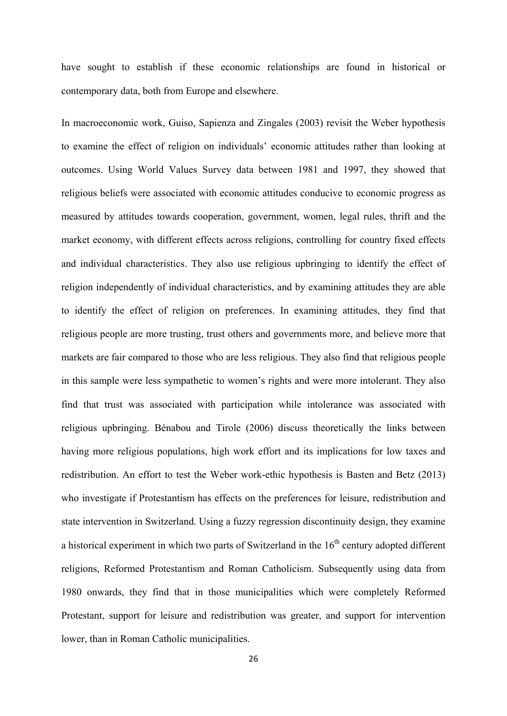have sought to establish if these economic relationships are found in historical or contemporary data, both from Europe and elsewhere.

In macroeconomic work, Guiso, Sapienza and Zingales (2003) revisit the Weber hypothesis to examine the effect of religion on individuals' economic attitudes rather than looking at outcomes. Using World Values Survey data between 1981 and 1997, they showed that religious beliefs were associated with economic attitudes conducive to economic progress as measured by attitudes towards cooperation, government, women, legal rules, thrift and the market economy, with different effects across religions, controlling for country fixed effects and individual characteristics. They also use religious upbringing to identify the effect of religion independently of individual characteristics, and by examining attitudes they are able to identify the effect of religion on preferences. In examining attitudes, they find that religious people are more trusting, trust others and governments more, and believe more that markets are fair compared to those who are less religious. They also find that religious people in this sample were less sympathetic to women's rights and were more intolerant. They also find that trust was associated with participation while intolerance was associated with religious upbringing. Bénabou and Tirole (2006) discuss theoretically the links between having more religious populations, high work effort and its implications for low taxes and redistribution. An effort to test the Weber work-ethic hypothesis is Basten and Betz (2013) who investigate if Protestantism has effects on the preferences for leisure, redistribution and state intervention in Switzerland. Using a fuzzy regression discontinuity design, they examine a historical experiment in which two parts of Switzerland in the  $16<sup>th</sup>$  century adopted different religions, Reformed Protestantism and Roman Catholicism. Subsequently using data from 1980 onwards, they find that in those municipalities which were completely Reformed Protestant, support for leisure and redistribution was greater, and support for intervention lower, than in Roman Catholic municipalities.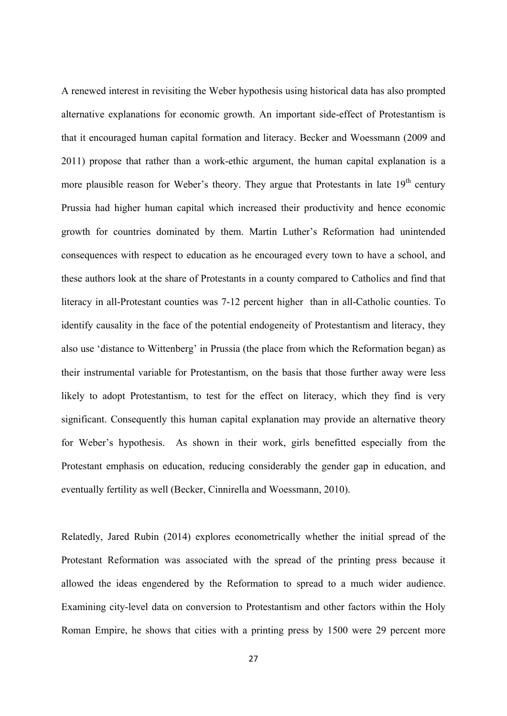A renewed interest in revisiting the Weber hypothesis using historical data has also prompted alternative explanations for economic growth. An important side-effect of Protestantism is that it encouraged human capital formation and literacy. Becker and Woessmann (2009 and 2011) propose that rather than a work-ethic argument, the human capital explanation is a more plausible reason for Weber's theory. They argue that Protestants in late  $19<sup>th</sup>$  century Prussia had higher human capital which increased their productivity and hence economic growth for countries dominated by them. Martin Luther's Reformation had unintended consequences with respect to education as he encouraged every town to have a school, and these authors look at the share of Protestants in a county compared to Catholics and find that literacy in all-Protestant counties was 7-12 percent higher than in all-Catholic counties. To identify causality in the face of the potential endogeneity of Protestantism and literacy, they also use 'distance to Wittenberg' in Prussia (the place from which the Reformation began) as their instrumental variable for Protestantism, on the basis that those further away were less likely to adopt Protestantism, to test for the effect on literacy, which they find is very significant. Consequently this human capital explanation may provide an alternative theory for Weber's hypothesis. As shown in their work, girls benefitted especially from the Protestant emphasis on education, reducing considerably the gender gap in education, and eventually fertility as well (Becker, Cinnirella and Woessmann, 2010).

Relatedly, Jared Rubin (2014) explores econometrically whether the initial spread of the Protestant Reformation was associated with the spread of the printing press because it allowed the ideas engendered by the Reformation to spread to a much wider audience. Examining city-level data on conversion to Protestantism and other factors within the Holy Roman Empire, he shows that cities with a printing press by 1500 were 29 percent more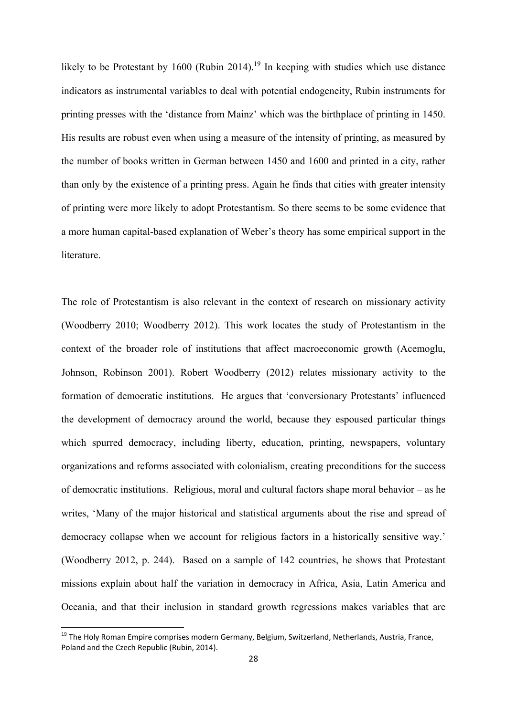likely to be Protestant by 1600 (Rubin 2014).<sup>19</sup> In keeping with studies which use distance indicators as instrumental variables to deal with potential endogeneity, Rubin instruments for printing presses with the 'distance from Mainz' which was the birthplace of printing in 1450. His results are robust even when using a measure of the intensity of printing, as measured by the number of books written in German between 1450 and 1600 and printed in a city, rather than only by the existence of a printing press. Again he finds that cities with greater intensity of printing were more likely to adopt Protestantism. So there seems to be some evidence that a more human capital-based explanation of Weber's theory has some empirical support in the literature.

The role of Protestantism is also relevant in the context of research on missionary activity (Woodberry 2010; Woodberry 2012). This work locates the study of Protestantism in the context of the broader role of institutions that affect macroeconomic growth (Acemoglu, Johnson, Robinson 2001). Robert Woodberry (2012) relates missionary activity to the formation of democratic institutions. He argues that 'conversionary Protestants' influenced the development of democracy around the world, because they espoused particular things which spurred democracy, including liberty, education, printing, newspapers, voluntary organizations and reforms associated with colonialism, creating preconditions for the success of democratic institutions. Religious, moral and cultural factors shape moral behavior – as he writes, 'Many of the major historical and statistical arguments about the rise and spread of democracy collapse when we account for religious factors in a historically sensitive way.' (Woodberry 2012, p. 244). Based on a sample of 142 countries, he shows that Protestant missions explain about half the variation in democracy in Africa, Asia, Latin America and Oceania, and that their inclusion in standard growth regressions makes variables that are

<sup>&</sup>lt;sup>19</sup> The Holy Roman Empire comprises modern Germany, Belgium, Switzerland, Netherlands, Austria, France, Poland and the Czech Republic (Rubin, 2014).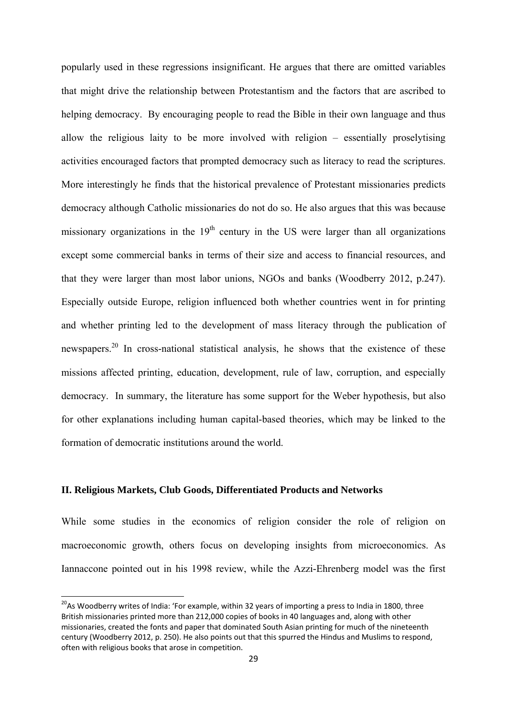popularly used in these regressions insignificant. He argues that there are omitted variables that might drive the relationship between Protestantism and the factors that are ascribed to helping democracy. By encouraging people to read the Bible in their own language and thus allow the religious laity to be more involved with religion – essentially proselytising activities encouraged factors that prompted democracy such as literacy to read the scriptures. More interestingly he finds that the historical prevalence of Protestant missionaries predicts democracy although Catholic missionaries do not do so. He also argues that this was because missionary organizations in the  $19<sup>th</sup>$  century in the US were larger than all organizations except some commercial banks in terms of their size and access to financial resources, and that they were larger than most labor unions, NGOs and banks (Woodberry 2012, p.247). Especially outside Europe, religion influenced both whether countries went in for printing and whether printing led to the development of mass literacy through the publication of newspapers.<sup>20</sup> In cross-national statistical analysis, he shows that the existence of these missions affected printing, education, development, rule of law, corruption, and especially democracy. In summary, the literature has some support for the Weber hypothesis, but also for other explanations including human capital-based theories, which may be linked to the formation of democratic institutions around the world.

#### **II. Religious Markets, Club Goods, Differentiated Products and Networks**

While some studies in the economics of religion consider the role of religion on macroeconomic growth, others focus on developing insights from microeconomics. As Iannaccone pointed out in his 1998 review, while the Azzi-Ehrenberg model was the first

<sup>&</sup>lt;sup>20</sup>As Woodberry writes of India: 'For example, within 32 years of importing a press to India in 1800, three British missionaries printed more than 212,000 copies of books in 40 languages and, along with other missionaries, created the fonts and paper that dominated South Asian printing for much of the nineteenth century (Woodberry 2012, p. 250). He also points out that this spurred the Hindus and Muslims to respond, often with religious books that arose in competition.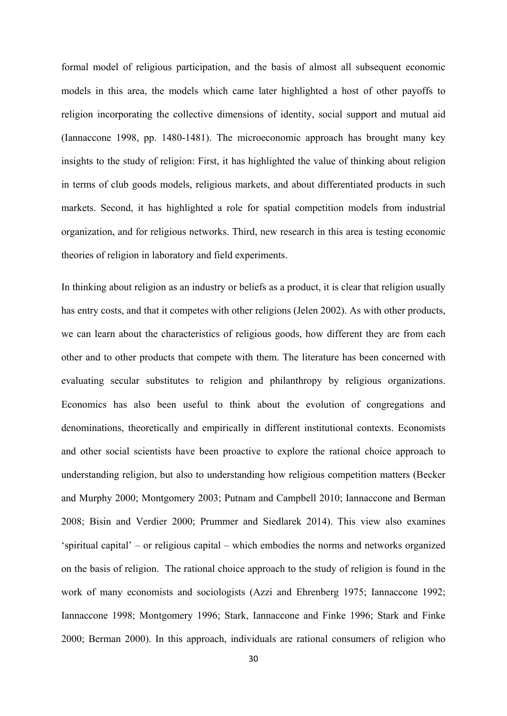formal model of religious participation, and the basis of almost all subsequent economic models in this area, the models which came later highlighted a host of other payoffs to religion incorporating the collective dimensions of identity, social support and mutual aid (Iannaccone 1998, pp. 1480-1481). The microeconomic approach has brought many key insights to the study of religion: First, it has highlighted the value of thinking about religion in terms of club goods models, religious markets, and about differentiated products in such markets. Second, it has highlighted a role for spatial competition models from industrial organization, and for religious networks. Third, new research in this area is testing economic theories of religion in laboratory and field experiments.

In thinking about religion as an industry or beliefs as a product, it is clear that religion usually has entry costs, and that it competes with other religions (Jelen 2002). As with other products, we can learn about the characteristics of religious goods, how different they are from each other and to other products that compete with them. The literature has been concerned with evaluating secular substitutes to religion and philanthropy by religious organizations. Economics has also been useful to think about the evolution of congregations and denominations, theoretically and empirically in different institutional contexts. Economists and other social scientists have been proactive to explore the rational choice approach to understanding religion, but also to understanding how religious competition matters (Becker and Murphy 2000; Montgomery 2003; Putnam and Campbell 2010; Iannaccone and Berman 2008; Bisin and Verdier 2000; Prummer and Siedlarek 2014). This view also examines 'spiritual capital' – or religious capital – which embodies the norms and networks organized on the basis of religion. The rational choice approach to the study of religion is found in the work of many economists and sociologists (Azzi and Ehrenberg 1975; Iannaccone 1992; Iannaccone 1998; Montgomery 1996; Stark, Iannaccone and Finke 1996; Stark and Finke 2000; Berman 2000). In this approach, individuals are rational consumers of religion who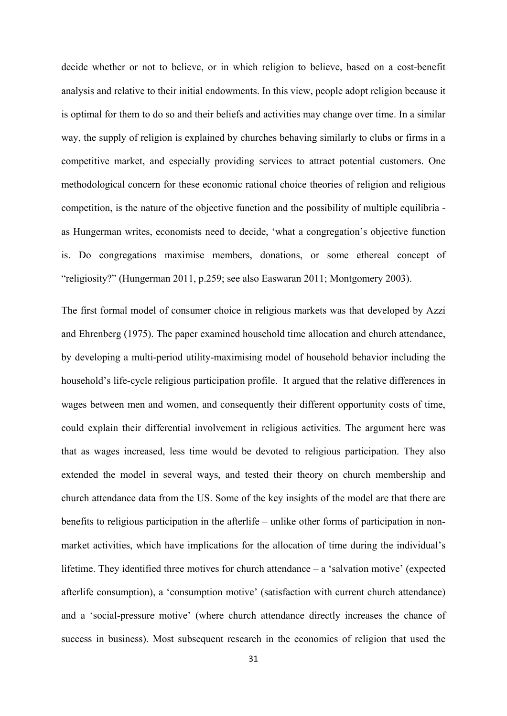decide whether or not to believe, or in which religion to believe, based on a cost-benefit analysis and relative to their initial endowments. In this view, people adopt religion because it is optimal for them to do so and their beliefs and activities may change over time. In a similar way, the supply of religion is explained by churches behaving similarly to clubs or firms in a competitive market, and especially providing services to attract potential customers. One methodological concern for these economic rational choice theories of religion and religious competition, is the nature of the objective function and the possibility of multiple equilibria as Hungerman writes, economists need to decide, 'what a congregation's objective function is. Do congregations maximise members, donations, or some ethereal concept of "religiosity?" (Hungerman 2011, p.259; see also Easwaran 2011; Montgomery 2003).

The first formal model of consumer choice in religious markets was that developed by Azzi and Ehrenberg (1975). The paper examined household time allocation and church attendance, by developing a multi-period utility-maximising model of household behavior including the household's life-cycle religious participation profile. It argued that the relative differences in wages between men and women, and consequently their different opportunity costs of time, could explain their differential involvement in religious activities. The argument here was that as wages increased, less time would be devoted to religious participation. They also extended the model in several ways, and tested their theory on church membership and church attendance data from the US. Some of the key insights of the model are that there are benefits to religious participation in the afterlife – unlike other forms of participation in nonmarket activities, which have implications for the allocation of time during the individual's lifetime. They identified three motives for church attendance – a 'salvation motive' (expected afterlife consumption), a 'consumption motive' (satisfaction with current church attendance) and a 'social-pressure motive' (where church attendance directly increases the chance of success in business). Most subsequent research in the economics of religion that used the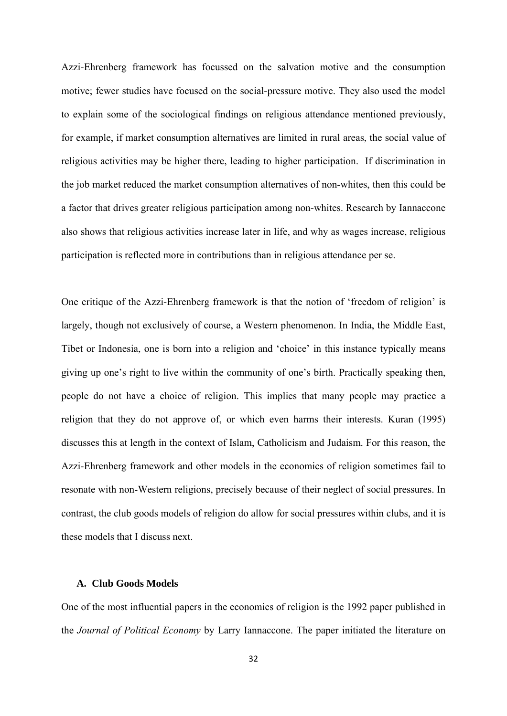Azzi-Ehrenberg framework has focussed on the salvation motive and the consumption motive; fewer studies have focused on the social-pressure motive. They also used the model to explain some of the sociological findings on religious attendance mentioned previously, for example, if market consumption alternatives are limited in rural areas, the social value of religious activities may be higher there, leading to higher participation. If discrimination in the job market reduced the market consumption alternatives of non-whites, then this could be a factor that drives greater religious participation among non-whites. Research by Iannaccone also shows that religious activities increase later in life, and why as wages increase, religious participation is reflected more in contributions than in religious attendance per se.

One critique of the Azzi-Ehrenberg framework is that the notion of 'freedom of religion' is largely, though not exclusively of course, a Western phenomenon. In India, the Middle East, Tibet or Indonesia, one is born into a religion and 'choice' in this instance typically means giving up one's right to live within the community of one's birth. Practically speaking then, people do not have a choice of religion. This implies that many people may practice a religion that they do not approve of, or which even harms their interests. Kuran (1995) discusses this at length in the context of Islam, Catholicism and Judaism. For this reason, the Azzi-Ehrenberg framework and other models in the economics of religion sometimes fail to resonate with non-Western religions, precisely because of their neglect of social pressures. In contrast, the club goods models of religion do allow for social pressures within clubs, and it is these models that I discuss next.

#### **A. Club Goods Models**

One of the most influential papers in the economics of religion is the 1992 paper published in the *Journal of Political Economy* by Larry Iannaccone. The paper initiated the literature on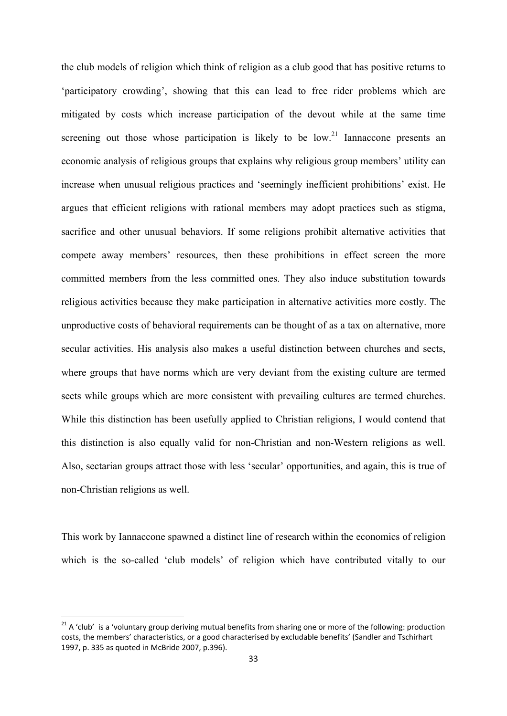the club models of religion which think of religion as a club good that has positive returns to 'participatory crowding', showing that this can lead to free rider problems which are mitigated by costs which increase participation of the devout while at the same time screening out those whose participation is likely to be low.<sup>21</sup> Iannaccone presents an economic analysis of religious groups that explains why religious group members' utility can increase when unusual religious practices and 'seemingly inefficient prohibitions' exist. He argues that efficient religions with rational members may adopt practices such as stigma, sacrifice and other unusual behaviors. If some religions prohibit alternative activities that compete away members' resources, then these prohibitions in effect screen the more committed members from the less committed ones. They also induce substitution towards religious activities because they make participation in alternative activities more costly. The unproductive costs of behavioral requirements can be thought of as a tax on alternative, more secular activities. His analysis also makes a useful distinction between churches and sects, where groups that have norms which are very deviant from the existing culture are termed sects while groups which are more consistent with prevailing cultures are termed churches. While this distinction has been usefully applied to Christian religions, I would contend that this distinction is also equally valid for non-Christian and non-Western religions as well. Also, sectarian groups attract those with less 'secular' opportunities, and again, this is true of non-Christian religions as well.

This work by Iannaccone spawned a distinct line of research within the economics of religion which is the so-called 'club models' of religion which have contributed vitally to our

<sup>&</sup>lt;sup>21</sup> A 'club' is a 'voluntary group deriving mutual benefits from sharing one or more of the following: production costs, the members' characteristics, or a good characterised by excludable benefits' (Sandler and Tschirhart 1997, p. 335 as quoted in McBride 2007, p.396).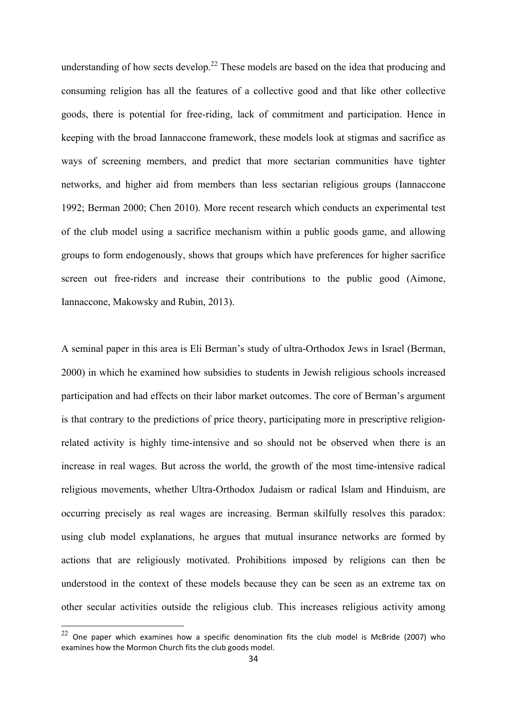understanding of how sects develop.<sup>22</sup> These models are based on the idea that producing and consuming religion has all the features of a collective good and that like other collective goods, there is potential for free-riding, lack of commitment and participation. Hence in keeping with the broad Iannaccone framework, these models look at stigmas and sacrifice as ways of screening members, and predict that more sectarian communities have tighter networks, and higher aid from members than less sectarian religious groups (Iannaccone 1992; Berman 2000; Chen 2010). More recent research which conducts an experimental test of the club model using a sacrifice mechanism within a public goods game, and allowing groups to form endogenously, shows that groups which have preferences for higher sacrifice screen out free-riders and increase their contributions to the public good (Aimone, Iannaccone, Makowsky and Rubin, 2013).

A seminal paper in this area is Eli Berman's study of ultra-Orthodox Jews in Israel (Berman, 2000) in which he examined how subsidies to students in Jewish religious schools increased participation and had effects on their labor market outcomes. The core of Berman's argument is that contrary to the predictions of price theory, participating more in prescriptive religionrelated activity is highly time-intensive and so should not be observed when there is an increase in real wages. But across the world, the growth of the most time-intensive radical religious movements, whether Ultra-Orthodox Judaism or radical Islam and Hinduism, are occurring precisely as real wages are increasing. Berman skilfully resolves this paradox: using club model explanations, he argues that mutual insurance networks are formed by actions that are religiously motivated. Prohibitions imposed by religions can then be understood in the context of these models because they can be seen as an extreme tax on other secular activities outside the religious club. This increases religious activity among

 $22$  One paper which examines how a specific denomination fits the club model is McBride (2007) who examines how the Mormon Church fits the club goods model.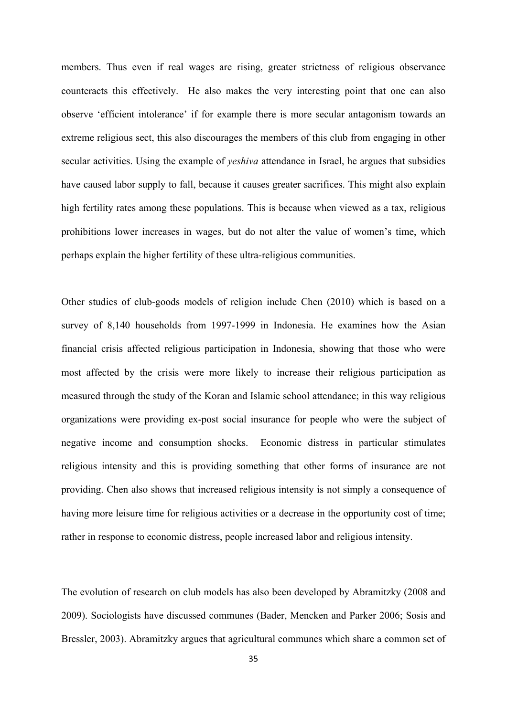members. Thus even if real wages are rising, greater strictness of religious observance counteracts this effectively. He also makes the very interesting point that one can also observe 'efficient intolerance' if for example there is more secular antagonism towards an extreme religious sect, this also discourages the members of this club from engaging in other secular activities. Using the example of *yeshiva* attendance in Israel, he argues that subsidies have caused labor supply to fall, because it causes greater sacrifices. This might also explain high fertility rates among these populations. This is because when viewed as a tax, religious prohibitions lower increases in wages, but do not alter the value of women's time, which perhaps explain the higher fertility of these ultra-religious communities.

Other studies of club-goods models of religion include Chen (2010) which is based on a survey of 8,140 households from 1997-1999 in Indonesia. He examines how the Asian financial crisis affected religious participation in Indonesia, showing that those who were most affected by the crisis were more likely to increase their religious participation as measured through the study of the Koran and Islamic school attendance; in this way religious organizations were providing ex-post social insurance for people who were the subject of negative income and consumption shocks. Economic distress in particular stimulates religious intensity and this is providing something that other forms of insurance are not providing. Chen also shows that increased religious intensity is not simply a consequence of having more leisure time for religious activities or a decrease in the opportunity cost of time; rather in response to economic distress, people increased labor and religious intensity.

The evolution of research on club models has also been developed by Abramitzky (2008 and 2009). Sociologists have discussed communes (Bader, Mencken and Parker 2006; Sosis and Bressler, 2003). Abramitzky argues that agricultural communes which share a common set of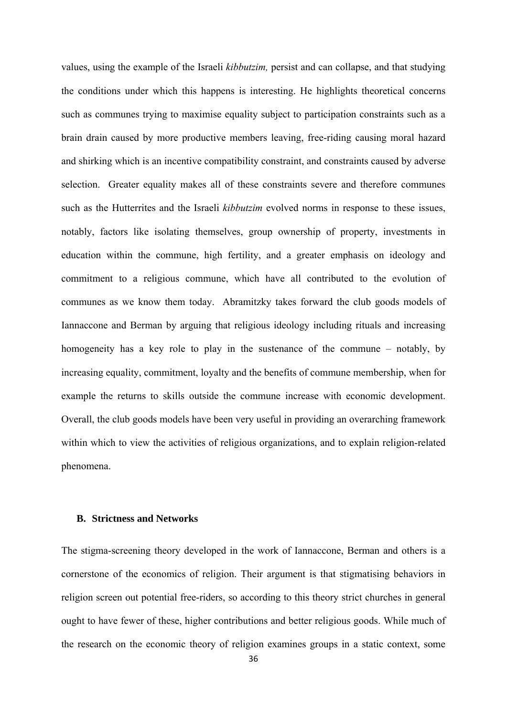values, using the example of the Israeli *kibbutzim,* persist and can collapse, and that studying the conditions under which this happens is interesting. He highlights theoretical concerns such as communes trying to maximise equality subject to participation constraints such as a brain drain caused by more productive members leaving, free-riding causing moral hazard and shirking which is an incentive compatibility constraint, and constraints caused by adverse selection. Greater equality makes all of these constraints severe and therefore communes such as the Hutterrites and the Israeli *kibbutzim* evolved norms in response to these issues, notably, factors like isolating themselves, group ownership of property, investments in education within the commune, high fertility, and a greater emphasis on ideology and commitment to a religious commune, which have all contributed to the evolution of communes as we know them today. Abramitzky takes forward the club goods models of Iannaccone and Berman by arguing that religious ideology including rituals and increasing homogeneity has a key role to play in the sustenance of the commune – notably, by increasing equality, commitment, loyalty and the benefits of commune membership, when for example the returns to skills outside the commune increase with economic development. Overall, the club goods models have been very useful in providing an overarching framework within which to view the activities of religious organizations, and to explain religion-related phenomena.

# **B. Strictness and Networks**

The stigma-screening theory developed in the work of Iannaccone, Berman and others is a cornerstone of the economics of religion. Their argument is that stigmatising behaviors in religion screen out potential free-riders, so according to this theory strict churches in general ought to have fewer of these, higher contributions and better religious goods. While much of the research on the economic theory of religion examines groups in a static context, some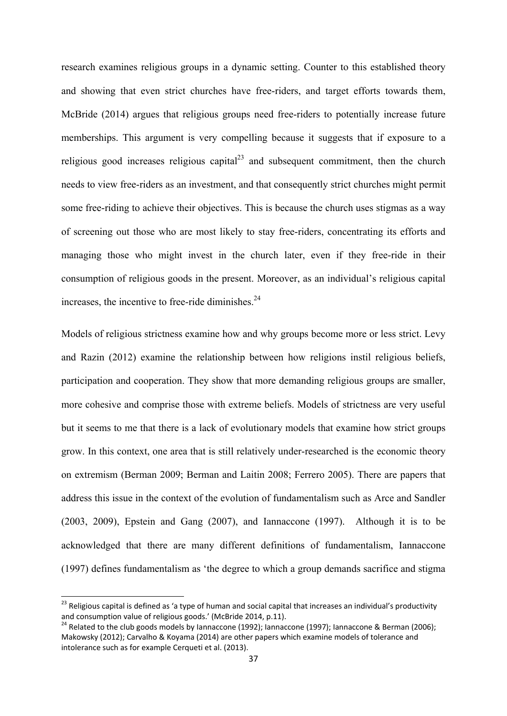research examines religious groups in a dynamic setting. Counter to this established theory and showing that even strict churches have free-riders, and target efforts towards them, McBride (2014) argues that religious groups need free-riders to potentially increase future memberships. This argument is very compelling because it suggests that if exposure to a religious good increases religious capital $^{23}$  and subsequent commitment, then the church needs to view free-riders as an investment, and that consequently strict churches might permit some free-riding to achieve their objectives. This is because the church uses stigmas as a way of screening out those who are most likely to stay free-riders, concentrating its efforts and managing those who might invest in the church later, even if they free-ride in their consumption of religious goods in the present. Moreover, as an individual's religious capital increases, the incentive to free-ride diminishes. $24$ 

Models of religious strictness examine how and why groups become more or less strict. Levy and Razin (2012) examine the relationship between how religions instil religious beliefs, participation and cooperation. They show that more demanding religious groups are smaller, more cohesive and comprise those with extreme beliefs. Models of strictness are very useful but it seems to me that there is a lack of evolutionary models that examine how strict groups grow. In this context, one area that is still relatively under-researched is the economic theory on extremism (Berman 2009; Berman and Laitin 2008; Ferrero 2005). There are papers that address this issue in the context of the evolution of fundamentalism such as Arce and Sandler (2003, 2009), Epstein and Gang (2007), and Iannaccone (1997).Although it is to be acknowledged that there are many different definitions of fundamentalism, Iannaccone (1997) defines fundamentalism as 'the degree to which a group demands sacrifice and stigma

<sup>&</sup>lt;sup>23</sup> Religious capital is defined as 'a type of human and social capital that increases an individual's productivity and consumption value of religious goods.' (McBride 2014, p.11).<br><sup>24</sup> Related to the club goods models by Iannaccone (1992); Iannaccone (1997); Iannaccone & Berman (2006);

Makowsky (2012); Carvalho & Koyama (2014) are other papers which examine models of tolerance and intolerance such as for example Cerqueti et al. (2013).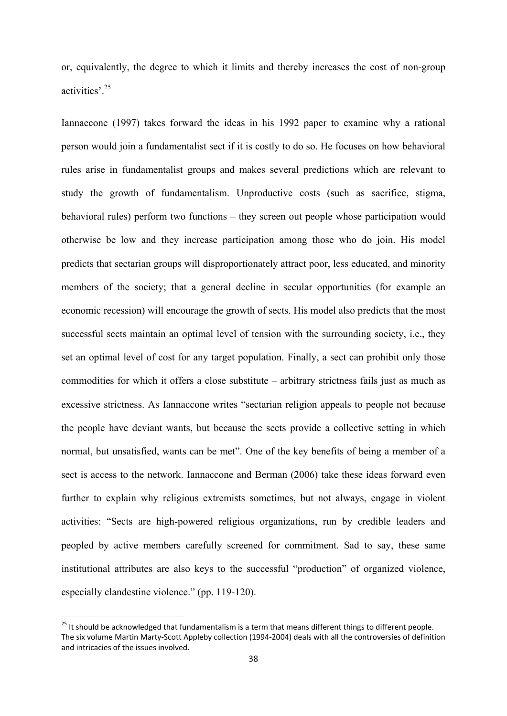or, equivalently, the degree to which it limits and thereby increases the cost of non-group activities'.25

Iannaccone (1997) takes forward the ideas in his 1992 paper to examine why a rational person would join a fundamentalist sect if it is costly to do so. He focuses on how behavioral rules arise in fundamentalist groups and makes several predictions which are relevant to study the growth of fundamentalism. Unproductive costs (such as sacrifice, stigma, behavioral rules) perform two functions – they screen out people whose participation would otherwise be low and they increase participation among those who do join. His model predicts that sectarian groups will disproportionately attract poor, less educated, and minority members of the society; that a general decline in secular opportunities (for example an economic recession) will encourage the growth of sects. His model also predicts that the most successful sects maintain an optimal level of tension with the surrounding society, i.e., they set an optimal level of cost for any target population. Finally, a sect can prohibit only those commodities for which it offers a close substitute – arbitrary strictness fails just as much as excessive strictness. As Iannaccone writes "sectarian religion appeals to people not because the people have deviant wants, but because the sects provide a collective setting in which normal, but unsatisfied, wants can be met". One of the key benefits of being a member of a sect is access to the network. Iannaccone and Berman (2006) take these ideas forward even further to explain why religious extremists sometimes, but not always, engage in violent activities: "Sects are high-powered religious organizations, run by credible leaders and peopled by active members carefully screened for commitment. Sad to say, these same institutional attributes are also keys to the successful "production" of organized violence, especially clandestine violence." (pp. 119-120).

<sup>&</sup>lt;sup>25</sup> It should be acknowledged that fundamentalism is a term that means different things to different people. The six volume Martin Marty‐Scott Appleby collection (1994‐2004) deals with all the controversies of definition and intricacies of the issues involved.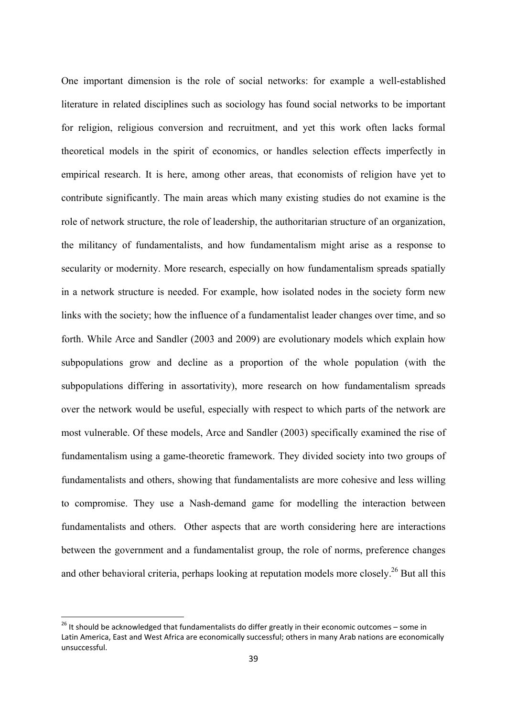One important dimension is the role of social networks: for example a well-established literature in related disciplines such as sociology has found social networks to be important for religion, religious conversion and recruitment, and yet this work often lacks formal theoretical models in the spirit of economics, or handles selection effects imperfectly in empirical research. It is here, among other areas, that economists of religion have yet to contribute significantly. The main areas which many existing studies do not examine is the role of network structure, the role of leadership, the authoritarian structure of an organization, the militancy of fundamentalists, and how fundamentalism might arise as a response to secularity or modernity. More research, especially on how fundamentalism spreads spatially in a network structure is needed. For example, how isolated nodes in the society form new links with the society; how the influence of a fundamentalist leader changes over time, and so forth. While Arce and Sandler (2003 and 2009) are evolutionary models which explain how subpopulations grow and decline as a proportion of the whole population (with the subpopulations differing in assortativity), more research on how fundamentalism spreads over the network would be useful, especially with respect to which parts of the network are most vulnerable. Of these models, Arce and Sandler (2003) specifically examined the rise of fundamentalism using a game-theoretic framework. They divided society into two groups of fundamentalists and others, showing that fundamentalists are more cohesive and less willing to compromise. They use a Nash-demand game for modelling the interaction between fundamentalists and others. Other aspects that are worth considering here are interactions between the government and a fundamentalist group, the role of norms, preference changes and other behavioral criteria, perhaps looking at reputation models more closely.<sup>26</sup> But all this

 $^{26}$  It should be acknowledged that fundamentalists do differ greatly in their economic outcomes – some in Latin America, East and West Africa are economically successful; others in many Arab nations are economically unsuccessful.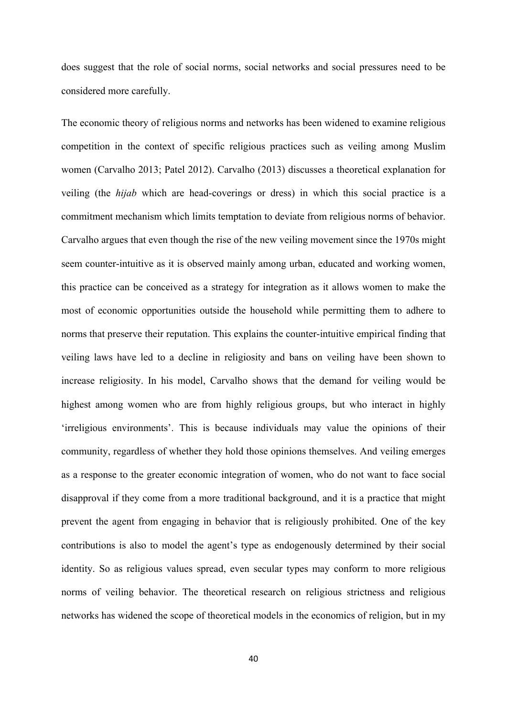does suggest that the role of social norms, social networks and social pressures need to be considered more carefully.

The economic theory of religious norms and networks has been widened to examine religious competition in the context of specific religious practices such as veiling among Muslim women (Carvalho 2013; Patel 2012). Carvalho (2013) discusses a theoretical explanation for veiling (the *hijab* which are head-coverings or dress) in which this social practice is a commitment mechanism which limits temptation to deviate from religious norms of behavior. Carvalho argues that even though the rise of the new veiling movement since the 1970s might seem counter-intuitive as it is observed mainly among urban, educated and working women, this practice can be conceived as a strategy for integration as it allows women to make the most of economic opportunities outside the household while permitting them to adhere to norms that preserve their reputation. This explains the counter-intuitive empirical finding that veiling laws have led to a decline in religiosity and bans on veiling have been shown to increase religiosity. In his model, Carvalho shows that the demand for veiling would be highest among women who are from highly religious groups, but who interact in highly 'irreligious environments'. This is because individuals may value the opinions of their community, regardless of whether they hold those opinions themselves. And veiling emerges as a response to the greater economic integration of women, who do not want to face social disapproval if they come from a more traditional background, and it is a practice that might prevent the agent from engaging in behavior that is religiously prohibited. One of the key contributions is also to model the agent's type as endogenously determined by their social identity. So as religious values spread, even secular types may conform to more religious norms of veiling behavior. The theoretical research on religious strictness and religious networks has widened the scope of theoretical models in the economics of religion, but in my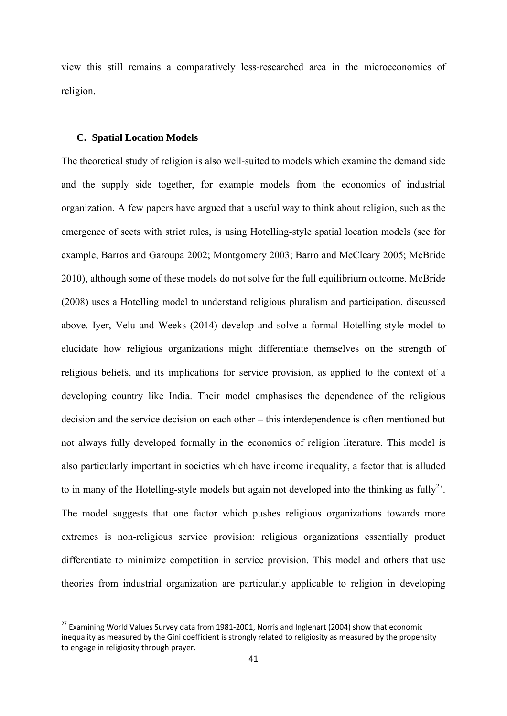view this still remains a comparatively less-researched area in the microeconomics of religion.

## **C. Spatial Location Models**

The theoretical study of religion is also well-suited to models which examine the demand side and the supply side together, for example models from the economics of industrial organization. A few papers have argued that a useful way to think about religion, such as the emergence of sects with strict rules, is using Hotelling-style spatial location models (see for example, Barros and Garoupa 2002; Montgomery 2003; Barro and McCleary 2005; McBride 2010), although some of these models do not solve for the full equilibrium outcome. McBride (2008) uses a Hotelling model to understand religious pluralism and participation, discussed above. Iyer, Velu and Weeks (2014) develop and solve a formal Hotelling-style model to elucidate how religious organizations might differentiate themselves on the strength of religious beliefs, and its implications for service provision, as applied to the context of a developing country like India. Their model emphasises the dependence of the religious decision and the service decision on each other – this interdependence is often mentioned but not always fully developed formally in the economics of religion literature. This model is also particularly important in societies which have income inequality, a factor that is alluded to in many of the Hotelling-style models but again not developed into the thinking as fully<sup>27</sup>. The model suggests that one factor which pushes religious organizations towards more extremes is non-religious service provision: religious organizations essentially product differentiate to minimize competition in service provision. This model and others that use theories from industrial organization are particularly applicable to religion in developing

 $^{27}$  Examining World Values Survey data from 1981-2001, Norris and Inglehart (2004) show that economic inequality as measured by the Gini coefficient is strongly related to religiosity as measured by the propensity to engage in religiosity through prayer.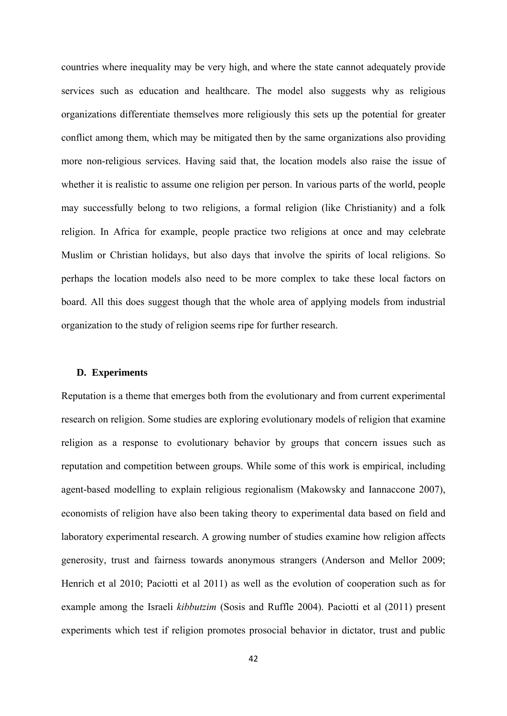countries where inequality may be very high, and where the state cannot adequately provide services such as education and healthcare. The model also suggests why as religious organizations differentiate themselves more religiously this sets up the potential for greater conflict among them, which may be mitigated then by the same organizations also providing more non-religious services. Having said that, the location models also raise the issue of whether it is realistic to assume one religion per person. In various parts of the world, people may successfully belong to two religions, a formal religion (like Christianity) and a folk religion. In Africa for example, people practice two religions at once and may celebrate Muslim or Christian holidays, but also days that involve the spirits of local religions. So perhaps the location models also need to be more complex to take these local factors on board. All this does suggest though that the whole area of applying models from industrial organization to the study of religion seems ripe for further research.

# **D. Experiments**

Reputation is a theme that emerges both from the evolutionary and from current experimental research on religion. Some studies are exploring evolutionary models of religion that examine religion as a response to evolutionary behavior by groups that concern issues such as reputation and competition between groups. While some of this work is empirical, including agent-based modelling to explain religious regionalism (Makowsky and Iannaccone 2007), economists of religion have also been taking theory to experimental data based on field and laboratory experimental research. A growing number of studies examine how religion affects generosity, trust and fairness towards anonymous strangers (Anderson and Mellor 2009; Henrich et al 2010; Paciotti et al 2011) as well as the evolution of cooperation such as for example among the Israeli *kibbutzim* (Sosis and Ruffle 2004). Paciotti et al (2011) present experiments which test if religion promotes prosocial behavior in dictator, trust and public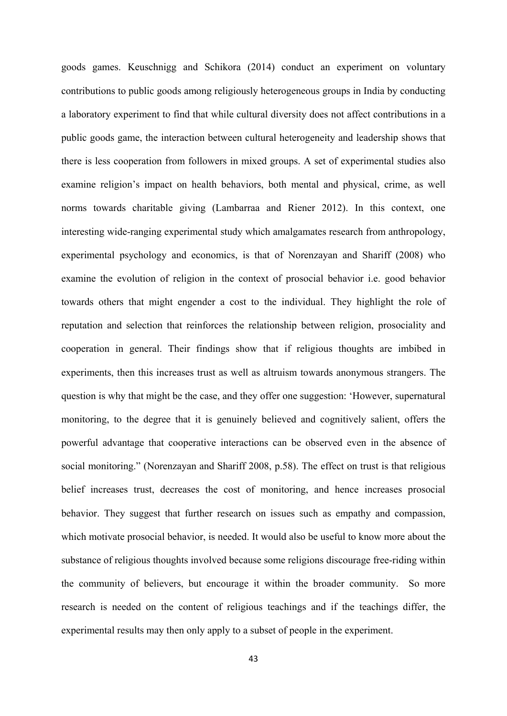goods games. Keuschnigg and Schikora (2014) conduct an experiment on voluntary contributions to public goods among religiously heterogeneous groups in India by conducting a laboratory experiment to find that while cultural diversity does not affect contributions in a public goods game, the interaction between cultural heterogeneity and leadership shows that there is less cooperation from followers in mixed groups. A set of experimental studies also examine religion's impact on health behaviors, both mental and physical, crime, as well norms towards charitable giving (Lambarraa and Riener 2012). In this context, one interesting wide-ranging experimental study which amalgamates research from anthropology, experimental psychology and economics, is that of Norenzayan and Shariff (2008) who examine the evolution of religion in the context of prosocial behavior i.e. good behavior towards others that might engender a cost to the individual. They highlight the role of reputation and selection that reinforces the relationship between religion, prosociality and cooperation in general. Their findings show that if religious thoughts are imbibed in experiments, then this increases trust as well as altruism towards anonymous strangers. The question is why that might be the case, and they offer one suggestion: 'However, supernatural monitoring, to the degree that it is genuinely believed and cognitively salient, offers the powerful advantage that cooperative interactions can be observed even in the absence of social monitoring." (Norenzayan and Shariff 2008, p.58). The effect on trust is that religious belief increases trust, decreases the cost of monitoring, and hence increases prosocial behavior. They suggest that further research on issues such as empathy and compassion, which motivate prosocial behavior, is needed. It would also be useful to know more about the substance of religious thoughts involved because some religions discourage free-riding within the community of believers, but encourage it within the broader community. So more research is needed on the content of religious teachings and if the teachings differ, the experimental results may then only apply to a subset of people in the experiment.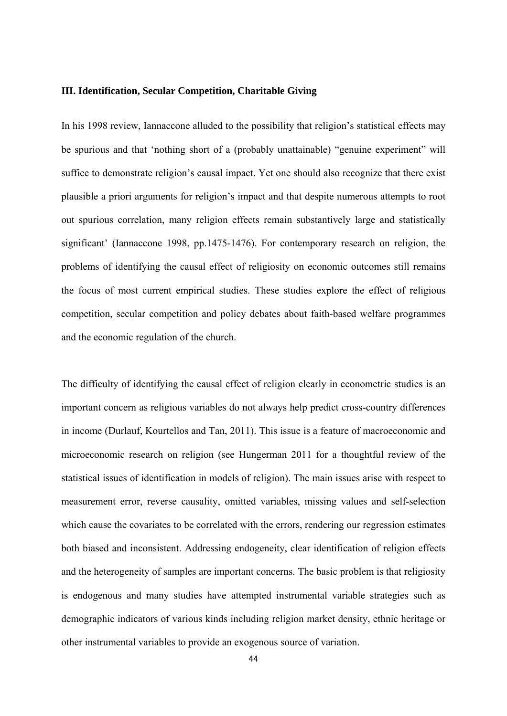#### **III. Identification, Secular Competition, Charitable Giving**

In his 1998 review, Iannaccone alluded to the possibility that religion's statistical effects may be spurious and that 'nothing short of a (probably unattainable) "genuine experiment" will suffice to demonstrate religion's causal impact. Yet one should also recognize that there exist plausible a priori arguments for religion's impact and that despite numerous attempts to root out spurious correlation, many religion effects remain substantively large and statistically significant' (Iannaccone 1998, pp.1475-1476). For contemporary research on religion, the problems of identifying the causal effect of religiosity on economic outcomes still remains the focus of most current empirical studies. These studies explore the effect of religious competition, secular competition and policy debates about faith-based welfare programmes and the economic regulation of the church.

The difficulty of identifying the causal effect of religion clearly in econometric studies is an important concern as religious variables do not always help predict cross-country differences in income (Durlauf, Kourtellos and Tan, 2011). This issue is a feature of macroeconomic and microeconomic research on religion (see Hungerman 2011 for a thoughtful review of the statistical issues of identification in models of religion). The main issues arise with respect to measurement error, reverse causality, omitted variables, missing values and self-selection which cause the covariates to be correlated with the errors, rendering our regression estimates both biased and inconsistent. Addressing endogeneity, clear identification of religion effects and the heterogeneity of samples are important concerns. The basic problem is that religiosity is endogenous and many studies have attempted instrumental variable strategies such as demographic indicators of various kinds including religion market density, ethnic heritage or other instrumental variables to provide an exogenous source of variation.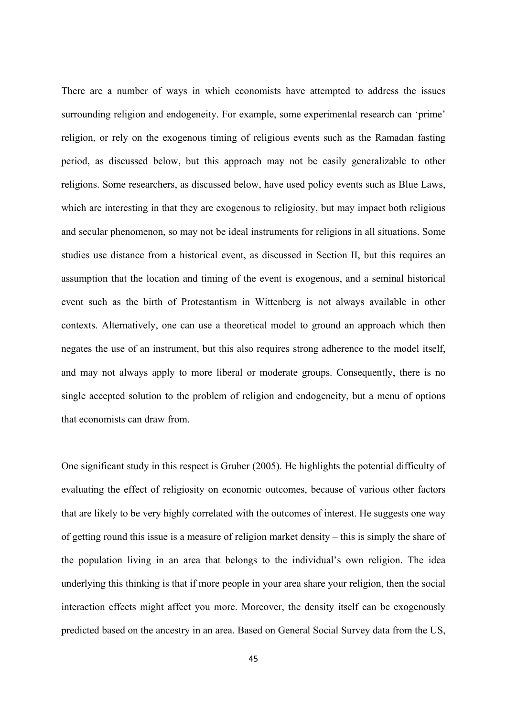There are a number of ways in which economists have attempted to address the issues surrounding religion and endogeneity. For example, some experimental research can 'prime' religion, or rely on the exogenous timing of religious events such as the Ramadan fasting period, as discussed below, but this approach may not be easily generalizable to other religions. Some researchers, as discussed below, have used policy events such as Blue Laws, which are interesting in that they are exogenous to religiosity, but may impact both religious and secular phenomenon, so may not be ideal instruments for religions in all situations. Some studies use distance from a historical event, as discussed in Section II, but this requires an assumption that the location and timing of the event is exogenous, and a seminal historical event such as the birth of Protestantism in Wittenberg is not always available in other contexts. Alternatively, one can use a theoretical model to ground an approach which then negates the use of an instrument, but this also requires strong adherence to the model itself, and may not always apply to more liberal or moderate groups. Consequently, there is no single accepted solution to the problem of religion and endogeneity, but a menu of options that economists can draw from.

One significant study in this respect is Gruber (2005). He highlights the potential difficulty of evaluating the effect of religiosity on economic outcomes, because of various other factors that are likely to be very highly correlated with the outcomes of interest. He suggests one way of getting round this issue is a measure of religion market density – this is simply the share of the population living in an area that belongs to the individual's own religion. The idea underlying this thinking is that if more people in your area share your religion, then the social interaction effects might affect you more. Moreover, the density itself can be exogenously predicted based on the ancestry in an area. Based on General Social Survey data from the US,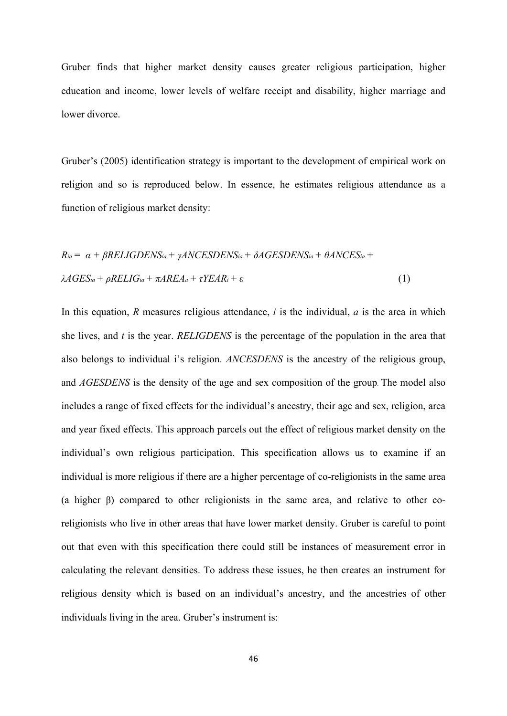Gruber finds that higher market density causes greater religious participation, higher education and income, lower levels of welfare receipt and disability, higher marriage and lower divorce.

Gruber's (2005) identification strategy is important to the development of empirical work on religion and so is reproduced below. In essence, he estimates religious attendance as a function of religious market density:

$$
R_{ia} = \alpha + \beta RELIGDENS_{ia} + \gamma ANCESDENS_{ia} + \delta AGESDENS_{ia} + \theta ANCES_{ia} + \lambda AGES_{ia} + \lambda AGES_{ia} + \rho RELIG_{ia} + \pi AREA_a + \tau YEAR_t + \varepsilon
$$
\n(1)

In this equation, *R* measures religious attendance, *i* is the individual, *a* is the area in which she lives, and *t* is the year. *RELIGDENS* is the percentage of the population in the area that also belongs to individual i's religion. *ANCESDENS* is the ancestry of the religious group, and *AGESDENS* is the density of the age and sex composition of the group. The model also includes a range of fixed effects for the individual's ancestry, their age and sex, religion, area and year fixed effects. This approach parcels out the effect of religious market density on the individual's own religious participation. This specification allows us to examine if an individual is more religious if there are a higher percentage of co-religionists in the same area (a higher β) compared to other religionists in the same area, and relative to other coreligionists who live in other areas that have lower market density. Gruber is careful to point out that even with this specification there could still be instances of measurement error in calculating the relevant densities. To address these issues, he then creates an instrument for religious density which is based on an individual's ancestry, and the ancestries of other individuals living in the area. Gruber's instrument is: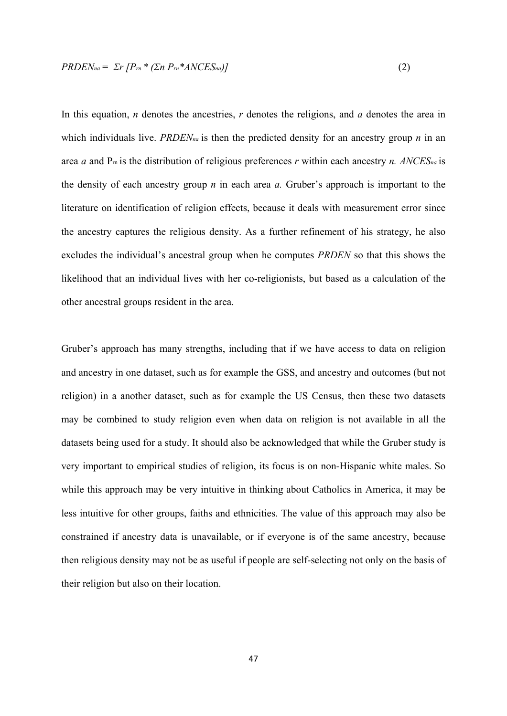$$
PRDENna = \Sigma r [Prn * ( \Sigma n Prn * ANCESna )]
$$
\n(2)

In this equation, *n* denotes the ancestries, *r* denotes the religions, and *a* denotes the area in which individuals live. *PRDENna* is then the predicted density for an ancestry group *n* in an area *a* and Prn is the distribution of religious preferences *r* within each ancestry *n. ANCESna* is the density of each ancestry group *n* in each area *a.* Gruber's approach is important to the literature on identification of religion effects, because it deals with measurement error since the ancestry captures the religious density. As a further refinement of his strategy, he also excludes the individual's ancestral group when he computes *PRDEN* so that this shows the likelihood that an individual lives with her co-religionists, but based as a calculation of the other ancestral groups resident in the area.

Gruber's approach has many strengths, including that if we have access to data on religion and ancestry in one dataset, such as for example the GSS, and ancestry and outcomes (but not religion) in a another dataset, such as for example the US Census, then these two datasets may be combined to study religion even when data on religion is not available in all the datasets being used for a study. It should also be acknowledged that while the Gruber study is very important to empirical studies of religion, its focus is on non-Hispanic white males. So while this approach may be very intuitive in thinking about Catholics in America, it may be less intuitive for other groups, faiths and ethnicities. The value of this approach may also be constrained if ancestry data is unavailable, or if everyone is of the same ancestry, because then religious density may not be as useful if people are self-selecting not only on the basis of their religion but also on their location.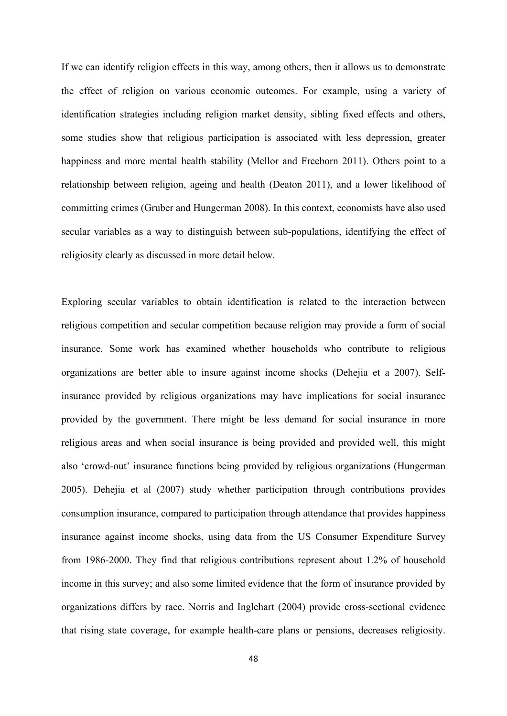If we can identify religion effects in this way, among others, then it allows us to demonstrate the effect of religion on various economic outcomes. For example, using a variety of identification strategies including religion market density, sibling fixed effects and others, some studies show that religious participation is associated with less depression, greater happiness and more mental health stability (Mellor and Freeborn 2011). Others point to a relationship between religion, ageing and health (Deaton 2011), and a lower likelihood of committing crimes (Gruber and Hungerman 2008). In this context, economists have also used secular variables as a way to distinguish between sub-populations, identifying the effect of religiosity clearly as discussed in more detail below.

Exploring secular variables to obtain identification is related to the interaction between religious competition and secular competition because religion may provide a form of social insurance. Some work has examined whether households who contribute to religious organizations are better able to insure against income shocks (Dehejia et a 2007). Selfinsurance provided by religious organizations may have implications for social insurance provided by the government. There might be less demand for social insurance in more religious areas and when social insurance is being provided and provided well, this might also 'crowd-out' insurance functions being provided by religious organizations (Hungerman 2005). Dehejia et al (2007) study whether participation through contributions provides consumption insurance, compared to participation through attendance that provides happiness insurance against income shocks, using data from the US Consumer Expenditure Survey from 1986-2000. They find that religious contributions represent about 1.2% of household income in this survey; and also some limited evidence that the form of insurance provided by organizations differs by race. Norris and Inglehart (2004) provide cross-sectional evidence that rising state coverage, for example health-care plans or pensions, decreases religiosity.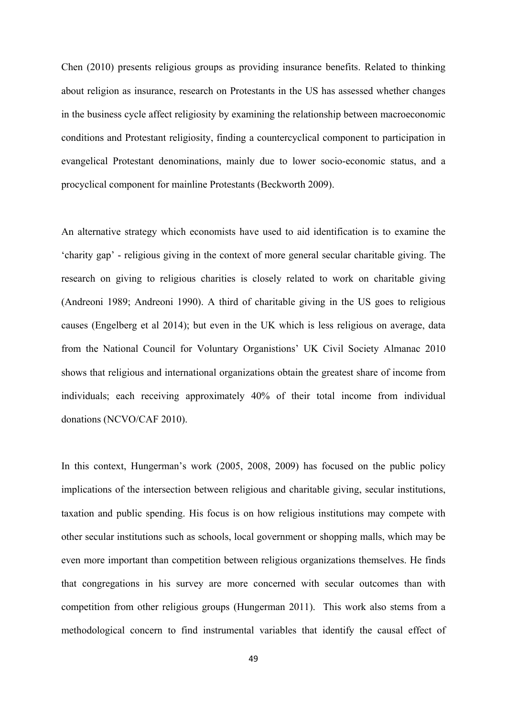Chen (2010) presents religious groups as providing insurance benefits. Related to thinking about religion as insurance, research on Protestants in the US has assessed whether changes in the business cycle affect religiosity by examining the relationship between macroeconomic conditions and Protestant religiosity, finding a countercyclical component to participation in evangelical Protestant denominations, mainly due to lower socio-economic status, and a procyclical component for mainline Protestants (Beckworth 2009).

An alternative strategy which economists have used to aid identification is to examine the 'charity gap' - religious giving in the context of more general secular charitable giving. The research on giving to religious charities is closely related to work on charitable giving (Andreoni 1989; Andreoni 1990). A third of charitable giving in the US goes to religious causes (Engelberg et al 2014); but even in the UK which is less religious on average, data from the National Council for Voluntary Organistions' UK Civil Society Almanac 2010 shows that religious and international organizations obtain the greatest share of income from individuals; each receiving approximately 40% of their total income from individual donations (NCVO/CAF 2010).

In this context, Hungerman's work (2005, 2008, 2009) has focused on the public policy implications of the intersection between religious and charitable giving, secular institutions, taxation and public spending. His focus is on how religious institutions may compete with other secular institutions such as schools, local government or shopping malls, which may be even more important than competition between religious organizations themselves. He finds that congregations in his survey are more concerned with secular outcomes than with competition from other religious groups (Hungerman 2011). This work also stems from a methodological concern to find instrumental variables that identify the causal effect of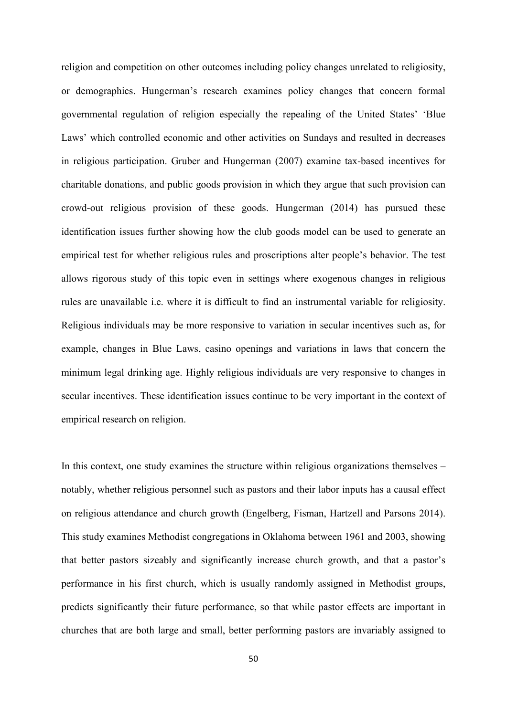religion and competition on other outcomes including policy changes unrelated to religiosity, or demographics. Hungerman's research examines policy changes that concern formal governmental regulation of religion especially the repealing of the United States' 'Blue Laws' which controlled economic and other activities on Sundays and resulted in decreases in religious participation. Gruber and Hungerman (2007) examine tax-based incentives for charitable donations, and public goods provision in which they argue that such provision can crowd-out religious provision of these goods. Hungerman (2014) has pursued these identification issues further showing how the club goods model can be used to generate an empirical test for whether religious rules and proscriptions alter people's behavior. The test allows rigorous study of this topic even in settings where exogenous changes in religious rules are unavailable i.e. where it is difficult to find an instrumental variable for religiosity. Religious individuals may be more responsive to variation in secular incentives such as, for example, changes in Blue Laws, casino openings and variations in laws that concern the minimum legal drinking age. Highly religious individuals are very responsive to changes in secular incentives. These identification issues continue to be very important in the context of empirical research on religion.

In this context, one study examines the structure within religious organizations themselves – notably, whether religious personnel such as pastors and their labor inputs has a causal effect on religious attendance and church growth (Engelberg, Fisman, Hartzell and Parsons 2014). This study examines Methodist congregations in Oklahoma between 1961 and 2003, showing that better pastors sizeably and significantly increase church growth, and that a pastor's performance in his first church, which is usually randomly assigned in Methodist groups, predicts significantly their future performance, so that while pastor effects are important in churches that are both large and small, better performing pastors are invariably assigned to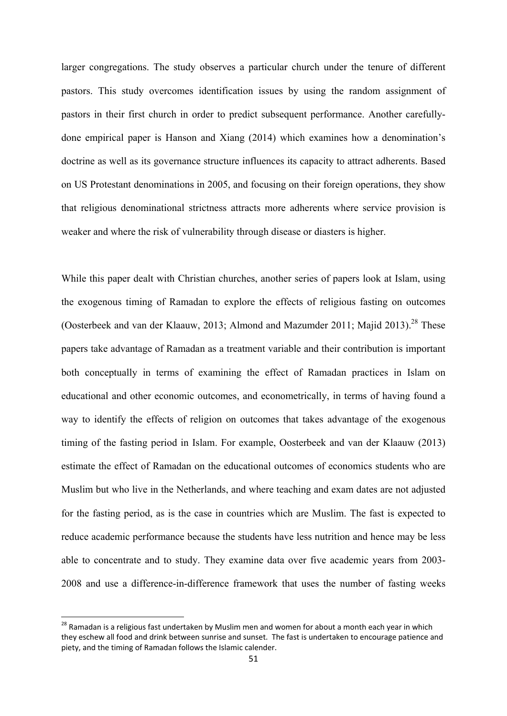larger congregations. The study observes a particular church under the tenure of different pastors. This study overcomes identification issues by using the random assignment of pastors in their first church in order to predict subsequent performance. Another carefullydone empirical paper is Hanson and Xiang (2014) which examines how a denomination's doctrine as well as its governance structure influences its capacity to attract adherents. Based on US Protestant denominations in 2005, and focusing on their foreign operations, they show that religious denominational strictness attracts more adherents where service provision is weaker and where the risk of vulnerability through disease or diasters is higher.

While this paper dealt with Christian churches, another series of papers look at Islam, using the exogenous timing of Ramadan to explore the effects of religious fasting on outcomes (Oosterbeek and van der Klaauw, 2013; Almond and Mazumder 2011; Majid 2013).<sup>28</sup> These papers take advantage of Ramadan as a treatment variable and their contribution is important both conceptually in terms of examining the effect of Ramadan practices in Islam on educational and other economic outcomes, and econometrically, in terms of having found a way to identify the effects of religion on outcomes that takes advantage of the exogenous timing of the fasting period in Islam. For example, Oosterbeek and van der Klaauw (2013) estimate the effect of Ramadan on the educational outcomes of economics students who are Muslim but who live in the Netherlands, and where teaching and exam dates are not adjusted for the fasting period, as is the case in countries which are Muslim. The fast is expected to reduce academic performance because the students have less nutrition and hence may be less able to concentrate and to study. They examine data over five academic years from 2003- 2008 and use a difference-in-difference framework that uses the number of fasting weeks

<sup>&</sup>lt;sup>28</sup> Ramadan is a religious fast undertaken by Muslim men and women for about a month each year in which they eschew all food and drink between sunrise and sunset. The fast is undertaken to encourage patience and piety, and the timing of Ramadan follows the Islamic calender.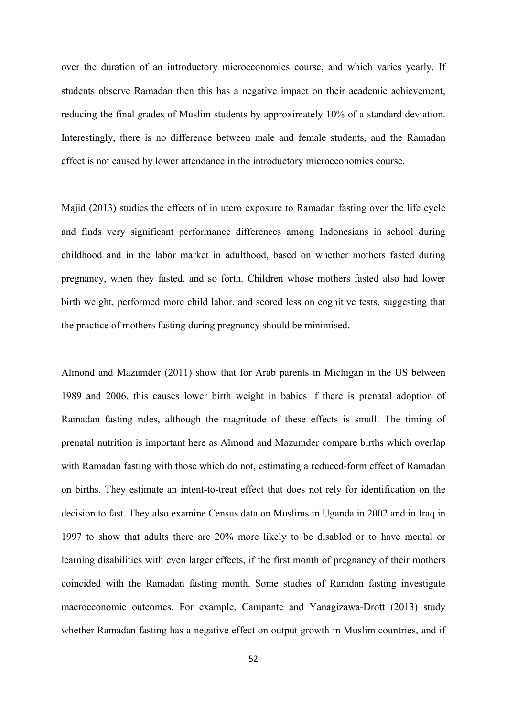over the duration of an introductory microeconomics course, and which varies yearly. If students observe Ramadan then this has a negative impact on their academic achievement, reducing the final grades of Muslim students by approximately 10% of a standard deviation. Interestingly, there is no difference between male and female students, and the Ramadan effect is not caused by lower attendance in the introductory microeconomics course.

Majid (2013) studies the effects of in utero exposure to Ramadan fasting over the life cycle and finds very significant performance differences among Indonesians in school during childhood and in the labor market in adulthood, based on whether mothers fasted during pregnancy, when they fasted, and so forth. Children whose mothers fasted also had lower birth weight, performed more child labor, and scored less on cognitive tests, suggesting that the practice of mothers fasting during pregnancy should be minimised.

Almond and Mazumder (2011) show that for Arab parents in Michigan in the US between 1989 and 2006, this causes lower birth weight in babies if there is prenatal adoption of Ramadan fasting rules, although the magnitude of these effects is small. The timing of prenatal nutrition is important here as Almond and Mazumder compare births which overlap with Ramadan fasting with those which do not, estimating a reduced-form effect of Ramadan on births. They estimate an intent-to-treat effect that does not rely for identification on the decision to fast. They also examine Census data on Muslims in Uganda in 2002 and in Iraq in 1997 to show that adults there are 20% more likely to be disabled or to have mental or learning disabilities with even larger effects, if the first month of pregnancy of their mothers coincided with the Ramadan fasting month. Some studies of Ramdan fasting investigate macroeconomic outcomes. For example, Campante and Yanagizawa-Drott (2013) study whether Ramadan fasting has a negative effect on output growth in Muslim countries, and if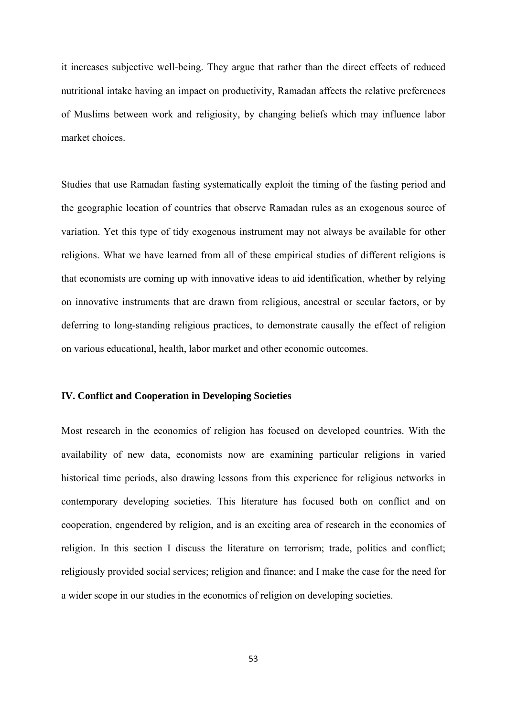it increases subjective well-being. They argue that rather than the direct effects of reduced nutritional intake having an impact on productivity, Ramadan affects the relative preferences of Muslims between work and religiosity, by changing beliefs which may influence labor market choices.

Studies that use Ramadan fasting systematically exploit the timing of the fasting period and the geographic location of countries that observe Ramadan rules as an exogenous source of variation. Yet this type of tidy exogenous instrument may not always be available for other religions. What we have learned from all of these empirical studies of different religions is that economists are coming up with innovative ideas to aid identification, whether by relying on innovative instruments that are drawn from religious, ancestral or secular factors, or by deferring to long-standing religious practices, to demonstrate causally the effect of religion on various educational, health, labor market and other economic outcomes.

# **IV. Conflict and Cooperation in Developing Societies**

Most research in the economics of religion has focused on developed countries. With the availability of new data, economists now are examining particular religions in varied historical time periods, also drawing lessons from this experience for religious networks in contemporary developing societies. This literature has focused both on conflict and on cooperation, engendered by religion, and is an exciting area of research in the economics of religion. In this section I discuss the literature on terrorism; trade, politics and conflict; religiously provided social services; religion and finance; and I make the case for the need for a wider scope in our studies in the economics of religion on developing societies.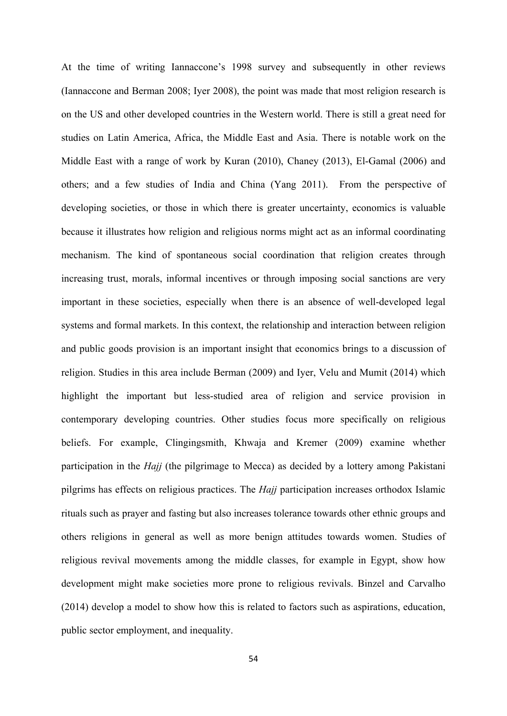At the time of writing Iannaccone's 1998 survey and subsequently in other reviews (Iannaccone and Berman 2008; Iyer 2008), the point was made that most religion research is on the US and other developed countries in the Western world. There is still a great need for studies on Latin America, Africa, the Middle East and Asia. There is notable work on the Middle East with a range of work by Kuran (2010), Chaney (2013), El-Gamal (2006) and others; and a few studies of India and China (Yang 2011). From the perspective of developing societies, or those in which there is greater uncertainty, economics is valuable because it illustrates how religion and religious norms might act as an informal coordinating mechanism. The kind of spontaneous social coordination that religion creates through increasing trust, morals, informal incentives or through imposing social sanctions are very important in these societies, especially when there is an absence of well-developed legal systems and formal markets. In this context, the relationship and interaction between religion and public goods provision is an important insight that economics brings to a discussion of religion. Studies in this area include Berman (2009) and Iyer, Velu and Mumit (2014) which highlight the important but less-studied area of religion and service provision in contemporary developing countries. Other studies focus more specifically on religious beliefs. For example, Clingingsmith, Khwaja and Kremer (2009) examine whether participation in the *Hajj* (the pilgrimage to Mecca) as decided by a lottery among Pakistani pilgrims has effects on religious practices. The *Hajj* participation increases orthodox Islamic rituals such as prayer and fasting but also increases tolerance towards other ethnic groups and others religions in general as well as more benign attitudes towards women. Studies of religious revival movements among the middle classes, for example in Egypt, show how development might make societies more prone to religious revivals. Binzel and Carvalho (2014) develop a model to show how this is related to factors such as aspirations, education, public sector employment, and inequality.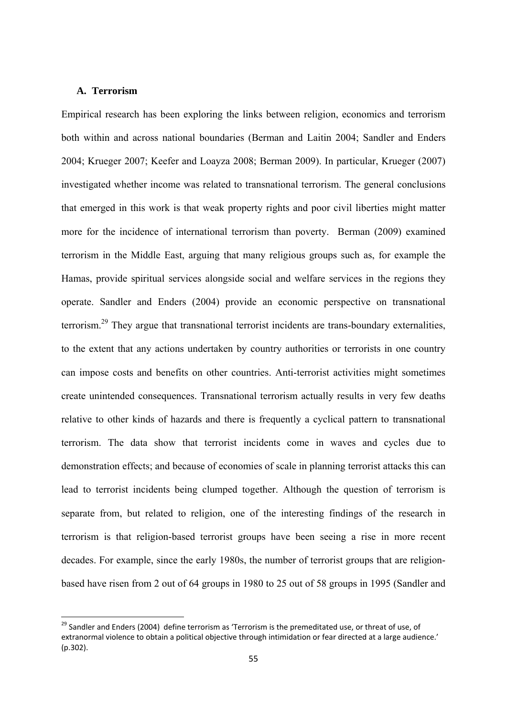# **A. Terrorism**

Empirical research has been exploring the links between religion, economics and terrorism both within and across national boundaries (Berman and Laitin 2004; Sandler and Enders 2004; Krueger 2007; Keefer and Loayza 2008; Berman 2009). In particular, Krueger (2007) investigated whether income was related to transnational terrorism. The general conclusions that emerged in this work is that weak property rights and poor civil liberties might matter more for the incidence of international terrorism than poverty. Berman (2009) examined terrorism in the Middle East, arguing that many religious groups such as, for example the Hamas, provide spiritual services alongside social and welfare services in the regions they operate. Sandler and Enders (2004) provide an economic perspective on transnational terrorism.29 They argue that transnational terrorist incidents are trans-boundary externalities, to the extent that any actions undertaken by country authorities or terrorists in one country can impose costs and benefits on other countries. Anti-terrorist activities might sometimes create unintended consequences. Transnational terrorism actually results in very few deaths relative to other kinds of hazards and there is frequently a cyclical pattern to transnational terrorism. The data show that terrorist incidents come in waves and cycles due to demonstration effects; and because of economies of scale in planning terrorist attacks this can lead to terrorist incidents being clumped together. Although the question of terrorism is separate from, but related to religion, one of the interesting findings of the research in terrorism is that religion-based terrorist groups have been seeing a rise in more recent decades. For example, since the early 1980s, the number of terrorist groups that are religionbased have risen from 2 out of 64 groups in 1980 to 25 out of 58 groups in 1995 (Sandler and

<sup>&</sup>lt;sup>29</sup> Sandler and Enders (2004) define terrorism as 'Terrorism is the premeditated use, or threat of use, of extranormal violence to obtain a political objective through intimidation or fear directed at a large audience.' (p.302).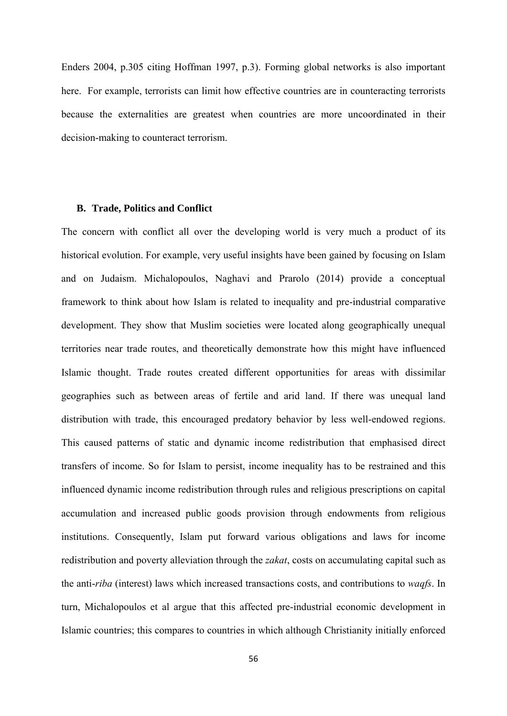Enders 2004, p.305 citing Hoffman 1997, p.3). Forming global networks is also important here. For example, terrorists can limit how effective countries are in counteracting terrorists because the externalities are greatest when countries are more uncoordinated in their decision-making to counteract terrorism.

#### **B. Trade, Politics and Conflict**

The concern with conflict all over the developing world is very much a product of its historical evolution. For example, very useful insights have been gained by focusing on Islam and on Judaism. Michalopoulos, Naghavi and Prarolo (2014) provide a conceptual framework to think about how Islam is related to inequality and pre-industrial comparative development. They show that Muslim societies were located along geographically unequal territories near trade routes, and theoretically demonstrate how this might have influenced Islamic thought. Trade routes created different opportunities for areas with dissimilar geographies such as between areas of fertile and arid land. If there was unequal land distribution with trade, this encouraged predatory behavior by less well-endowed regions. This caused patterns of static and dynamic income redistribution that emphasised direct transfers of income. So for Islam to persist, income inequality has to be restrained and this influenced dynamic income redistribution through rules and religious prescriptions on capital accumulation and increased public goods provision through endowments from religious institutions. Consequently, Islam put forward various obligations and laws for income redistribution and poverty alleviation through the *zakat*, costs on accumulating capital such as the anti-*riba* (interest) laws which increased transactions costs, and contributions to *waqfs*. In turn, Michalopoulos et al argue that this affected pre-industrial economic development in Islamic countries; this compares to countries in which although Christianity initially enforced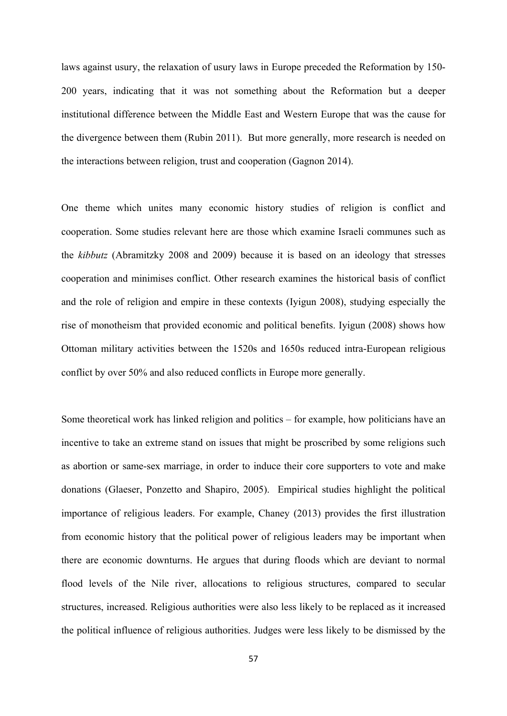laws against usury, the relaxation of usury laws in Europe preceded the Reformation by 150- 200 years, indicating that it was not something about the Reformation but a deeper institutional difference between the Middle East and Western Europe that was the cause for the divergence between them (Rubin 2011). But more generally, more research is needed on the interactions between religion, trust and cooperation (Gagnon 2014).

One theme which unites many economic history studies of religion is conflict and cooperation. Some studies relevant here are those which examine Israeli communes such as the *kibbutz* (Abramitzky 2008 and 2009) because it is based on an ideology that stresses cooperation and minimises conflict. Other research examines the historical basis of conflict and the role of religion and empire in these contexts (Iyigun 2008), studying especially the rise of monotheism that provided economic and political benefits. Iyigun (2008) shows how Ottoman military activities between the 1520s and 1650s reduced intra-European religious conflict by over 50% and also reduced conflicts in Europe more generally.

Some theoretical work has linked religion and politics – for example, how politicians have an incentive to take an extreme stand on issues that might be proscribed by some religions such as abortion or same-sex marriage, in order to induce their core supporters to vote and make donations (Glaeser, Ponzetto and Shapiro, 2005). Empirical studies highlight the political importance of religious leaders. For example, Chaney (2013) provides the first illustration from economic history that the political power of religious leaders may be important when there are economic downturns. He argues that during floods which are deviant to normal flood levels of the Nile river, allocations to religious structures, compared to secular structures, increased. Religious authorities were also less likely to be replaced as it increased the political influence of religious authorities. Judges were less likely to be dismissed by the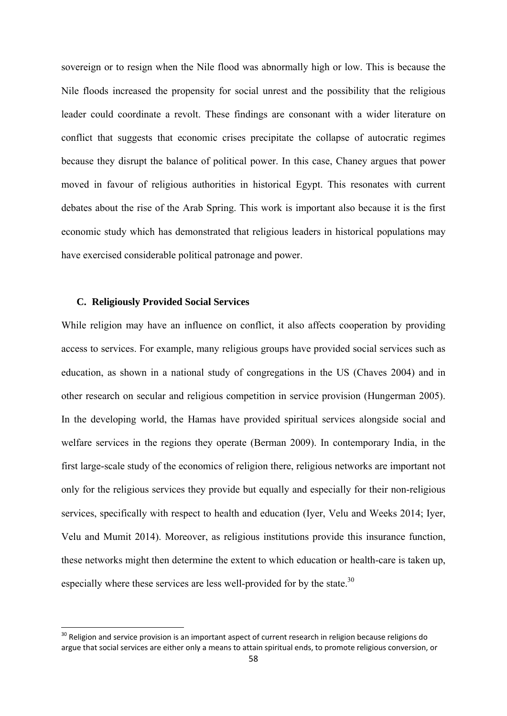sovereign or to resign when the Nile flood was abnormally high or low. This is because the Nile floods increased the propensity for social unrest and the possibility that the religious leader could coordinate a revolt. These findings are consonant with a wider literature on conflict that suggests that economic crises precipitate the collapse of autocratic regimes because they disrupt the balance of political power. In this case, Chaney argues that power moved in favour of religious authorities in historical Egypt. This resonates with current debates about the rise of the Arab Spring. This work is important also because it is the first economic study which has demonstrated that religious leaders in historical populations may have exercised considerable political patronage and power.

# **C. Religiously Provided Social Services**

While religion may have an influence on conflict, it also affects cooperation by providing access to services. For example, many religious groups have provided social services such as education, as shown in a national study of congregations in the US (Chaves 2004) and in other research on secular and religious competition in service provision (Hungerman 2005). In the developing world, the Hamas have provided spiritual services alongside social and welfare services in the regions they operate (Berman 2009). In contemporary India, in the first large-scale study of the economics of religion there, religious networks are important not only for the religious services they provide but equally and especially for their non-religious services, specifically with respect to health and education (Iyer, Velu and Weeks 2014; Iyer, Velu and Mumit 2014). Moreover, as religious institutions provide this insurance function, these networks might then determine the extent to which education or health-care is taken up, especially where these services are less well-provided for by the state.<sup>30</sup>

<sup>&</sup>lt;sup>30</sup> Religion and service provision is an important aspect of current research in religion because religions do argue that social services are either only a means to attain spiritual ends, to promote religious conversion, or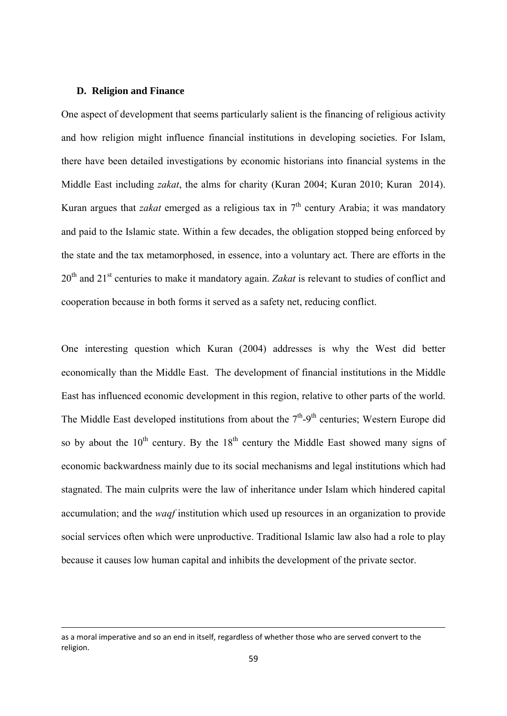#### **D. Religion and Finance**

One aspect of development that seems particularly salient is the financing of religious activity and how religion might influence financial institutions in developing societies. For Islam, there have been detailed investigations by economic historians into financial systems in the Middle East including *zakat*, the alms for charity (Kuran 2004; Kuran 2010; Kuran 2014). Kuran argues that *zakat* emerged as a religious tax in  $7<sup>th</sup>$  century Arabia; it was mandatory and paid to the Islamic state. Within a few decades, the obligation stopped being enforced by the state and the tax metamorphosed, in essence, into a voluntary act. There are efforts in the 20th and 21st centuries to make it mandatory again. *Zakat* is relevant to studies of conflict and cooperation because in both forms it served as a safety net, reducing conflict.

One interesting question which Kuran (2004) addresses is why the West did better economically than the Middle East. The development of financial institutions in the Middle East has influenced economic development in this region, relative to other parts of the world. The Middle East developed institutions from about the  $7<sup>th</sup>$ -9<sup>th</sup> centuries; Western Europe did so by about the  $10^{th}$  century. By the  $18^{th}$  century the Middle East showed many signs of economic backwardness mainly due to its social mechanisms and legal institutions which had stagnated. The main culprits were the law of inheritance under Islam which hindered capital accumulation; and the *waqf* institution which used up resources in an organization to provide social services often which were unproductive. Traditional Islamic law also had a role to play because it causes low human capital and inhibits the development of the private sector.

<u> 1989 - Johann Barn, amerikansk politiker (d. 1989)</u>

as a moral imperative and so an end in itself, regardless of whether those who are served convert to the religion.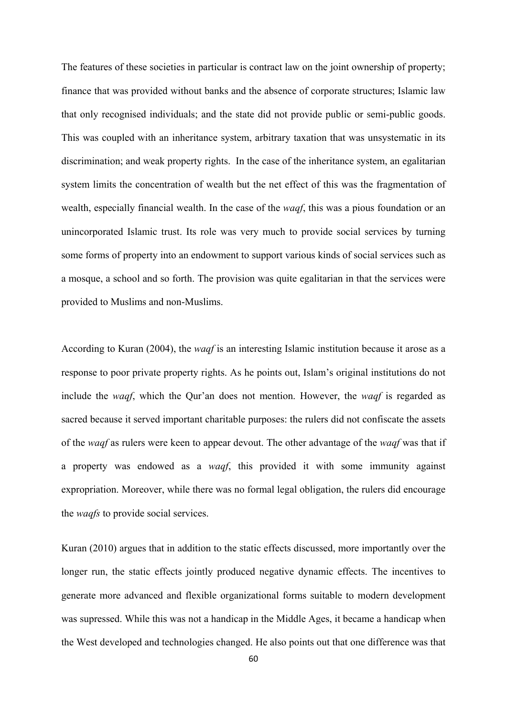The features of these societies in particular is contract law on the joint ownership of property; finance that was provided without banks and the absence of corporate structures; Islamic law that only recognised individuals; and the state did not provide public or semi-public goods. This was coupled with an inheritance system, arbitrary taxation that was unsystematic in its discrimination; and weak property rights. In the case of the inheritance system, an egalitarian system limits the concentration of wealth but the net effect of this was the fragmentation of wealth, especially financial wealth. In the case of the *waqf*, this was a pious foundation or an unincorporated Islamic trust. Its role was very much to provide social services by turning some forms of property into an endowment to support various kinds of social services such as a mosque, a school and so forth. The provision was quite egalitarian in that the services were provided to Muslims and non-Muslims.

According to Kuran (2004), the *waqf* is an interesting Islamic institution because it arose as a response to poor private property rights. As he points out, Islam's original institutions do not include the *waqf*, which the Qur'an does not mention. However, the *waqf* is regarded as sacred because it served important charitable purposes: the rulers did not confiscate the assets of the *waqf* as rulers were keen to appear devout. The other advantage of the *waqf* was that if a property was endowed as a *waqf*, this provided it with some immunity against expropriation. Moreover, while there was no formal legal obligation, the rulers did encourage the *waqfs* to provide social services.

Kuran (2010) argues that in addition to the static effects discussed, more importantly over the longer run, the static effects jointly produced negative dynamic effects. The incentives to generate more advanced and flexible organizational forms suitable to modern development was supressed. While this was not a handicap in the Middle Ages, it became a handicap when the West developed and technologies changed. He also points out that one difference was that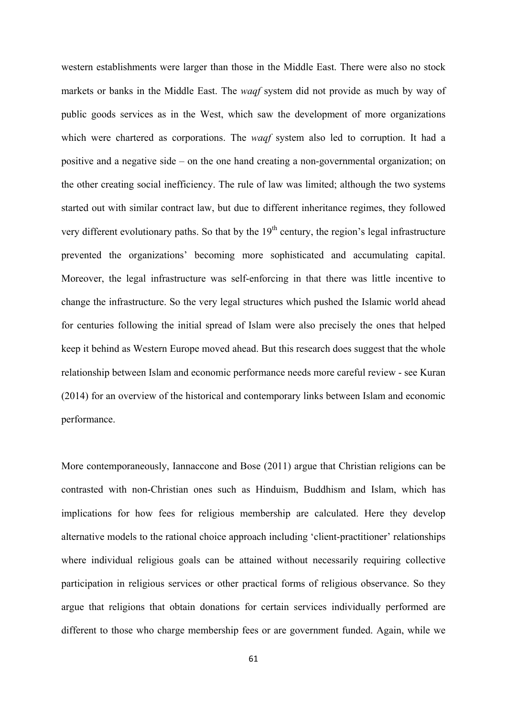western establishments were larger than those in the Middle East. There were also no stock markets or banks in the Middle East. The *waqf* system did not provide as much by way of public goods services as in the West, which saw the development of more organizations which were chartered as corporations. The *waqf* system also led to corruption. It had a positive and a negative side – on the one hand creating a non-governmental organization; on the other creating social inefficiency. The rule of law was limited; although the two systems started out with similar contract law, but due to different inheritance regimes, they followed very different evolutionary paths. So that by the  $19<sup>th</sup>$  century, the region's legal infrastructure prevented the organizations' becoming more sophisticated and accumulating capital. Moreover, the legal infrastructure was self-enforcing in that there was little incentive to change the infrastructure. So the very legal structures which pushed the Islamic world ahead for centuries following the initial spread of Islam were also precisely the ones that helped keep it behind as Western Europe moved ahead. But this research does suggest that the whole relationship between Islam and economic performance needs more careful review - see Kuran (2014) for an overview of the historical and contemporary links between Islam and economic performance.

More contemporaneously, Iannaccone and Bose (2011) argue that Christian religions can be contrasted with non-Christian ones such as Hinduism, Buddhism and Islam, which has implications for how fees for religious membership are calculated. Here they develop alternative models to the rational choice approach including 'client-practitioner' relationships where individual religious goals can be attained without necessarily requiring collective participation in religious services or other practical forms of religious observance. So they argue that religions that obtain donations for certain services individually performed are different to those who charge membership fees or are government funded. Again, while we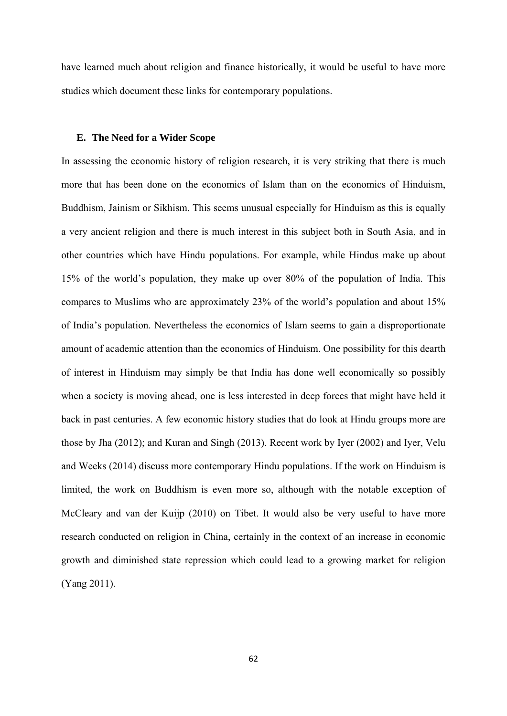have learned much about religion and finance historically, it would be useful to have more studies which document these links for contemporary populations.

#### **E. The Need for a Wider Scope**

In assessing the economic history of religion research, it is very striking that there is much more that has been done on the economics of Islam than on the economics of Hinduism, Buddhism, Jainism or Sikhism. This seems unusual especially for Hinduism as this is equally a very ancient religion and there is much interest in this subject both in South Asia, and in other countries which have Hindu populations. For example, while Hindus make up about 15% of the world's population, they make up over 80% of the population of India. This compares to Muslims who are approximately 23% of the world's population and about 15% of India's population. Nevertheless the economics of Islam seems to gain a disproportionate amount of academic attention than the economics of Hinduism. One possibility for this dearth of interest in Hinduism may simply be that India has done well economically so possibly when a society is moving ahead, one is less interested in deep forces that might have held it back in past centuries. A few economic history studies that do look at Hindu groups more are those by Jha (2012); and Kuran and Singh (2013). Recent work by Iyer (2002) and Iyer, Velu and Weeks (2014) discuss more contemporary Hindu populations. If the work on Hinduism is limited, the work on Buddhism is even more so, although with the notable exception of McCleary and van der Kuijp (2010) on Tibet. It would also be very useful to have more research conducted on religion in China, certainly in the context of an increase in economic growth and diminished state repression which could lead to a growing market for religion (Yang 2011).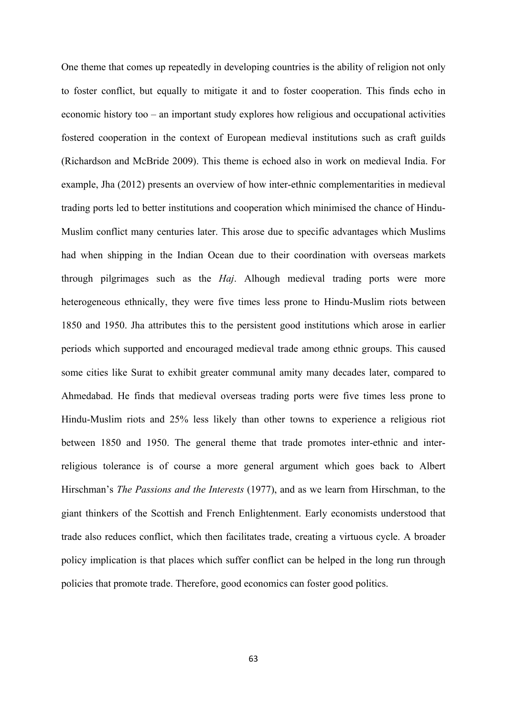One theme that comes up repeatedly in developing countries is the ability of religion not only to foster conflict, but equally to mitigate it and to foster cooperation. This finds echo in economic history too – an important study explores how religious and occupational activities fostered cooperation in the context of European medieval institutions such as craft guilds (Richardson and McBride 2009). This theme is echoed also in work on medieval India. For example, Jha (2012) presents an overview of how inter-ethnic complementarities in medieval trading ports led to better institutions and cooperation which minimised the chance of Hindu-Muslim conflict many centuries later. This arose due to specific advantages which Muslims had when shipping in the Indian Ocean due to their coordination with overseas markets through pilgrimages such as the *Haj*. Alhough medieval trading ports were more heterogeneous ethnically, they were five times less prone to Hindu-Muslim riots between 1850 and 1950. Jha attributes this to the persistent good institutions which arose in earlier periods which supported and encouraged medieval trade among ethnic groups. This caused some cities like Surat to exhibit greater communal amity many decades later, compared to Ahmedabad. He finds that medieval overseas trading ports were five times less prone to Hindu-Muslim riots and 25% less likely than other towns to experience a religious riot between 1850 and 1950. The general theme that trade promotes inter-ethnic and interreligious tolerance is of course a more general argument which goes back to Albert Hirschman's *The Passions and the Interests* (1977), and as we learn from Hirschman, to the giant thinkers of the Scottish and French Enlightenment. Early economists understood that trade also reduces conflict, which then facilitates trade, creating a virtuous cycle. A broader policy implication is that places which suffer conflict can be helped in the long run through policies that promote trade. Therefore, good economics can foster good politics.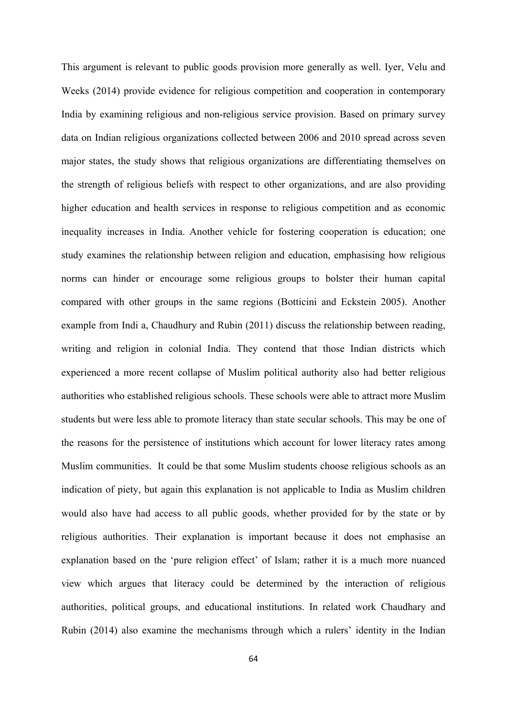This argument is relevant to public goods provision more generally as well. Iyer, Velu and Weeks (2014) provide evidence for religious competition and cooperation in contemporary India by examining religious and non-religious service provision. Based on primary survey data on Indian religious organizations collected between 2006 and 2010 spread across seven major states, the study shows that religious organizations are differentiating themselves on the strength of religious beliefs with respect to other organizations, and are also providing higher education and health services in response to religious competition and as economic inequality increases in India. Another vehicle for fostering cooperation is education; one study examines the relationship between religion and education, emphasising how religious norms can hinder or encourage some religious groups to bolster their human capital compared with other groups in the same regions (Botticini and Eckstein 2005). Another example from Indi a, Chaudhury and Rubin (2011) discuss the relationship between reading, writing and religion in colonial India. They contend that those Indian districts which experienced a more recent collapse of Muslim political authority also had better religious authorities who established religious schools. These schools were able to attract more Muslim students but were less able to promote literacy than state secular schools. This may be one of the reasons for the persistence of institutions which account for lower literacy rates among Muslim communities. It could be that some Muslim students choose religious schools as an indication of piety, but again this explanation is not applicable to India as Muslim children would also have had access to all public goods, whether provided for by the state or by religious authorities. Their explanation is important because it does not emphasise an explanation based on the 'pure religion effect' of Islam; rather it is a much more nuanced view which argues that literacy could be determined by the interaction of religious authorities, political groups, and educational institutions. In related work Chaudhary and Rubin (2014) also examine the mechanisms through which a rulers' identity in the Indian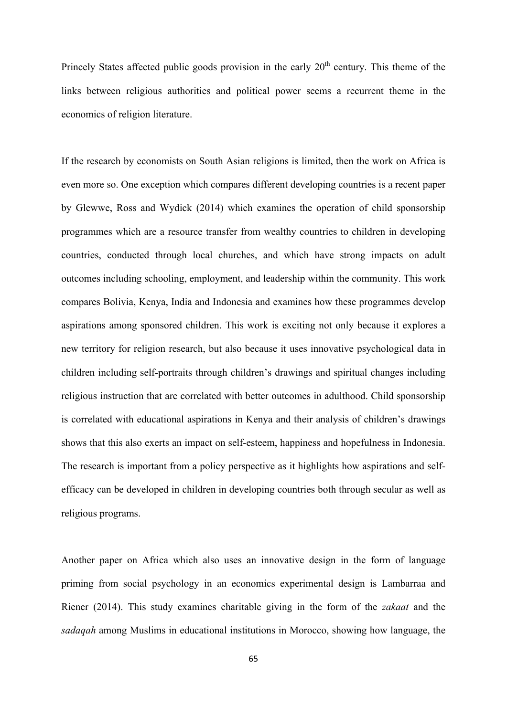Princely States affected public goods provision in the early  $20<sup>th</sup>$  century. This theme of the links between religious authorities and political power seems a recurrent theme in the economics of religion literature.

If the research by economists on South Asian religions is limited, then the work on Africa is even more so. One exception which compares different developing countries is a recent paper by Glewwe, Ross and Wydick (2014) which examines the operation of child sponsorship programmes which are a resource transfer from wealthy countries to children in developing countries, conducted through local churches, and which have strong impacts on adult outcomes including schooling, employment, and leadership within the community. This work compares Bolivia, Kenya, India and Indonesia and examines how these programmes develop aspirations among sponsored children. This work is exciting not only because it explores a new territory for religion research, but also because it uses innovative psychological data in children including self-portraits through children's drawings and spiritual changes including religious instruction that are correlated with better outcomes in adulthood. Child sponsorship is correlated with educational aspirations in Kenya and their analysis of children's drawings shows that this also exerts an impact on self-esteem, happiness and hopefulness in Indonesia. The research is important from a policy perspective as it highlights how aspirations and selfefficacy can be developed in children in developing countries both through secular as well as religious programs.

Another paper on Africa which also uses an innovative design in the form of language priming from social psychology in an economics experimental design is Lambarraa and Riener (2014). This study examines charitable giving in the form of the *zakaat* and the *sadaqah* among Muslims in educational institutions in Morocco, showing how language, the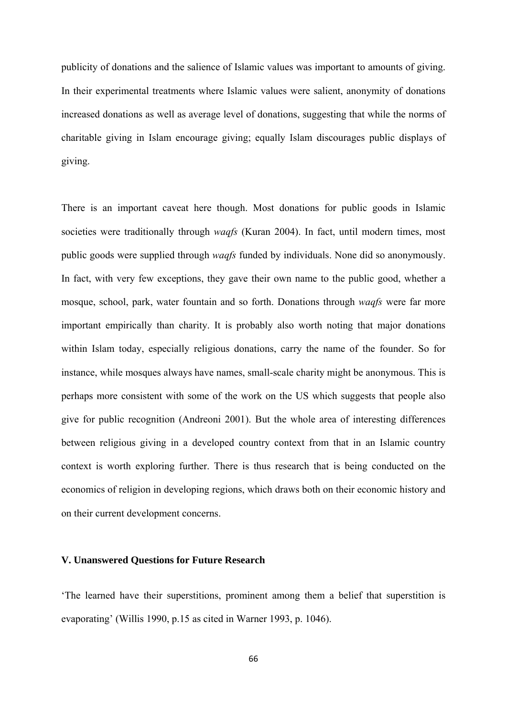publicity of donations and the salience of Islamic values was important to amounts of giving. In their experimental treatments where Islamic values were salient, anonymity of donations increased donations as well as average level of donations, suggesting that while the norms of charitable giving in Islam encourage giving; equally Islam discourages public displays of giving.

There is an important caveat here though. Most donations for public goods in Islamic societies were traditionally through *waqfs* (Kuran 2004). In fact, until modern times, most public goods were supplied through *waqfs* funded by individuals. None did so anonymously. In fact, with very few exceptions, they gave their own name to the public good, whether a mosque, school, park, water fountain and so forth. Donations through *waqfs* were far more important empirically than charity. It is probably also worth noting that major donations within Islam today, especially religious donations, carry the name of the founder. So for instance, while mosques always have names, small-scale charity might be anonymous. This is perhaps more consistent with some of the work on the US which suggests that people also give for public recognition (Andreoni 2001). But the whole area of interesting differences between religious giving in a developed country context from that in an Islamic country context is worth exploring further. There is thus research that is being conducted on the economics of religion in developing regions, which draws both on their economic history and on their current development concerns.

# **V. Unanswered Questions for Future Research**

'The learned have their superstitions, prominent among them a belief that superstition is evaporating' (Willis 1990, p.15 as cited in Warner 1993, p. 1046).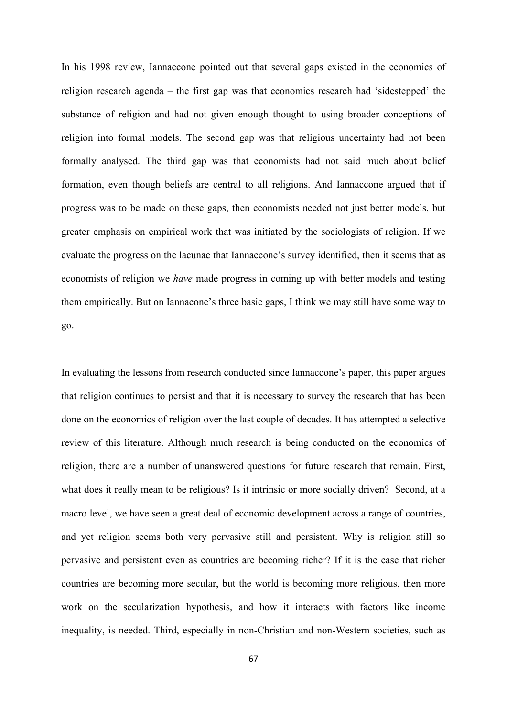In his 1998 review, Iannaccone pointed out that several gaps existed in the economics of religion research agenda – the first gap was that economics research had 'sidestepped' the substance of religion and had not given enough thought to using broader conceptions of religion into formal models. The second gap was that religious uncertainty had not been formally analysed. The third gap was that economists had not said much about belief formation, even though beliefs are central to all religions. And Iannaccone argued that if progress was to be made on these gaps, then economists needed not just better models, but greater emphasis on empirical work that was initiated by the sociologists of religion. If we evaluate the progress on the lacunae that Iannaccone's survey identified, then it seems that as economists of religion we *have* made progress in coming up with better models and testing them empirically. But on Iannacone's three basic gaps, I think we may still have some way to go.

In evaluating the lessons from research conducted since Iannaccone's paper, this paper argues that religion continues to persist and that it is necessary to survey the research that has been done on the economics of religion over the last couple of decades. It has attempted a selective review of this literature. Although much research is being conducted on the economics of religion, there are a number of unanswered questions for future research that remain. First, what does it really mean to be religious? Is it intrinsic or more socially driven? Second, at a macro level, we have seen a great deal of economic development across a range of countries, and yet religion seems both very pervasive still and persistent. Why is religion still so pervasive and persistent even as countries are becoming richer? If it is the case that richer countries are becoming more secular, but the world is becoming more religious, then more work on the secularization hypothesis, and how it interacts with factors like income inequality, is needed. Third, especially in non-Christian and non-Western societies, such as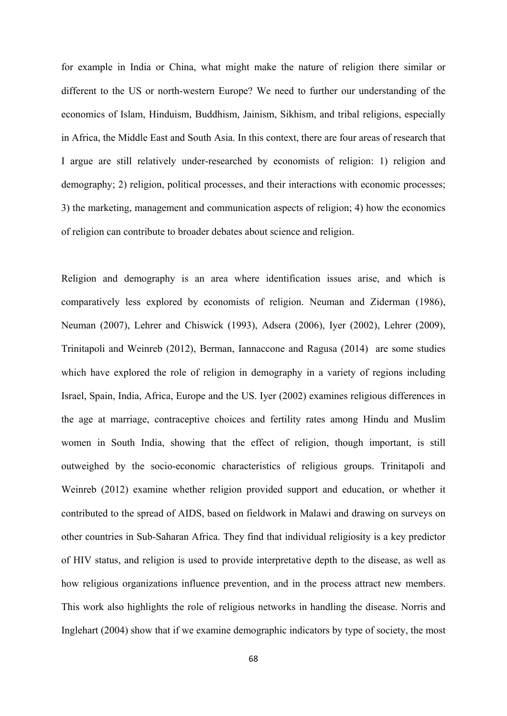for example in India or China, what might make the nature of religion there similar or different to the US or north-western Europe? We need to further our understanding of the economics of Islam, Hinduism, Buddhism, Jainism, Sikhism, and tribal religions, especially in Africa, the Middle East and South Asia. In this context, there are four areas of research that I argue are still relatively under-researched by economists of religion: 1) religion and demography; 2) religion, political processes, and their interactions with economic processes; 3) the marketing, management and communication aspects of religion; 4) how the economics of religion can contribute to broader debates about science and religion.

Religion and demography is an area where identification issues arise, and which is comparatively less explored by economists of religion. Neuman and Ziderman (1986), Neuman (2007), Lehrer and Chiswick (1993), Adsera (2006), Iyer (2002), Lehrer (2009), Trinitapoli and Weinreb (2012), Berman, Iannaccone and Ragusa (2014) are some studies which have explored the role of religion in demography in a variety of regions including Israel, Spain, India, Africa, Europe and the US. Iyer (2002) examines religious differences in the age at marriage, contraceptive choices and fertility rates among Hindu and Muslim women in South India, showing that the effect of religion, though important, is still outweighed by the socio-economic characteristics of religious groups. Trinitapoli and Weinreb (2012) examine whether religion provided support and education, or whether it contributed to the spread of AIDS, based on fieldwork in Malawi and drawing on surveys on other countries in Sub-Saharan Africa. They find that individual religiosity is a key predictor of HIV status, and religion is used to provide interpretative depth to the disease, as well as how religious organizations influence prevention, and in the process attract new members. This work also highlights the role of religious networks in handling the disease. Norris and Inglehart (2004) show that if we examine demographic indicators by type of society, the most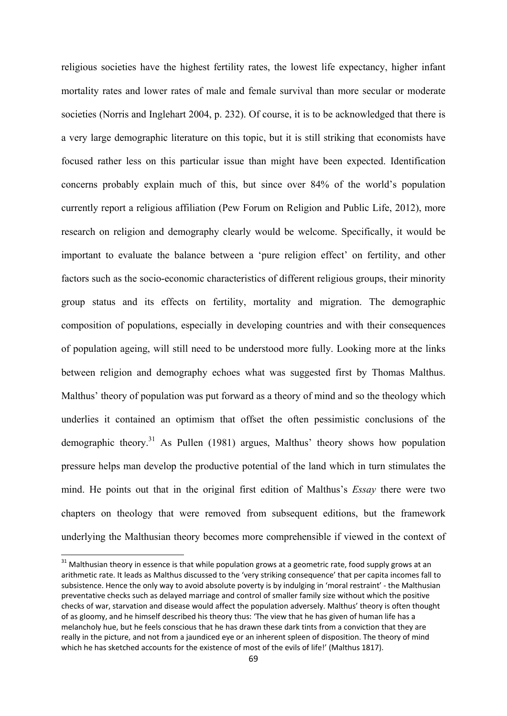religious societies have the highest fertility rates, the lowest life expectancy, higher infant mortality rates and lower rates of male and female survival than more secular or moderate societies (Norris and Inglehart 2004, p. 232). Of course, it is to be acknowledged that there is a very large demographic literature on this topic, but it is still striking that economists have focused rather less on this particular issue than might have been expected. Identification concerns probably explain much of this, but since over 84% of the world's population currently report a religious affiliation (Pew Forum on Religion and Public Life, 2012), more research on religion and demography clearly would be welcome. Specifically, it would be important to evaluate the balance between a 'pure religion effect' on fertility, and other factors such as the socio-economic characteristics of different religious groups, their minority group status and its effects on fertility, mortality and migration. The demographic composition of populations, especially in developing countries and with their consequences of population ageing, will still need to be understood more fully. Looking more at the links between religion and demography echoes what was suggested first by Thomas Malthus. Malthus' theory of population was put forward as a theory of mind and so the theology which underlies it contained an optimism that offset the often pessimistic conclusions of the demographic theory.<sup>31</sup> As Pullen (1981) argues, Malthus' theory shows how population pressure helps man develop the productive potential of the land which in turn stimulates the mind. He points out that in the original first edition of Malthus's *Essay* there were two chapters on theology that were removed from subsequent editions, but the framework underlying the Malthusian theory becomes more comprehensible if viewed in the context of

 $31$  Malthusian theory in essence is that while population grows at a geometric rate, food supply grows at an arithmetic rate. It leads as Malthus discussed to the 'very striking consequence' that per capita incomes fall to subsistence. Hence the only way to avoid absolute poverty is by indulging in 'moral restraint' ‐ the Malthusian preventative checks such as delayed marriage and control of smaller family size without which the positive checks of war, starvation and disease would affect the population adversely. Malthus' theory is often thought of as gloomy, and he himself described his theory thus: 'The view that he has given of human life has a melancholy hue, but he feels conscious that he has drawn these dark tints from a conviction that they are really in the picture, and not from a jaundiced eye or an inherent spleen of disposition. The theory of mind which he has sketched accounts for the existence of most of the evils of life!' (Malthus 1817).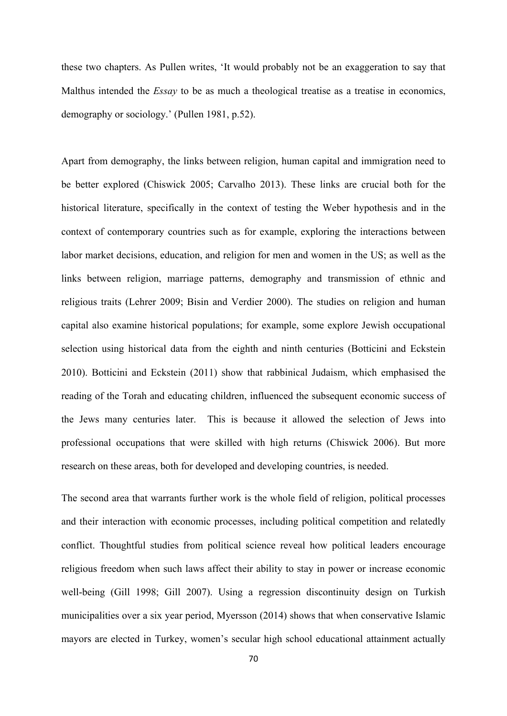these two chapters. As Pullen writes, 'It would probably not be an exaggeration to say that Malthus intended the *Essay* to be as much a theological treatise as a treatise in economics, demography or sociology.' (Pullen 1981, p.52).

Apart from demography, the links between religion, human capital and immigration need to be better explored (Chiswick 2005; Carvalho 2013). These links are crucial both for the historical literature, specifically in the context of testing the Weber hypothesis and in the context of contemporary countries such as for example, exploring the interactions between labor market decisions, education, and religion for men and women in the US; as well as the links between religion, marriage patterns, demography and transmission of ethnic and religious traits (Lehrer 2009; Bisin and Verdier 2000). The studies on religion and human capital also examine historical populations; for example, some explore Jewish occupational selection using historical data from the eighth and ninth centuries (Botticini and Eckstein 2010). Botticini and Eckstein (2011) show that rabbinical Judaism, which emphasised the reading of the Torah and educating children, influenced the subsequent economic success of the Jews many centuries later. This is because it allowed the selection of Jews into professional occupations that were skilled with high returns (Chiswick 2006). But more research on these areas, both for developed and developing countries, is needed.

The second area that warrants further work is the whole field of religion, political processes and their interaction with economic processes, including political competition and relatedly conflict. Thoughtful studies from political science reveal how political leaders encourage religious freedom when such laws affect their ability to stay in power or increase economic well-being (Gill 1998; Gill 2007). Using a regression discontinuity design on Turkish municipalities over a six year period, Myersson (2014) shows that when conservative Islamic mayors are elected in Turkey, women's secular high school educational attainment actually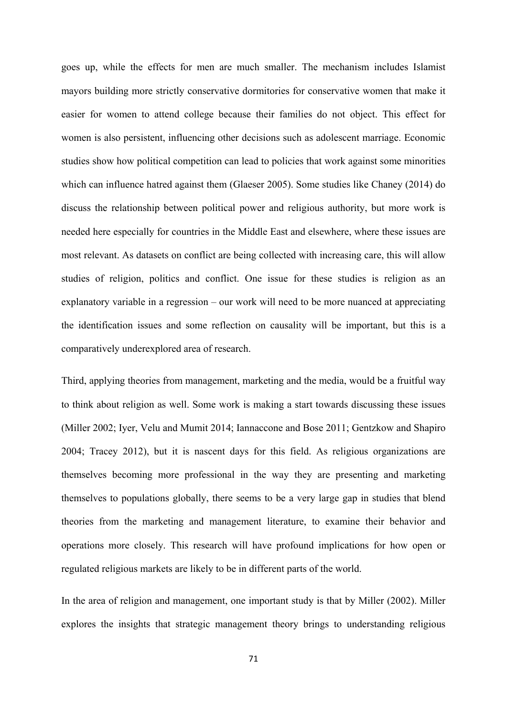goes up, while the effects for men are much smaller. The mechanism includes Islamist mayors building more strictly conservative dormitories for conservative women that make it easier for women to attend college because their families do not object. This effect for women is also persistent, influencing other decisions such as adolescent marriage. Economic studies show how political competition can lead to policies that work against some minorities which can influence hatred against them (Glaeser 2005). Some studies like Chaney (2014) do discuss the relationship between political power and religious authority, but more work is needed here especially for countries in the Middle East and elsewhere, where these issues are most relevant. As datasets on conflict are being collected with increasing care, this will allow studies of religion, politics and conflict. One issue for these studies is religion as an explanatory variable in a regression – our work will need to be more nuanced at appreciating the identification issues and some reflection on causality will be important, but this is a comparatively underexplored area of research.

Third, applying theories from management, marketing and the media, would be a fruitful way to think about religion as well. Some work is making a start towards discussing these issues (Miller 2002; Iyer, Velu and Mumit 2014; Iannaccone and Bose 2011; Gentzkow and Shapiro 2004; Tracey 2012), but it is nascent days for this field. As religious organizations are themselves becoming more professional in the way they are presenting and marketing themselves to populations globally, there seems to be a very large gap in studies that blend theories from the marketing and management literature, to examine their behavior and operations more closely. This research will have profound implications for how open or regulated religious markets are likely to be in different parts of the world.

In the area of religion and management, one important study is that by Miller (2002). Miller explores the insights that strategic management theory brings to understanding religious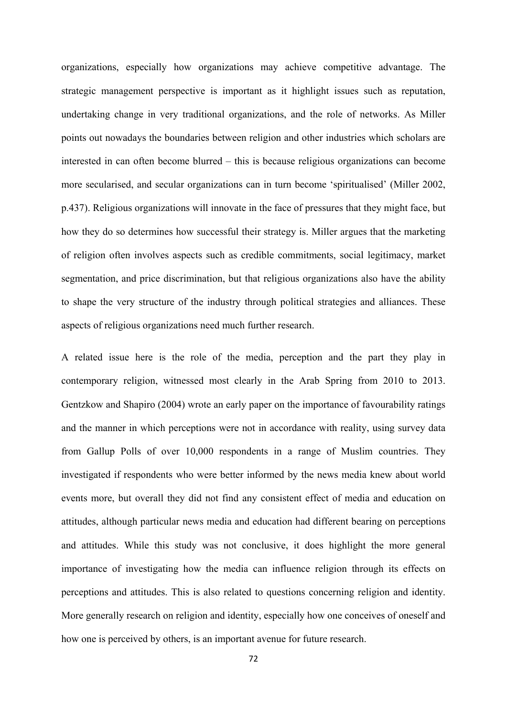organizations, especially how organizations may achieve competitive advantage. The strategic management perspective is important as it highlight issues such as reputation, undertaking change in very traditional organizations, and the role of networks. As Miller points out nowadays the boundaries between religion and other industries which scholars are interested in can often become blurred – this is because religious organizations can become more secularised, and secular organizations can in turn become 'spiritualised' (Miller 2002, p.437). Religious organizations will innovate in the face of pressures that they might face, but how they do so determines how successful their strategy is. Miller argues that the marketing of religion often involves aspects such as credible commitments, social legitimacy, market segmentation, and price discrimination, but that religious organizations also have the ability to shape the very structure of the industry through political strategies and alliances. These aspects of religious organizations need much further research.

A related issue here is the role of the media, perception and the part they play in contemporary religion, witnessed most clearly in the Arab Spring from 2010 to 2013. Gentzkow and Shapiro (2004) wrote an early paper on the importance of favourability ratings and the manner in which perceptions were not in accordance with reality, using survey data from Gallup Polls of over 10,000 respondents in a range of Muslim countries. They investigated if respondents who were better informed by the news media knew about world events more, but overall they did not find any consistent effect of media and education on attitudes, although particular news media and education had different bearing on perceptions and attitudes. While this study was not conclusive, it does highlight the more general importance of investigating how the media can influence religion through its effects on perceptions and attitudes. This is also related to questions concerning religion and identity. More generally research on religion and identity, especially how one conceives of oneself and how one is perceived by others, is an important avenue for future research.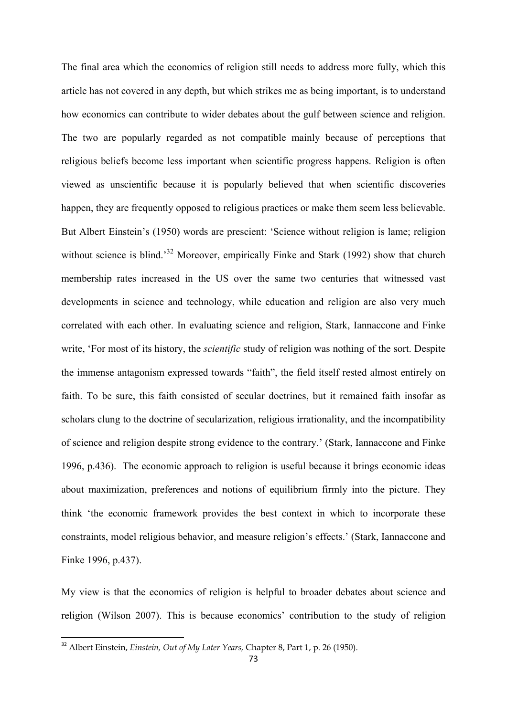The final area which the economics of religion still needs to address more fully, which this article has not covered in any depth, but which strikes me as being important, is to understand how economics can contribute to wider debates about the gulf between science and religion. The two are popularly regarded as not compatible mainly because of perceptions that religious beliefs become less important when scientific progress happens. Religion is often viewed as unscientific because it is popularly believed that when scientific discoveries happen, they are frequently opposed to religious practices or make them seem less believable. But Albert Einstein's (1950) words are prescient: 'Science without religion is lame; religion without science is blind.<sup>32</sup> Moreover, empirically Finke and Stark (1992) show that church membership rates increased in the US over the same two centuries that witnessed vast developments in science and technology, while education and religion are also very much correlated with each other. In evaluating science and religion, Stark, Iannaccone and Finke write, 'For most of its history, the *scientific* study of religion was nothing of the sort. Despite the immense antagonism expressed towards "faith", the field itself rested almost entirely on faith. To be sure, this faith consisted of secular doctrines, but it remained faith insofar as scholars clung to the doctrine of secularization, religious irrationality, and the incompatibility of science and religion despite strong evidence to the contrary.' (Stark, Iannaccone and Finke 1996, p.436). The economic approach to religion is useful because it brings economic ideas about maximization, preferences and notions of equilibrium firmly into the picture. They think 'the economic framework provides the best context in which to incorporate these constraints, model religious behavior, and measure religion's effects.' (Stark, Iannaccone and Finke 1996, p.437).

My view is that the economics of religion is helpful to broader debates about science and religion (Wilson 2007). This is because economics' contribution to the study of religion

<sup>32</sup> Albert Einstein, *Einstein, Out of My Later Years,* Chapter 8, Part 1, p. 26 (1950).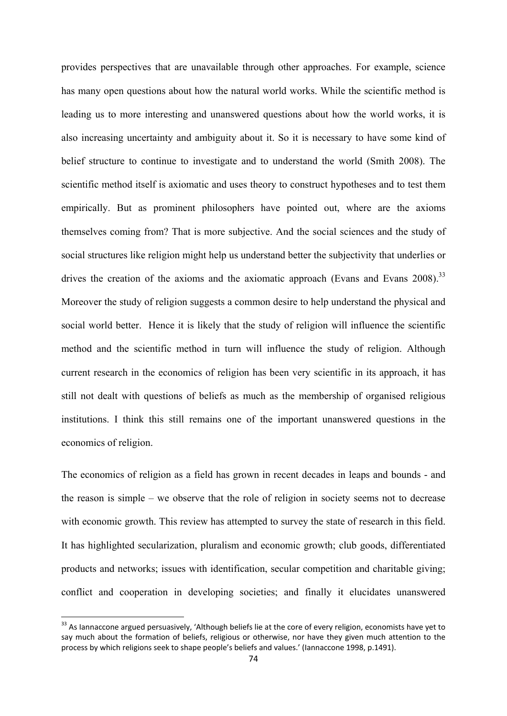provides perspectives that are unavailable through other approaches. For example, science has many open questions about how the natural world works. While the scientific method is leading us to more interesting and unanswered questions about how the world works, it is also increasing uncertainty and ambiguity about it. So it is necessary to have some kind of belief structure to continue to investigate and to understand the world (Smith 2008). The scientific method itself is axiomatic and uses theory to construct hypotheses and to test them empirically. But as prominent philosophers have pointed out, where are the axioms themselves coming from? That is more subjective. And the social sciences and the study of social structures like religion might help us understand better the subjectivity that underlies or drives the creation of the axioms and the axiomatic approach (Evans and Evans  $2008$ ).<sup>33</sup> Moreover the study of religion suggests a common desire to help understand the physical and social world better. Hence it is likely that the study of religion will influence the scientific method and the scientific method in turn will influence the study of religion. Although current research in the economics of religion has been very scientific in its approach, it has still not dealt with questions of beliefs as much as the membership of organised religious institutions. I think this still remains one of the important unanswered questions in the economics of religion.

The economics of religion as a field has grown in recent decades in leaps and bounds - and the reason is simple – we observe that the role of religion in society seems not to decrease with economic growth. This review has attempted to survey the state of research in this field. It has highlighted secularization, pluralism and economic growth; club goods, differentiated products and networks; issues with identification, secular competition and charitable giving; conflict and cooperation in developing societies; and finally it elucidates unanswered

 $33$  As Iannaccone argued persuasively, 'Although beliefs lie at the core of every religion, economists have yet to say much about the formation of beliefs, religious or otherwise, nor have they given much attention to the process by which religions seek to shape people's beliefs and values.' (Iannaccone 1998, p.1491).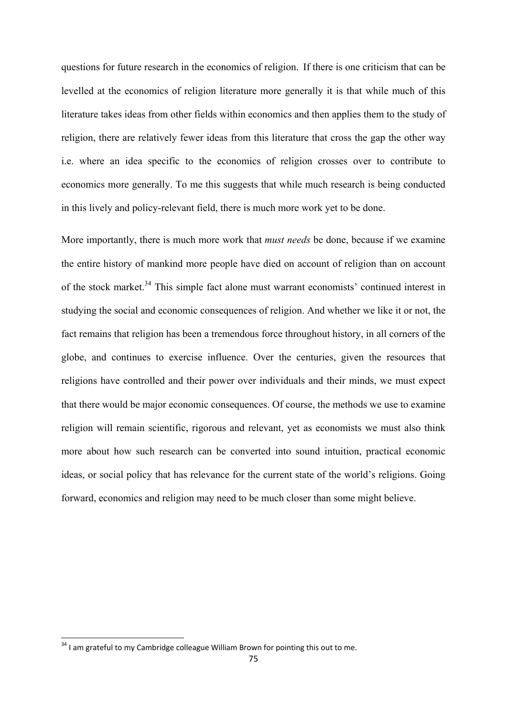questions for future research in the economics of religion. If there is one criticism that can be levelled at the economics of religion literature more generally it is that while much of this literature takes ideas from other fields within economics and then applies them to the study of religion, there are relatively fewer ideas from this literature that cross the gap the other way i.e. where an idea specific to the economics of religion crosses over to contribute to economics more generally. To me this suggests that while much research is being conducted in this lively and policy-relevant field, there is much more work yet to be done.

More importantly, there is much more work that *must needs* be done, because if we examine the entire history of mankind more people have died on account of religion than on account of the stock market.<sup>34</sup> This simple fact alone must warrant economists' continued interest in studying the social and economic consequences of religion. And whether we like it or not, the fact remains that religion has been a tremendous force throughout history, in all corners of the globe, and continues to exercise influence. Over the centuries, given the resources that religions have controlled and their power over individuals and their minds, we must expect that there would be major economic consequences. Of course, the methods we use to examine religion will remain scientific, rigorous and relevant, yet as economists we must also think more about how such research can be converted into sound intuition, practical economic ideas, or social policy that has relevance for the current state of the world's religions. Going forward, economics and religion may need to be much closer than some might believe.

 $34$  I am grateful to my Cambridge colleague William Brown for pointing this out to me.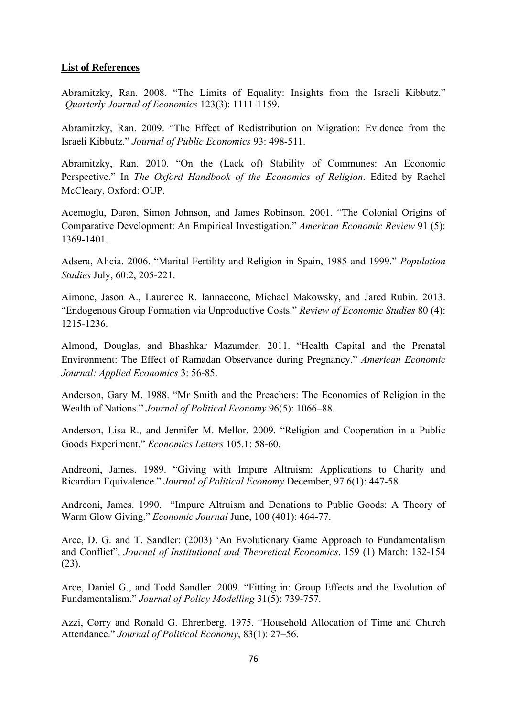## **List of References**

Abramitzky, Ran. 2008. "The Limits of Equality: Insights from the Israeli Kibbutz." *Quarterly Journal of Economics* 123(3): 1111-1159.

Abramitzky, Ran. 2009. "The Effect of Redistribution on Migration: Evidence from the Israeli Kibbutz." *Journal of Public Economics* 93: 498-511.

Abramitzky, Ran. 2010. "On the (Lack of) Stability of Communes: An Economic Perspective." In *The Oxford Handbook of the Economics of Religion*. Edited by Rachel McCleary, Oxford: OUP.

Acemoglu, Daron, Simon Johnson, and James Robinson. 2001. "The Colonial Origins of Comparative Development: An Empirical Investigation." *American Economic Review* 91 (5): 1369-1401.

Adsera, Alicia. 2006. "Marital Fertility and Religion in Spain, 1985 and 1999." *Population Studies* July, 60:2, 205-221.

Aimone, Jason A., Laurence R. Iannaccone, Michael Makowsky, and Jared Rubin. 2013. "Endogenous Group Formation via Unproductive Costs." *Review of Economic Studies* 80 (4): 1215-1236.

Almond, Douglas, and Bhashkar Mazumder. 2011. "Health Capital and the Prenatal Environment: The Effect of Ramadan Observance during Pregnancy." *American Economic Journal: Applied Economics* 3: 56-85.

Anderson, Gary M. 1988. "Mr Smith and the Preachers: The Economics of Religion in the Wealth of Nations." *Journal of Political Economy* 96(5): 1066–88.

Anderson, Lisa R., and Jennifer M. Mellor. 2009. "Religion and Cooperation in a Public Goods Experiment." *Economics Letters* 105.1: 58-60.

Andreoni, James. 1989. "Giving with Impure Altruism: Applications to Charity and Ricardian Equivalence." *Journal of Political Economy* December, 97 6(1): 447-58.

Andreoni, James. 1990. "Impure Altruism and Donations to Public Goods: A Theory of Warm Glow Giving." *Economic Journal* June, 100 (401): 464-77.

Arce, D. G. and T. Sandler: (2003) 'An Evolutionary Game Approach to Fundamentalism and Conflict", *Journal of Institutional and Theoretical Economics*. 159 (1) March: 132-154 (23).

Arce, Daniel G., and Todd Sandler. 2009. "Fitting in: Group Effects and the Evolution of Fundamentalism." *Journal of Policy Modelling* 31(5): 739-757.

Azzi, Corry and Ronald G. Ehrenberg. 1975. "Household Allocation of Time and Church Attendance." *Journal of Political Economy*, 83(1): 27–56.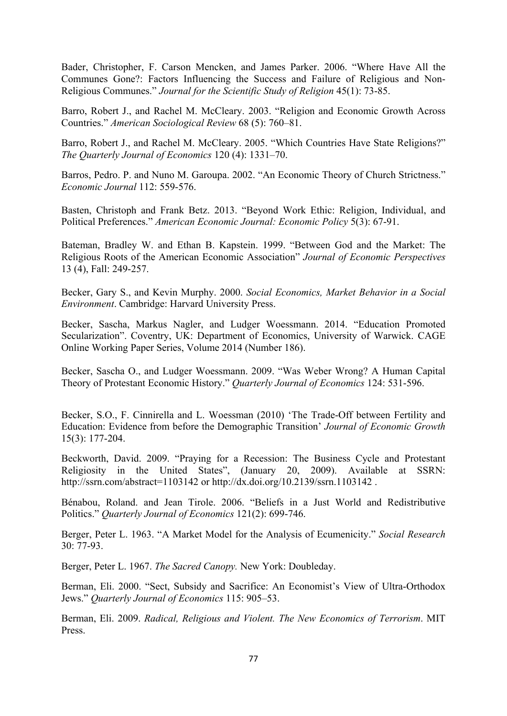Bader, Christopher, F. Carson Mencken, and James Parker. 2006. "Where Have All the Communes Gone?: Factors Influencing the Success and Failure of Religious and Non-Religious Communes." *Journal for the Scientific Study of Religion* 45(1): 73-85.

Barro, Robert J., and Rachel M. McCleary. 2003. "Religion and Economic Growth Across Countries." *American Sociological Review* 68 (5): 760–81.

Barro, Robert J., and Rachel M. McCleary. 2005. "Which Countries Have State Religions?" *The Quarterly Journal of Economics* 120 (4): 1331–70.

Barros, Pedro. P. and Nuno M. Garoupa. 2002. "An Economic Theory of Church Strictness." *Economic Journal* 112: 559-576.

Basten, Christoph and Frank Betz. 2013. "Beyond Work Ethic: Religion, Individual, and Political Preferences." *American Economic Journal: Economic Policy* 5(3): 67-91.

Bateman, Bradley W. and Ethan B. Kapstein. 1999. "Between God and the Market: The Religious Roots of the American Economic Association" *Journal of Economic Perspectives* 13 (4), Fall: 249-257.

Becker, Gary S., and Kevin Murphy. 2000. *Social Economics, Market Behavior in a Social Environment*. Cambridge: Harvard University Press.

Becker, Sascha, Markus Nagler, and Ludger Woessmann. 2014. "Education Promoted Secularization". Coventry, UK: Department of Economics, University of Warwick. CAGE Online Working Paper Series, Volume 2014 (Number 186).

Becker, Sascha O., and Ludger Woessmann. 2009. "Was Weber Wrong? A Human Capital Theory of Protestant Economic History." *Quarterly Journal of Economics* 124: 531-596.

Becker, S.O., F. Cinnirella and L. Woessman (2010) 'The Trade-Off between Fertility and Education: Evidence from before the Demographic Transition' *Journal of Economic Growth* 15(3): 177-204.

Beckworth, David. 2009. "Praying for a Recession: The Business Cycle and Protestant Religiosity in the United States", (January 20, 2009). Available at SSRN: http://ssrn.com/abstract=1103142 or http://dx.doi.org/10.2139/ssrn.1103142 .

Bénabou, Roland. and Jean Tirole. 2006. "Beliefs in a Just World and Redistributive Politics." *Quarterly Journal of Economics* 121(2): 699-746.

Berger, Peter L. 1963. "A Market Model for the Analysis of Ecumenicity." *Social Research* 30: 77-93.

Berger, Peter L. 1967. *The Sacred Canopy.* New York: Doubleday.

Berman, Eli. 2000. "Sect, Subsidy and Sacrifice: An Economist's View of Ultra-Orthodox Jews." *Quarterly Journal of Economics* 115: 905–53.

Berman, Eli. 2009. *Radical, Religious and Violent. The New Economics of Terrorism*. MIT Press.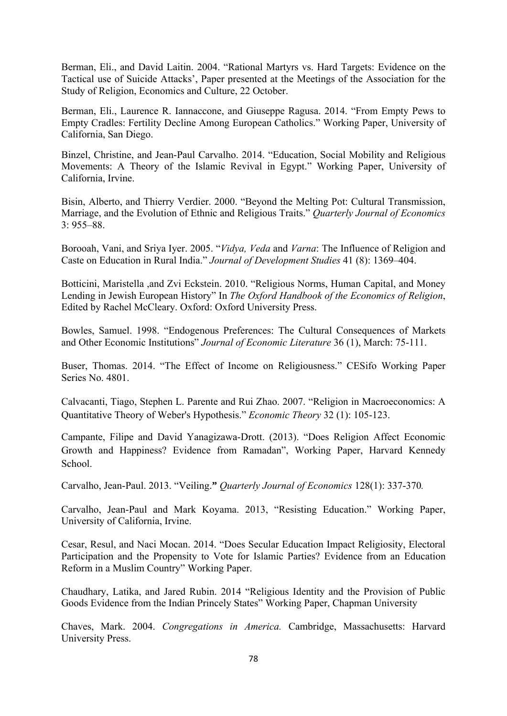Berman, Eli., and David Laitin. 2004. "Rational Martyrs vs. Hard Targets: Evidence on the Tactical use of Suicide Attacks', Paper presented at the Meetings of the Association for the Study of Religion, Economics and Culture, 22 October.

Berman, Eli., Laurence R. Iannaccone, and Giuseppe Ragusa. 2014. "From Empty Pews to Empty Cradles: Fertility Decline Among European Catholics." Working Paper, University of California, San Diego.

Binzel, Christine, and Jean-Paul Carvalho. 2014. "Education, Social Mobility and Religious Movements: A Theory of the Islamic Revival in Egypt." Working Paper, University of California, Irvine.

Bisin, Alberto, and Thierry Verdier. 2000. "Beyond the Melting Pot: Cultural Transmission, Marriage, and the Evolution of Ethnic and Religious Traits." *Quarterly Journal of Economics*  $3.955 - 88$ 

Borooah, Vani, and Sriya Iyer. 2005. "*Vidya, Veda* and *Varna*: The Influence of Religion and Caste on Education in Rural India." *Journal of Development Studies* 41 (8): 1369–404.

Botticini, Maristella ,and Zvi Eckstein. 2010. "Religious Norms, Human Capital, and Money Lending in Jewish European History" In *The Oxford Handbook of the Economics of Religion*, Edited by Rachel McCleary. Oxford: Oxford University Press.

Bowles, Samuel. 1998. "Endogenous Preferences: The Cultural Consequences of Markets and Other Economic Institutions" *Journal of Economic Literature* 36 (1), March: 75-111.

Buser, Thomas. 2014. "The Effect of Income on Religiousness." CESifo Working Paper Series No. 4801.

Calvacanti, Tiago, Stephen L. Parente and Rui Zhao. 2007. "Religion in Macroeconomics: A Quantitative Theory of Weber's Hypothesis." *Economic Theory* 32 (1): 105-123.

Campante, Filipe and David Yanagizawa-Drott. (2013). "Does Religion Affect Economic Growth and Happiness? Evidence from Ramadan", Working Paper, Harvard Kennedy School.

Carvalho, Jean-Paul. 2013. "Veiling.**"** *Quarterly Journal of Economics* 128(1): 337-370*.* 

Carvalho, Jean-Paul and Mark Koyama. 2013, "Resisting Education." Working Paper, University of California, Irvine.

Cesar, Resul, and Naci Mocan. 2014. "Does Secular Education Impact Religiosity, Electoral Participation and the Propensity to Vote for Islamic Parties? Evidence from an Education Reform in a Muslim Country" Working Paper.

Chaudhary, Latika, and Jared Rubin. 2014 "Religious Identity and the Provision of Public Goods Evidence from the Indian Princely States" Working Paper, Chapman University

Chaves, Mark. 2004. *Congregations in America.* Cambridge, Massachusetts: Harvard University Press.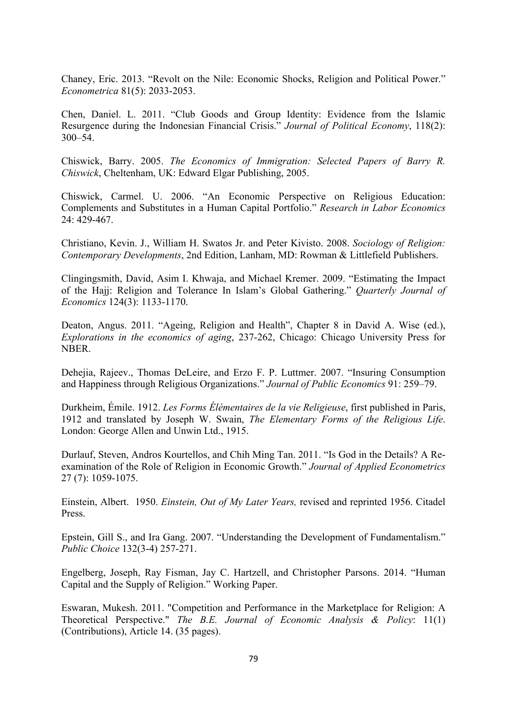Chaney, Eric. 2013. "Revolt on the Nile: Economic Shocks, Religion and Political Power." *Econometrica* 81(5): 2033-2053.

Chen, Daniel. L. 2011. "Club Goods and Group Identity: Evidence from the Islamic Resurgence during the Indonesian Financial Crisis." *Journal of Political Economy*, 118(2): 300–54.

Chiswick, Barry. 2005. *The Economics of Immigration: Selected Papers of Barry R. Chiswick*, Cheltenham, UK: Edward Elgar Publishing, 2005.

Chiswick, Carmel. U. 2006. "An Economic Perspective on Religious Education: Complements and Substitutes in a Human Capital Portfolio." *Research in Labor Economics* 24: 429-467.

Christiano, Kevin. J., William H. Swatos Jr. and Peter Kivisto. 2008. *Sociology of Religion: Contemporary Developments*, 2nd Edition, Lanham, MD: Rowman & Littlefield Publishers.

Clingingsmith, David, Asim I. Khwaja, and Michael Kremer. 2009. "Estimating the Impact of the Hajj: Religion and Tolerance In Islam's Global Gathering." *Quarterly Journal of Economics* 124(3): 1133-1170.

Deaton, Angus. 2011. "Ageing, Religion and Health", Chapter 8 in David A. Wise (ed.), *Explorations in the economics of aging*, 237-262, Chicago: Chicago University Press for NBER.

Dehejia, Rajeev., Thomas DeLeire, and Erzo F. P. Luttmer. 2007. "Insuring Consumption and Happiness through Religious Organizations." *Journal of Public Economics* 91: 259–79.

Durkheim, Émile. 1912. *Les Forms Élémentaires de la vie Religieuse*, first published in Paris, 1912 and translated by Joseph W. Swain, *The Elementary Forms of the Religious Life*. London: George Allen and Unwin Ltd., 1915.

Durlauf, Steven, Andros Kourtellos, and Chih Ming Tan. 2011. "Is God in the Details? A Reexamination of the Role of Religion in Economic Growth." *Journal of Applied Econometrics* 27 (7): 1059-1075.

Einstein, Albert. 1950. *Einstein, Out of My Later Years,* revised and reprinted 1956. Citadel Press.

Epstein, Gill S., and Ira Gang. 2007. "Understanding the Development of Fundamentalism." *Public Choice* 132(3-4) 257-271.

Engelberg, Joseph, Ray Fisman, Jay C. Hartzell, and Christopher Parsons. 2014. "Human Capital and the Supply of Religion." Working Paper.

Eswaran, Mukesh. 2011. "Competition and Performance in the Marketplace for Religion: A Theoretical Perspective." *The B.E. Journal of Economic Analysis & Policy*: 11(1) (Contributions), Article 14. (35 pages).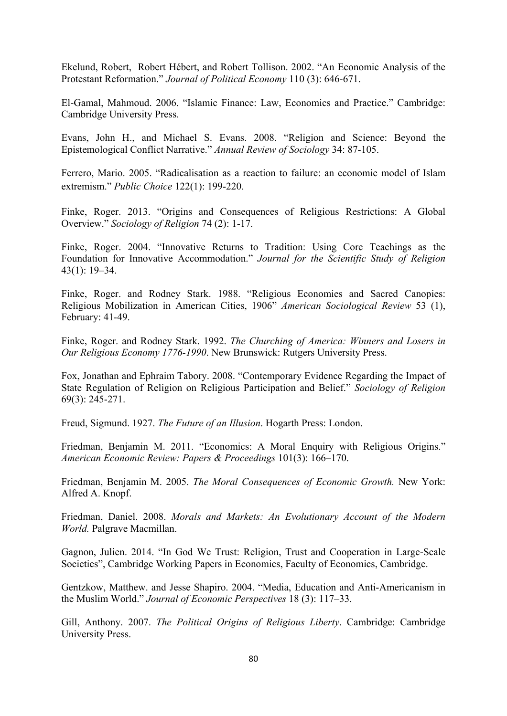Ekelund, Robert, Robert Hébert, and Robert Tollison. 2002. "An Economic Analysis of the Protestant Reformation." *Journal of Political Economy* 110 (3): 646-671.

El-Gamal, Mahmoud. 2006. "Islamic Finance: Law, Economics and Practice." Cambridge: Cambridge University Press.

Evans, John H., and Michael S. Evans. 2008. "Religion and Science: Beyond the Epistemological Conflict Narrative." *Annual Review of Sociology* 34: 87-105.

Ferrero, Mario. 2005. "Radicalisation as a reaction to failure: an economic model of Islam extremism." *Public Choice* 122(1): 199-220.

Finke, Roger. 2013. "Origins and Consequences of Religious Restrictions: A Global Overview." *Sociology of Religion* 74 (2): 1-17.

Finke, Roger. 2004. "Innovative Returns to Tradition: Using Core Teachings as the Foundation for Innovative Accommodation." *Journal for the Scientific Study of Religion*  43(1): 19–34.

Finke, Roger. and Rodney Stark. 1988. "Religious Economies and Sacred Canopies: Religious Mobilization in American Cities, 1906" *American Sociological Review* 53 (1), February: 41-49.

Finke, Roger. and Rodney Stark. 1992. *The Churching of America: Winners and Losers in Our Religious Economy 1776-1990*. New Brunswick: Rutgers University Press.

Fox, Jonathan and Ephraim Tabory. 2008. "Contemporary Evidence Regarding the Impact of State Regulation of Religion on Religious Participation and Belief." *Sociology of Religion* 69(3): 245-271.

Freud, Sigmund. 1927. *The Future of an Illusion*. Hogarth Press: London.

Friedman, Benjamin M. 2011. "Economics: A Moral Enquiry with Religious Origins." *American Economic Review: Papers & Proceedings* 101(3): 166–170.

Friedman, Benjamin M. 2005. *The Moral Consequences of Economic Growth.* New York: Alfred A. Knopf.

Friedman, Daniel. 2008. *Morals and Markets: An Evolutionary Account of the Modern World.* Palgrave Macmillan.

Gagnon, Julien. 2014. "In God We Trust: Religion, Trust and Cooperation in Large-Scale Societies", Cambridge Working Papers in Economics, Faculty of Economics, Cambridge.

Gentzkow, Matthew. and Jesse Shapiro. 2004. "Media, Education and Anti-Americanism in the Muslim World." *Journal of Economic Perspectives* 18 (3): 117–33.

Gill, Anthony. 2007. *The Political Origins of Religious Liberty*. Cambridge: Cambridge University Press.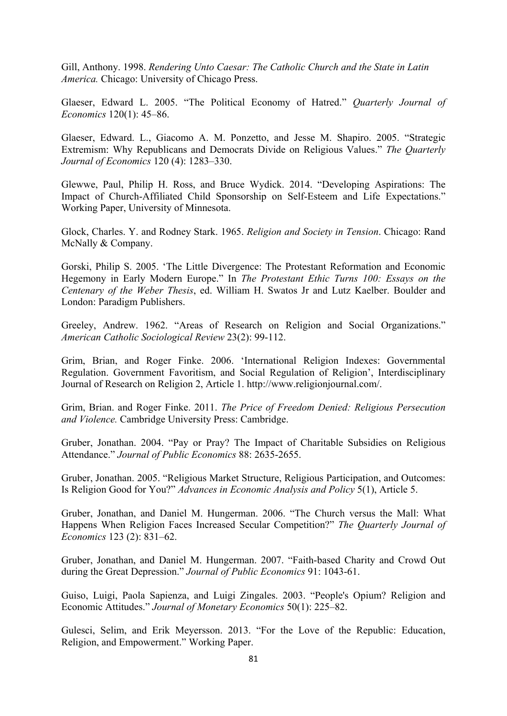Gill, Anthony. 1998. *Rendering Unto Caesar: The Catholic Church and the State in Latin America.* Chicago: University of Chicago Press.

Glaeser, Edward L. 2005. "The Political Economy of Hatred." *Quarterly Journal of Economics* 120(1): 45–86.

Glaeser, Edward. L., Giacomo A. M. Ponzetto, and Jesse M. Shapiro. 2005. "Strategic Extremism: Why Republicans and Democrats Divide on Religious Values." *The Quarterly Journal of Economics* 120 (4): 1283–330.

Glewwe, Paul, Philip H. Ross, and Bruce Wydick. 2014. "Developing Aspirations: The Impact of Church-Affiliated Child Sponsorship on Self-Esteem and Life Expectations." Working Paper, University of Minnesota.

Glock, Charles. Y. and Rodney Stark. 1965. *Religion and Society in Tension*. Chicago: Rand McNally & Company.

Gorski, Philip S. 2005. 'The Little Divergence: The Protestant Reformation and Economic Hegemony in Early Modern Europe." In *The Protestant Ethic Turns 100: Essays on the Centenary of the Weber Thesis*, ed. William H. Swatos Jr and Lutz Kaelber. Boulder and London: Paradigm Publishers.

Greeley, Andrew. 1962. "Areas of Research on Religion and Social Organizations." *American Catholic Sociological Review* 23(2): 99-112.

Grim, Brian, and Roger Finke. 2006. 'International Religion Indexes: Governmental Regulation. Government Favoritism, and Social Regulation of Religion', Interdisciplinary Journal of Research on Religion 2, Article 1. http://www.religionjournal.com/.

Grim, Brian. and Roger Finke. 2011. *The Price of Freedom Denied: Religious Persecution and Violence.* Cambridge University Press: Cambridge.

Gruber, Jonathan. 2004. "Pay or Pray? The Impact of Charitable Subsidies on Religious Attendance." *Journal of Public Economics* 88: 2635-2655.

Gruber, Jonathan. 2005. "Religious Market Structure, Religious Participation, and Outcomes: Is Religion Good for You?" *Advances in Economic Analysis and Policy* 5(1), Article 5.

Gruber, Jonathan, and Daniel M. Hungerman. 2006. "The Church versus the Mall: What Happens When Religion Faces Increased Secular Competition?" *The Quarterly Journal of Economics* 123 (2): 831–62.

Gruber, Jonathan, and Daniel M. Hungerman. 2007. "Faith-based Charity and Crowd Out during the Great Depression." *Journal of Public Economics* 91: 1043-61.

Guiso, Luigi, Paola Sapienza, and Luigi Zingales. 2003. "People's Opium? Religion and Economic Attitudes." *Journal of Monetary Economics* 50(1): 225–82.

Gulesci, Selim, and Erik Meyersson. 2013. "For the Love of the Republic: Education, Religion, and Empowerment." Working Paper.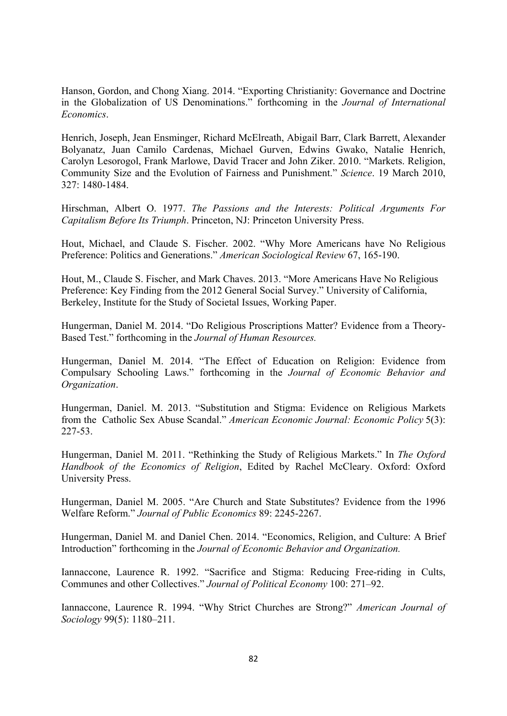Hanson, Gordon, and Chong Xiang. 2014. "Exporting Christianity: Governance and Doctrine in the Globalization of US Denominations." forthcoming in the *Journal of International Economics*.

Henrich, Joseph, Jean Ensminger, Richard McElreath, Abigail Barr, Clark Barrett, Alexander Bolyanatz, Juan Camilo Cardenas, Michael Gurven, Edwins Gwako, Natalie Henrich, Carolyn Lesorogol, Frank Marlowe, David Tracer and John Ziker. 2010. "Markets. Religion, Community Size and the Evolution of Fairness and Punishment." *Science*. 19 March 2010, 327: 1480-1484.

Hirschman, Albert O. 1977. *The Passions and the Interests: Political Arguments For Capitalism Before Its Triumph*. Princeton, NJ: Princeton University Press.

Hout, Michael, and Claude S. Fischer. 2002. "Why More Americans have No Religious Preference: Politics and Generations." *American Sociological Review* 67, 165-190.

Hout, M., Claude S. Fischer, and Mark Chaves. 2013. "More Americans Have No Religious Preference: Key Finding from the 2012 General Social Survey." University of California, Berkeley, Institute for the Study of Societal Issues, Working Paper.

Hungerman, Daniel M. 2014. "Do Religious Proscriptions Matter? Evidence from a Theory-Based Test." forthcoming in the *Journal of Human Resources.* 

Hungerman, Daniel M. 2014. "The Effect of Education on Religion: Evidence from Compulsary Schooling Laws." forthcoming in the *Journal of Economic Behavior and Organization*.

Hungerman, Daniel. M. 2013. "Substitution and Stigma: Evidence on Religious Markets from the Catholic Sex Abuse Scandal." *American Economic Journal: Economic Policy* 5(3): 227-53.

Hungerman, Daniel M. 2011. "Rethinking the Study of Religious Markets." In *The Oxford Handbook of the Economics of Religion*, Edited by Rachel McCleary. Oxford: Oxford University Press.

Hungerman, Daniel M. 2005. "Are Church and State Substitutes? Evidence from the 1996 Welfare Reform." *Journal of Public Economics* 89: 2245-2267.

Hungerman, Daniel M. and Daniel Chen. 2014. "Economics, Religion, and Culture: A Brief Introduction" forthcoming in the *Journal of Economic Behavior and Organization.*

Iannaccone, Laurence R. 1992. "Sacrifice and Stigma: Reducing Free-riding in Cults, Communes and other Collectives." *Journal of Political Economy* 100: 271–92.

Iannaccone, Laurence R. 1994. "Why Strict Churches are Strong?" *American Journal of Sociology* 99(5): 1180–211.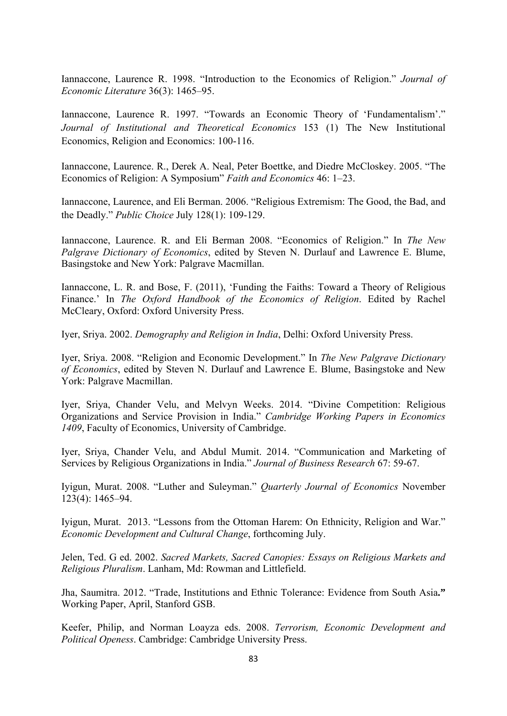Iannaccone, Laurence R. 1998. "Introduction to the Economics of Religion." *Journal of Economic Literature* 36(3): 1465–95.

Iannaccone, Laurence R. 1997. "Towards an Economic Theory of 'Fundamentalism'." *Journal of Institutional and Theoretical Economics* 153 (1) The New Institutional Economics, Religion and Economics: 100-116.

Iannaccone, Laurence. R., Derek A. Neal, Peter Boettke, and Diedre McCloskey. 2005. "The Economics of Religion: A Symposium" *Faith and Economics* 46: 1–23.

Iannaccone, Laurence, and Eli Berman. 2006. "Religious Extremism: The Good, the Bad, and the Deadly." *Public Choice* July 128(1): 109-129.

Iannaccone, Laurence. R. and Eli Berman 2008. "Economics of Religion." In *The New Palgrave Dictionary of Economics*, edited by Steven N. Durlauf and Lawrence E. Blume, Basingstoke and New York: Palgrave Macmillan.

Iannaccone, L. R. and Bose, F. (2011), 'Funding the Faiths: Toward a Theory of Religious Finance.' In *The Oxford Handbook of the Economics of Religion*. Edited by Rachel McCleary, Oxford: Oxford University Press.

Iyer, Sriya. 2002. *Demography and Religion in India*, Delhi: Oxford University Press.

Iyer, Sriya. 2008. "Religion and Economic Development." In *The New Palgrave Dictionary of Economics*, edited by Steven N. Durlauf and Lawrence E. Blume, Basingstoke and New York: Palgrave Macmillan.

Iyer, Sriya, Chander Velu, and Melvyn Weeks. 2014. "Divine Competition: Religious Organizations and Service Provision in India." *Cambridge Working Papers in Economics 1409*, Faculty of Economics, University of Cambridge.

Iyer, Sriya, Chander Velu, and Abdul Mumit. 2014. "Communication and Marketing of Services by Religious Organizations in India." *Journal of Business Research* 67: 59-67.

Iyigun, Murat. 2008. "Luther and Suleyman." *Quarterly Journal of Economics* November 123(4): 1465–94.

Iyigun, Murat. 2013. "Lessons from the Ottoman Harem: On Ethnicity, Religion and War." *Economic Development and Cultural Change*, forthcoming July.

Jelen, Ted. G ed. 2002. *Sacred Markets, Sacred Canopies: Essays on Religious Markets and Religious Pluralism*. Lanham, Md: Rowman and Littlefield.

Jha, Saumitra. 2012. "Trade, Institutions and Ethnic Tolerance: Evidence from South Asia**."** Working Paper, April, Stanford GSB.

Keefer, Philip, and Norman Loayza eds. 2008. *Terrorism, Economic Development and Political Openess*. Cambridge: Cambridge University Press.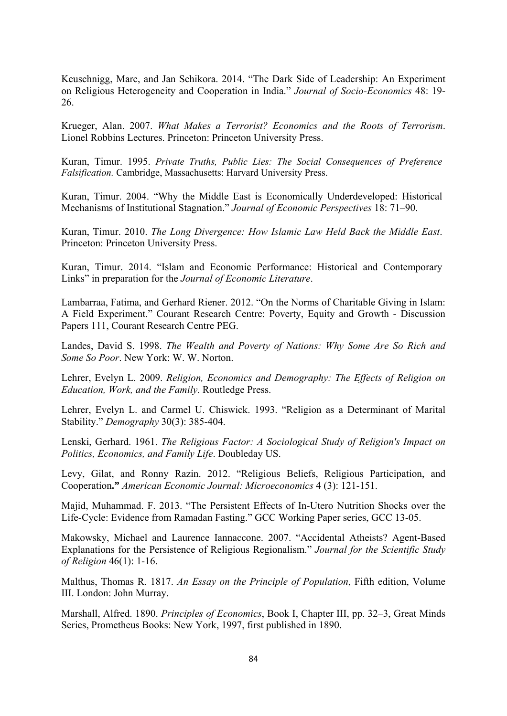Keuschnigg, Marc, and Jan Schikora. 2014. "The Dark Side of Leadership: An Experiment on Religious Heterogeneity and Cooperation in India." *Journal of Socio-Economics* 48: 19- 26.

Krueger, Alan. 2007. *What Makes a Terrorist? Economics and the Roots of Terrorism*. Lionel Robbins Lectures. Princeton: Princeton University Press.

Kuran, Timur. 1995. *Private Truths, Public Lies: The Social Consequences of Preference Falsification.* Cambridge, Massachusetts: Harvard University Press.

Kuran, Timur. 2004. "Why the Middle East is Economically Underdeveloped: Historical Mechanisms of Institutional Stagnation." *Journal of Economic Perspectives* 18: 71–90.

Kuran, Timur. 2010. *The Long Divergence: How Islamic Law Held Back the Middle East*. Princeton: Princeton University Press.

Kuran, Timur. 2014. "Islam and Economic Performance: Historical and Contemporary Links" in preparation for the *Journal of Economic Literature*.

Lambarraa, Fatima, and Gerhard Riener. 2012. "On the Norms of Charitable Giving in Islam: A Field Experiment." Courant Research Centre: Poverty, Equity and Growth - Discussion Papers 111, Courant Research Centre PEG.

Landes, David S. 1998. *The Wealth and Poverty of Nations: Why Some Are So Rich and Some So Poor*. New York: W. W. Norton.

Lehrer, Evelyn L. 2009. *Religion, Economics and Demography: The Effects of Religion on Education, Work, and the Family*. Routledge Press.

Lehrer, Evelyn L. and Carmel U. Chiswick. 1993. "Religion as a Determinant of Marital Stability." *Demography* 30(3): 385-404.

Lenski, Gerhard. 1961. *The Religious Factor: A Sociological Study of Religion's Impact on Politics, Economics, and Family Life*. Doubleday US.

Levy, Gilat, and Ronny Razin. 2012. "Religious Beliefs, Religious Participation, and Cooperation**."** *American Economic Journal: Microeconomics* 4 (3): 121-151.

Majid, Muhammad. F. 2013. "The Persistent Effects of In-Utero Nutrition Shocks over the Life-Cycle: Evidence from Ramadan Fasting." GCC Working Paper series, GCC 13-05.

Makowsky, Michael and Laurence Iannaccone. 2007. "Accidental Atheists? Agent-Based Explanations for the Persistence of Religious Regionalism." *Journal for the Scientific Study of Religion* 46(1): 1-16.

Malthus, Thomas R. 1817. *An Essay on the Principle of Population*, Fifth edition, Volume III. London: John Murray.

Marshall, Alfred. 1890. *Principles of Economics*, Book I, Chapter III, pp. 32–3, Great Minds Series, Prometheus Books: New York, 1997, first published in 1890.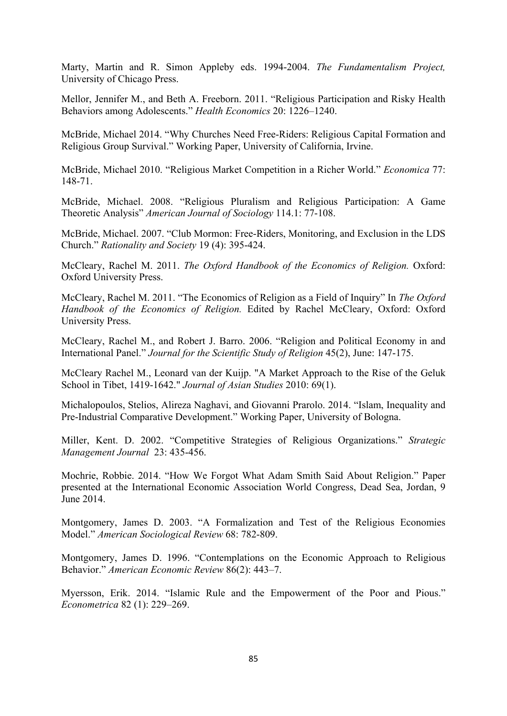Marty, Martin and R. Simon Appleby eds. 1994-2004. *The Fundamentalism Project,*  University of Chicago Press.

Mellor, Jennifer M., and Beth A. Freeborn. 2011. "Religious Participation and Risky Health Behaviors among Adolescents." *Health Economics* 20: 1226–1240.

McBride, Michael 2014. "Why Churches Need Free-Riders: Religious Capital Formation and Religious Group Survival." Working Paper, University of California, Irvine.

McBride, Michael 2010. "Religious Market Competition in a Richer World." *Economica* 77: 148-71.

McBride, Michael. 2008. "Religious Pluralism and Religious Participation: A Game Theoretic Analysis" *American Journal of Sociology* 114.1: 77-108.

McBride, Michael. 2007. "Club Mormon: Free-Riders, Monitoring, and Exclusion in the LDS Church." *Rationality and Society* 19 (4): 395-424.

McCleary, Rachel M. 2011. *The Oxford Handbook of the Economics of Religion.* Oxford: Oxford University Press.

McCleary, Rachel M. 2011. "The Economics of Religion as a Field of Inquiry" In *The Oxford Handbook of the Economics of Religion.* Edited by Rachel McCleary, Oxford: Oxford University Press.

McCleary, Rachel M., and Robert J. Barro. 2006. "Religion and Political Economy in and International Panel." *Journal for the Scientific Study of Religion* 45(2), June: 147-175.

McCleary Rachel M., Leonard van der Kuijp. "A Market Approach to the Rise of the Geluk School in Tibet, 1419-1642." *Journal of Asian Studies* 2010: 69(1).

Michalopoulos, Stelios, Alireza Naghavi, and Giovanni Prarolo. 2014. "Islam, Inequality and Pre-Industrial Comparative Development." Working Paper, University of Bologna.

Miller, Kent. D. 2002. "Competitive Strategies of Religious Organizations." *Strategic Management Journal* 23: 435-456.

Mochrie, Robbie. 2014. "How We Forgot What Adam Smith Said About Religion." Paper presented at the International Economic Association World Congress, Dead Sea, Jordan, 9 June 2014.

Montgomery, James D. 2003. "A Formalization and Test of the Religious Economies Model." *American Sociological Review* 68: 782-809.

Montgomery, James D. 1996. "Contemplations on the Economic Approach to Religious Behavior." *American Economic Review* 86(2): 443–7.

Myersson, Erik. 2014. "Islamic Rule and the Empowerment of the Poor and Pious." *Econometrica* 82 (1): 229–269.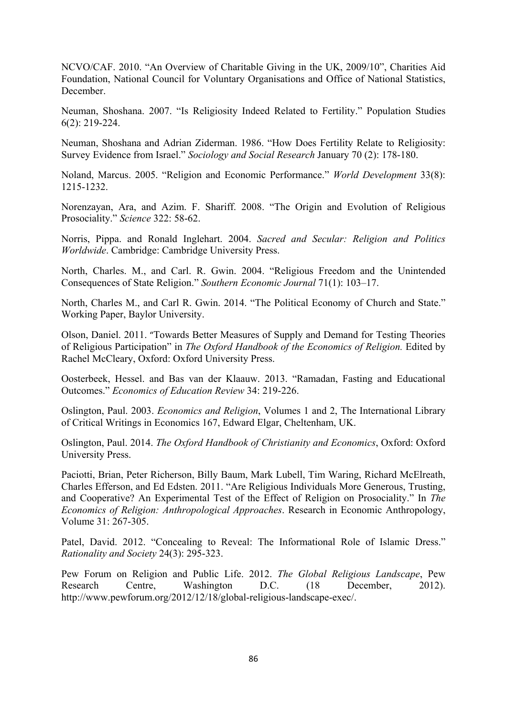NCVO/CAF. 2010. "An Overview of Charitable Giving in the UK, 2009/10", Charities Aid Foundation, National Council for Voluntary Organisations and Office of National Statistics, December.

Neuman, Shoshana. 2007. "Is Religiosity Indeed Related to Fertility." Population Studies 6(2): 219-224.

Neuman, Shoshana and Adrian Ziderman. 1986. "How Does Fertility Relate to Religiosity: Survey Evidence from Israel." *Sociology and Social Research* January 70 (2): 178-180.

Noland, Marcus. 2005. "Religion and Economic Performance." *World Development* 33(8): 1215-1232.

Norenzayan, Ara, and Azim. F. Shariff. 2008. "The Origin and Evolution of Religious Prosociality." *Science* 322: 58-62.

Norris, Pippa. and Ronald Inglehart. 2004. *Sacred and Secular: Religion and Politics Worldwide*. Cambridge: Cambridge University Press.

North, Charles. M., and Carl. R. Gwin. 2004. "Religious Freedom and the Unintended Consequences of State Religion." *Southern Economic Journal* 71(1): 103–17.

North, Charles M., and Carl R. Gwin. 2014. "The Political Economy of Church and State." Working Paper, Baylor University.

Olson, Daniel. 2011. "Towards Better Measures of Supply and Demand for Testing Theories of Religious Participation" in *The Oxford Handbook of the Economics of Religion.* Edited by Rachel McCleary, Oxford: Oxford University Press.

Oosterbeek, Hessel. and Bas van der Klaauw. 2013. "Ramadan, Fasting and Educational Outcomes." *Economics of Education Review* 34: 219-226.

Oslington, Paul. 2003. *Economics and Religion*, Volumes 1 and 2, The International Library of Critical Writings in Economics 167, Edward Elgar, Cheltenham, UK.

Oslington, Paul. 2014. *The Oxford Handbook of Christianity and Economics*, Oxford: Oxford University Press.

Paciotti, Brian, Peter Richerson, Billy Baum, Mark Lubell, Tim Waring, Richard McElreath, Charles Efferson, and Ed Edsten. 2011. "Are Religious Individuals More Generous, Trusting, and Cooperative? An Experimental Test of the Effect of Religion on Prosociality." In *The Economics of Religion: Anthropological Approaches*. Research in Economic Anthropology, Volume 31: 267-305.

Patel, David. 2012. "Concealing to Reveal: The Informational Role of Islamic Dress." *Rationality and Society* 24(3): 295-323.

Pew Forum on Religion and Public Life. 2012. *The Global Religious Landscape*, Pew Research Centre, Washington D.C. (18 December, 2012). http://www.pewforum.org/2012/12/18/global-religious-landscape-exec/.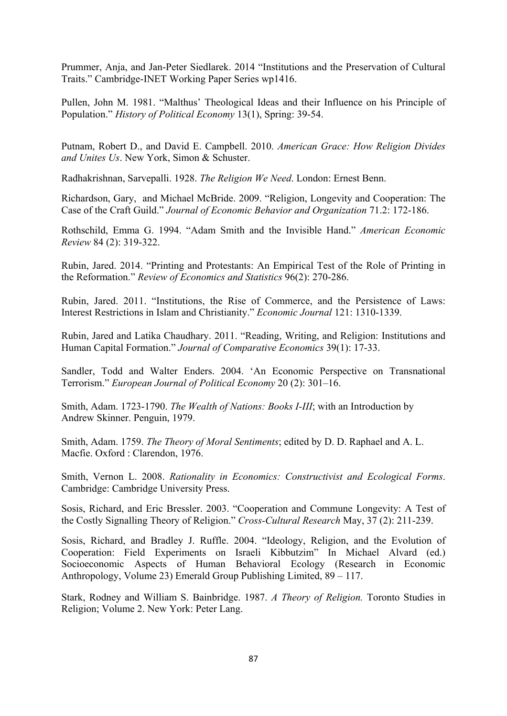Prummer, Anja, and Jan-Peter Siedlarek. 2014 "Institutions and the Preservation of Cultural Traits." Cambridge-INET Working Paper Series wp1416.

Pullen, John M. 1981. "Malthus' Theological Ideas and their Influence on his Principle of Population." *History of Political Economy* 13(1), Spring: 39-54.

Putnam, Robert D., and David E. Campbell. 2010. *American Grace: How Religion Divides and Unites Us*. New York, Simon & Schuster.

Radhakrishnan, Sarvepalli. 1928. *The Religion We Need*. London: Ernest Benn.

Richardson, Gary, and Michael McBride. 2009. "Religion, Longevity and Cooperation: The Case of the Craft Guild." *Journal of Economic Behavior and Organization* 71.2: 172-186.

Rothschild, Emma G. 1994. "Adam Smith and the Invisible Hand." *American Economic Review* 84 (2): 319-322.

Rubin, Jared. 2014. "Printing and Protestants: An Empirical Test of the Role of Printing in the Reformation." *Review of Economics and Statistics* 96(2): 270-286.

Rubin, Jared. 2011. "Institutions, the Rise of Commerce, and the Persistence of Laws: Interest Restrictions in Islam and Christianity." *Economic Journal* 121: 1310-1339.

Rubin, Jared and Latika Chaudhary. 2011. "Reading, Writing, and Religion: Institutions and Human Capital Formation." *Journal of Comparative Economics* 39(1): 17-33.

Sandler, Todd and Walter Enders. 2004. 'An Economic Perspective on Transnational Terrorism." *European Journal of Political Economy* 20 (2): 301–16.

Smith, Adam. 1723-1790. *The Wealth of Nations: Books I-III*; with an Introduction by Andrew Skinner. Penguin, 1979.

Smith, Adam. 1759. *The Theory of Moral Sentiments*; edited by D. D. Raphael and A. L. Macfie. Oxford : Clarendon, 1976.

Smith, Vernon L. 2008. *Rationality in Economics: Constructivist and Ecological Forms*. Cambridge: Cambridge University Press.

Sosis, Richard, and Eric Bressler. 2003. "Cooperation and Commune Longevity: A Test of the Costly Signalling Theory of Religion." *Cross-Cultural Research* May, 37 (2): 211-239.

Sosis, Richard, and Bradley J. Ruffle. 2004. "Ideology, Religion, and the Evolution of Cooperation: Field Experiments on Israeli Kibbutzim" In Michael Alvard (ed.) Socioeconomic Aspects of Human Behavioral Ecology (Research in Economic Anthropology, Volume 23) Emerald Group Publishing Limited, 89 – 117.

Stark, Rodney and William S. Bainbridge. 1987. *A Theory of Religion.* Toronto Studies in Religion; Volume 2. New York: Peter Lang.